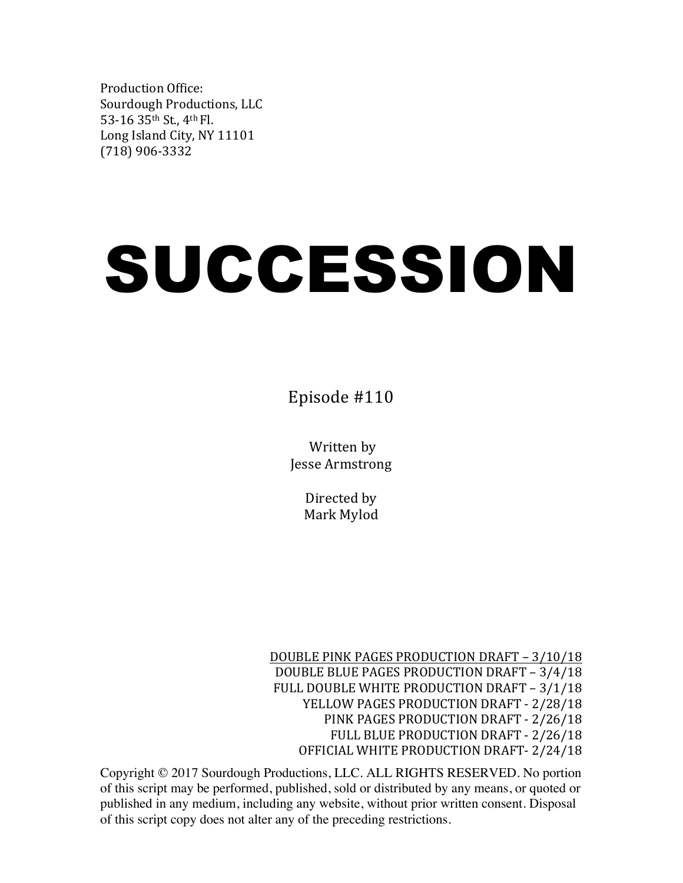Production Office: Sourdough Productions, LLC 53-16 35th St., 4th Fl. Long Island City, NY 11101 (718) 906-3332

# SUCCESSION

Episode #110

Written by Jesse Armstrong

> Directed by Mark Mylod

DOUBLE PINK PAGES PRODUCTION DRAFT - 3/10/18 DOUBLE BLUE PAGES PRODUCTION DRAFT - 3/4/18 FULL DOUBLE WHITE PRODUCTION DRAFT - 3/1/18 YELLOW PAGES PRODUCTION DRAFT - 2/28/18 PINK PAGES PRODUCTION DRAFT - 2/26/18 FULL BLUE PRODUCTION DRAFT - 2/26/18 OFFICIAL WHITE PRODUCTION DRAFT- 2/24/18

Copyright © 2017 Sourdough Productions, LLC. ALL RIGHTS RESERVED. No portion of this script may be performed, published, sold or distributed by any means, or quoted or published in any medium, including any website, without prior written consent. Disposal of this script copy does not alter any of the preceding restrictions.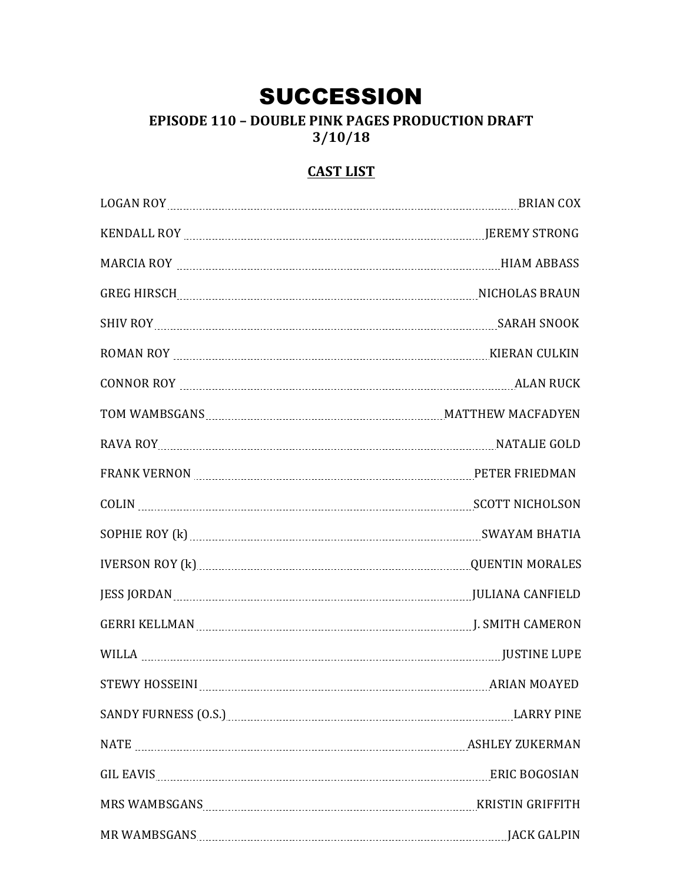## **SUCCESSION**

**EPISODE 110 - DOUBLE PINK PAGES PRODUCTION DRAFT**  $3/10/18$ 

## **CAST LIST**

|              | LOGAN ROY EXAMPLE TO BRIAN COX                              |
|--------------|-------------------------------------------------------------|
|              |                                                             |
|              |                                                             |
|              |                                                             |
|              |                                                             |
|              |                                                             |
|              |                                                             |
|              | TOM WAMBSGANS MARIE AND MALLET MATTHEW MACFADYEN            |
|              | RAVA ROY ELECTRIC COLD NATALIE GOLD                         |
|              |                                                             |
|              |                                                             |
|              |                                                             |
|              |                                                             |
|              | JESS JORDAN MARIELD                                         |
|              |                                                             |
|              | WILLA NETINE LUPE                                           |
|              | STEWY HOSSEINI MARIAL MARIAN MOAYED                         |
|              | SANDY FURNESS (O.S.) Manual Communication of the LARRY PINE |
|              |                                                             |
|              | GIL EAVIS ENGLARIES EN ERIC BOGOSIAN                        |
|              |                                                             |
| MR WAMBSGANS | <b>JACK GALPIN</b>                                          |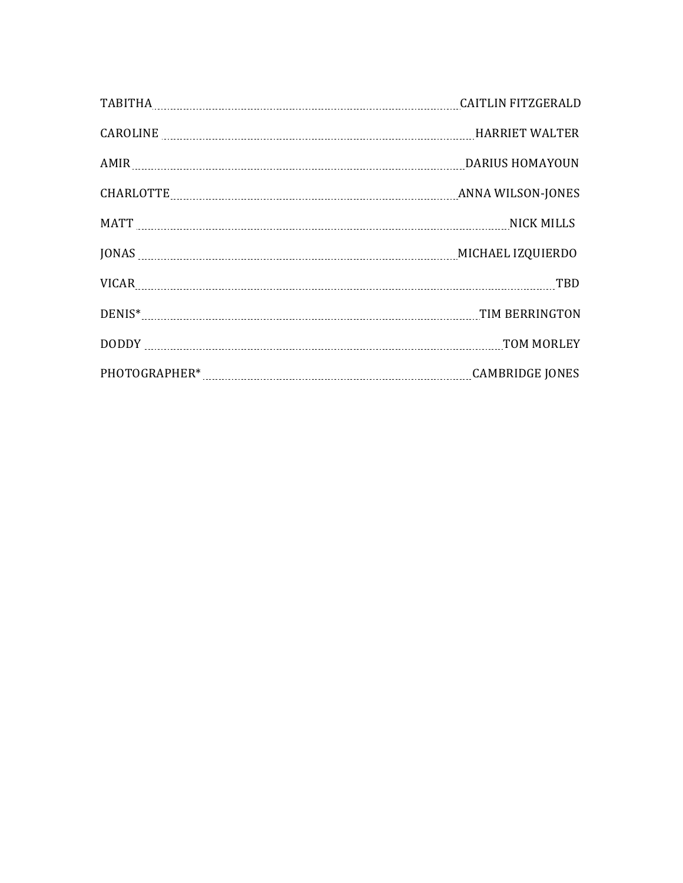| <b>CAITLIN FITZGERALD</b>                     |
|-----------------------------------------------|
| CAROLINE MALTER                               |
|                                               |
| CHARLOTTE MARIAL TELEVISION ANNA WILSON-JONES |
| MATT NICK MILLS                               |
| JONAS MICHAEL IZQUIERDO                       |
| VICAR TBD                                     |
| TIM BERRINGTON                                |
| TOM MORLEY                                    |
| <b>CAMBRIDGE JONES</b>                        |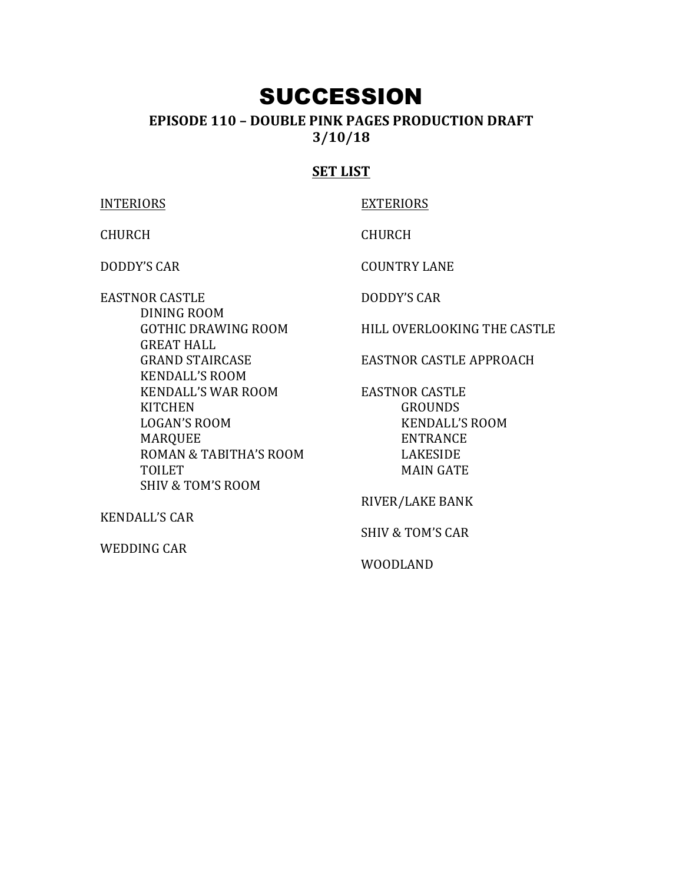## SUCCESSION

### **EPISODE 110 – DOUBLE PINK PAGES PRODUCTION DRAFT 3/10/18**

#### **SET LIST**

**INTERIORS** CHURCH DODDY'S CAR EASTNOR CASTLE DINING ROOM GOTHIC DRAWING ROOM **GREAT HALL GRAND STAIRCASE KENDALL'S ROOM** KENDALL'S WAR ROOM **KITCHEN** LOGAN'S ROOM MARQUEE ROMAN & TABITHA'S ROOM TOILET SHIV & TOM'S ROOM **KENDALL'S CAR** EXTERIORS CHURCH **COUNTRY LANE** DODDY'S CAR EASTNOR CASTLE GROUNDS **KENDALL'S ROOM** ENTRANCE LAKESIDE **MAIN GATE** RIVER/LAKE BANK

WEDDING CAR

HILL OVERLOOKING THE CASTLE

EASTNOR CASTLE APPROACH

SHIV & TOM'S CAR

WOODLAND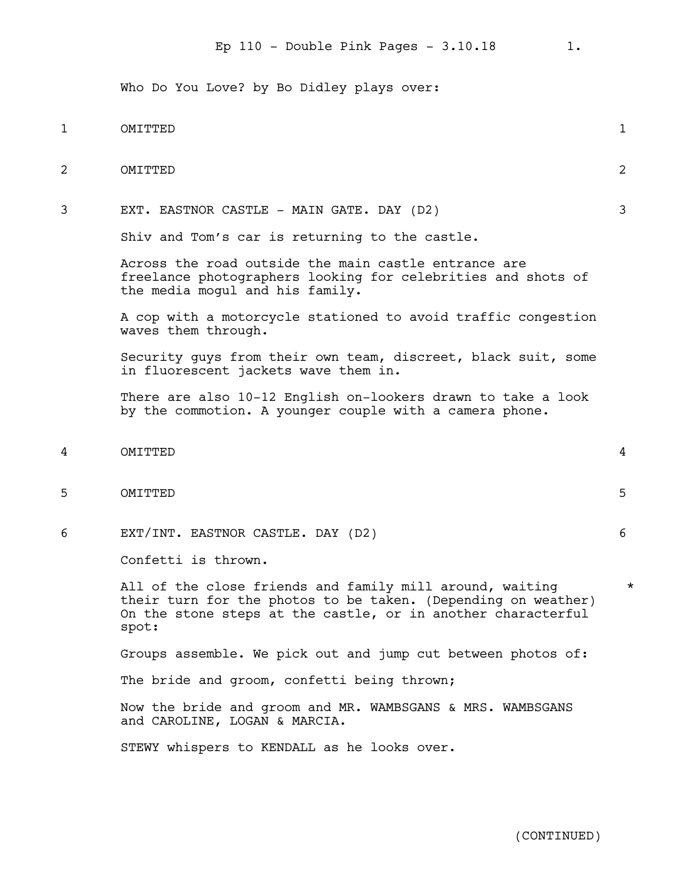Who Do You Love? by Bo Didley plays over:

# 1 OMITTED 1 2 OMITTED 2 3 EXT. EASTNOR CASTLE - MAIN GATE. DAY (D2) 3 Shiv and Tom's car is returning to the castle. Across the road outside the main castle entrance are freelance photographers looking for celebrities and shots of the media mogul and his family. A cop with a motorcycle stationed to avoid traffic congestion waves them through. Security guys from their own team, discreet, black suit, some in fluorescent jackets wave them in. There are also 10-12 English on-lookers drawn to take a look by the commotion. A younger couple with a camera phone. 4 OMITTED 4 5 OMITTED 5 6 EXT/INT. EASTNOR CASTLE. DAY (D2) 6 Confetti is thrown. All of the close friends and family mill around, waiting  $*$ their turn for the photos to be taken. (Depending on weather) On the stone steps at the castle, or in another characterful spot: Groups assemble. We pick out and jump cut between photos of: The bride and groom, confetti being thrown; Now the bride and groom and MR. WAMBSGANS & MRS. WAMBSGANS and CAROLINE, LOGAN & MARCIA. STEWY whispers to KENDALL as he looks over.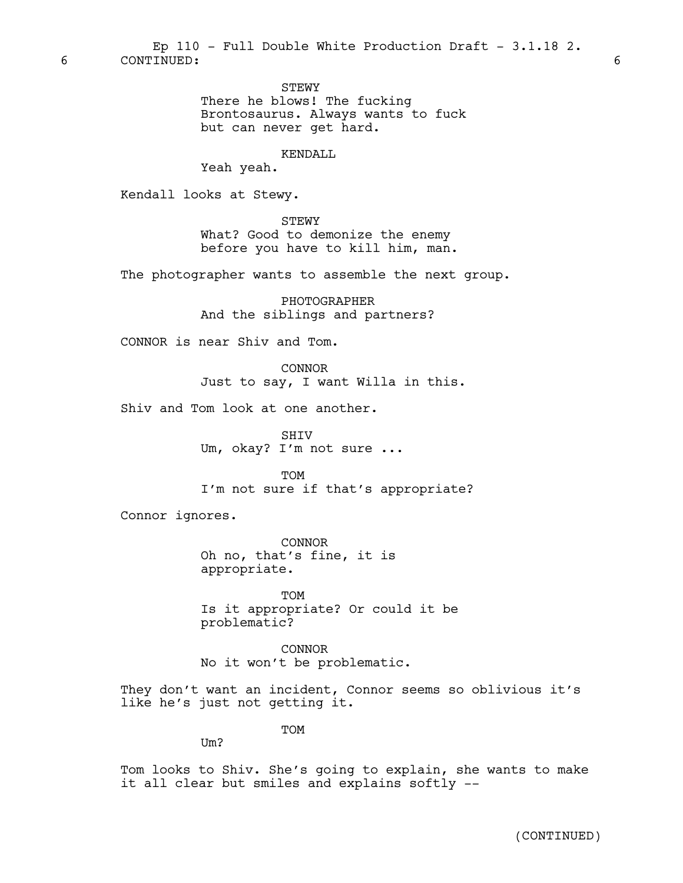STEWY

There he blows! The fucking Brontosaurus. Always wants to fuck but can never get hard.

#### KENDALL

Yeah yeah.

Kendall looks at Stewy.

STEWY What? Good to demonize the enemy before you have to kill him, man.

The photographer wants to assemble the next group.

PHOTOGRAPHER And the siblings and partners?

CONNOR is near Shiv and Tom.

CONNOR Just to say, I want Willa in this.

Shiv and Tom look at one another.

SHIV Um, okay? I'm not sure ...

**TOM** I'm not sure if that's appropriate?

Connor ignores.

CONNOR Oh no, that's fine, it is appropriate.

**TOM** Is it appropriate? Or could it be problematic?

CONNOR No it won't be problematic.

They don't want an incident, Connor seems so oblivious it's like he's just not getting it.

TOM

 $IIm?$ 

Tom looks to Shiv. She's going to explain, she wants to make it all clear but smiles and explains softly --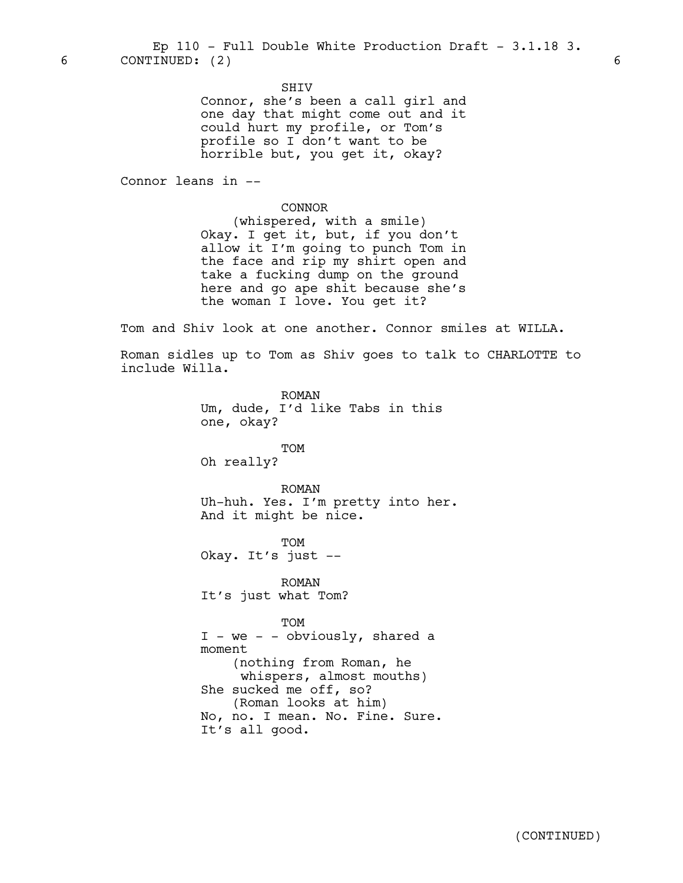6 CONTINUED: (2) 6 Ep  $110$  - Full Double White Production Draft - 3.1.18 3.

SHIV

Connor, she's been a call girl and one day that might come out and it could hurt my profile, or Tom's profile so I don't want to be horrible but, you get it, okay?

Connor leans in --

CONNOR

(whispered, with a smile) Okay. I get it, but, if you don't allow it I'm going to punch Tom in the face and rip my shirt open and take a fucking dump on the ground here and go ape shit because she's the woman I love. You get it?

Tom and Shiv look at one another. Connor smiles at WILLA.

Roman sidles up to Tom as Shiv goes to talk to CHARLOTTE to include Willa.

> ROMAN Um, dude, I'd like Tabs in this one, okay?

TOM Oh really?

ROMAN Uh-huh. Yes. I'm pretty into her. And it might be nice.

**TOM** Okay. It's just --

ROMAN It's just what Tom?

TOM I - we - - obviously, shared a moment (nothing from Roman, he whispers, almost mouths) She sucked me off, so? (Roman looks at him) No, no. I mean. No. Fine. Sure. It's all good.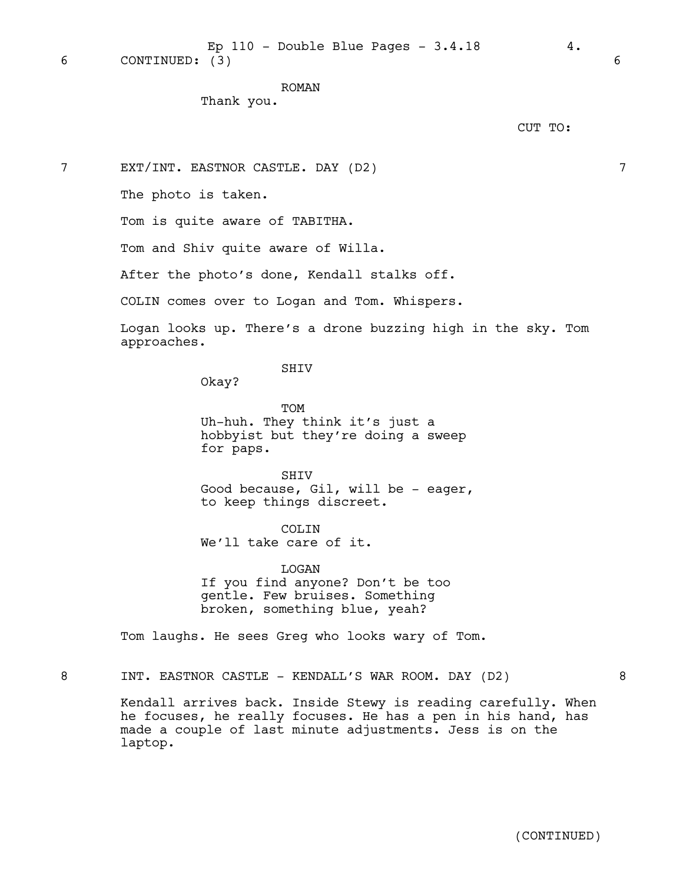ROMAN

Thank you.

CUT TO:

7 EXT/INT. EASTNOR CASTLE. DAY (D2) 7

The photo is taken.

Tom is quite aware of TABITHA.

Tom and Shiv quite aware of Willa.

After the photo's done, Kendall stalks off.

COLIN comes over to Logan and Tom. Whispers.

Logan looks up. There's a drone buzzing high in the sky. Tom approaches.

SHIV

Okay?

TOM Uh-huh. They think it's just a hobbyist but they're doing a sweep for paps.

**SHTV** Good because, Gil, will be - eager, to keep things discreet.

COLIN

We'll take care of it.

LOGAN If you find anyone? Don't be too gentle. Few bruises. Something broken, something blue, yeah?

Tom laughs. He sees Greg who looks wary of Tom.

8 INT. EASTNOR CASTLE - KENDALL'S WAR ROOM. DAY (D2) 3

Kendall arrives back. Inside Stewy is reading carefully. When he focuses, he really focuses. He has a pen in his hand, has made a couple of last minute adjustments. Jess is on the laptop.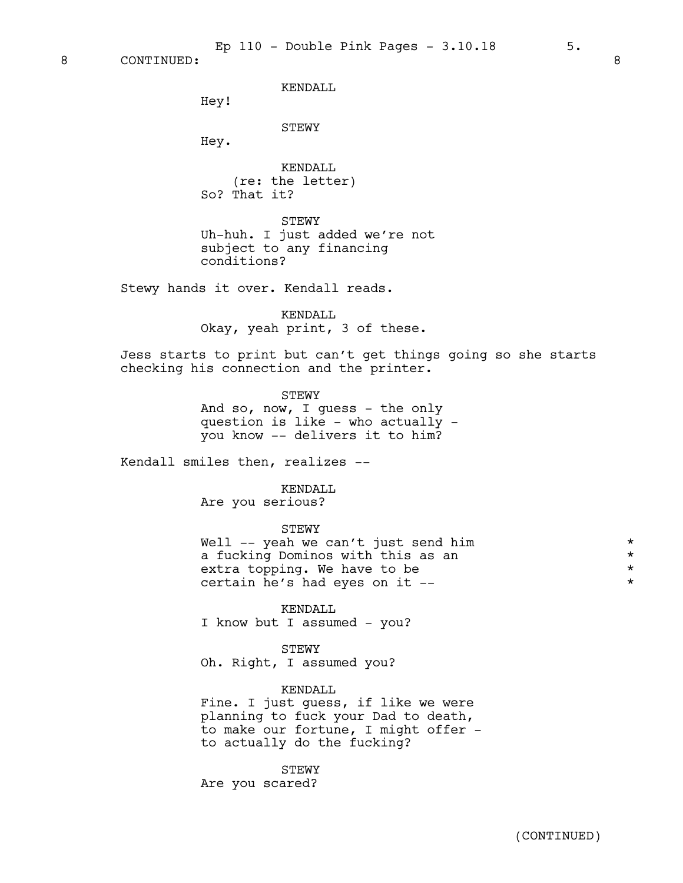8 CONTINUED: 8

KENDALL

Hey!

STEWY

Hey.

KENDALL (re: the letter) So? That it?

STEWY Uh-huh. I just added we're not subject to any financing conditions?

Stewy hands it over. Kendall reads.

KENDALL Okay, yeah print, 3 of these.

Jess starts to print but can't get things going so she starts checking his connection and the printer.

> STEWY And so, now, I guess - the only question is like - who actually you know -- delivers it to him?

Kendall smiles then, realizes --

KENDALL Are you serious?

STEWY

Well -- yeah we can't just send him  $*$ <br>a fucking Dominos with this as an  $*$ a fucking Dominos with this as an \* extra topping. We have to be  $\star$   $\star$   $\star$   $\star$ certain he's had eyes on it --

KENDALL I know but I assumed - you?

STEWY

Oh. Right, I assumed you?

KENDALL Fine. I just guess, if like we were planning to fuck your Dad to death, to make our fortune, I might offer to actually do the fucking?

STEWY Are you scared?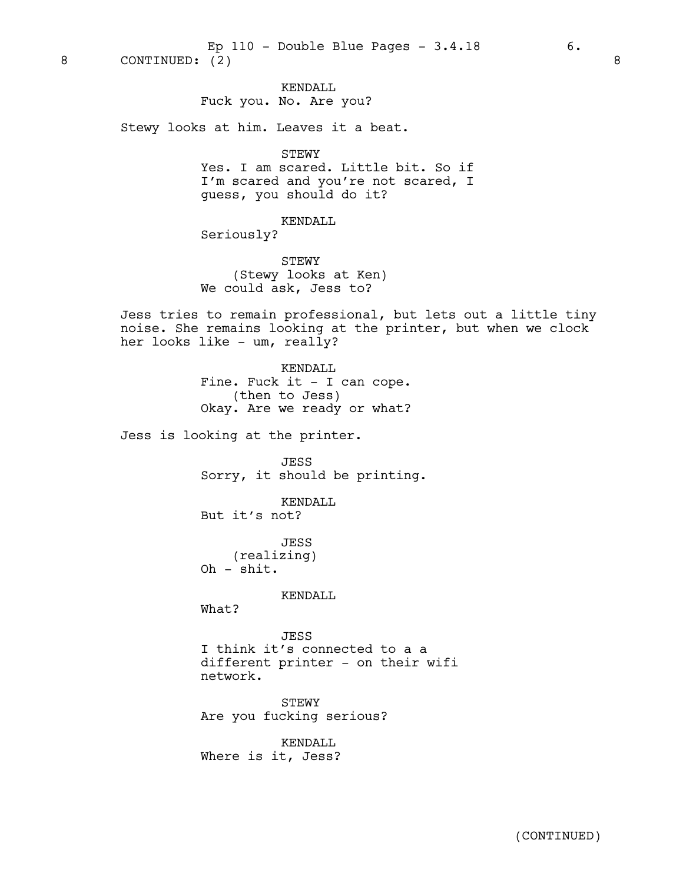#### KENDALL

Fuck you. No. Are you?

Stewy looks at him. Leaves it a beat.

STEWY

Yes. I am scared. Little bit. So if I'm scared and you're not scared, I guess, you should do it?

KENDALL Seriously?

STEWY (Stewy looks at Ken) We could ask, Jess to?

Jess tries to remain professional, but lets out a little tiny noise. She remains looking at the printer, but when we clock her looks like - um, really?

> KENDALL Fine. Fuck it - I can cope. (then to Jess) Okay. Are we ready or what?

Jess is looking at the printer.

JESS Sorry, it should be printing.

KENDALL But it's not?

JESS (realizing) Oh - shit.

KENDALL

What?

JESS I think it's connected to a a different printer - on their wifi network.

STEWY Are you fucking serious?

KENDALL Where is it, Jess?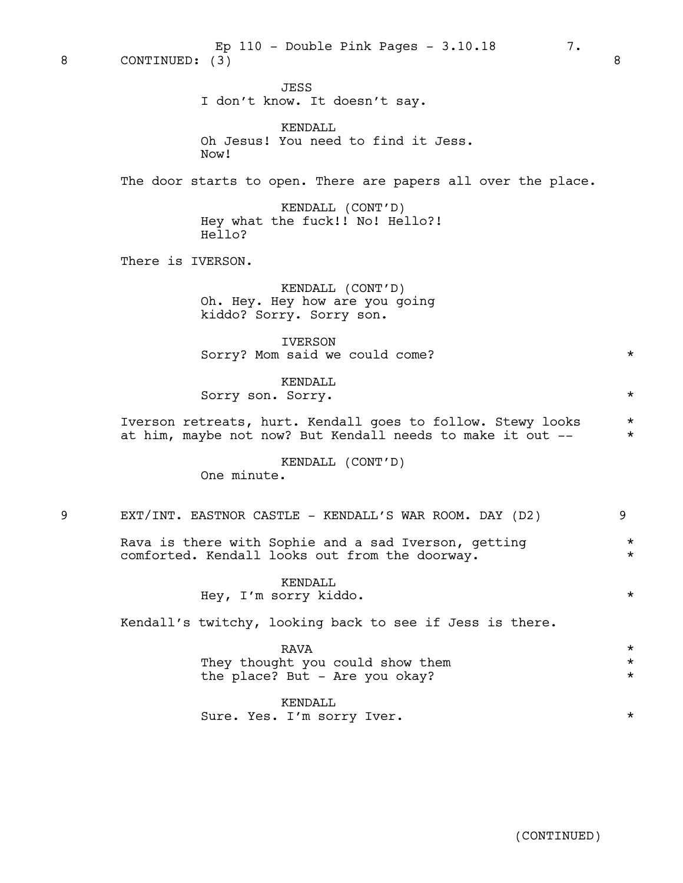JESS I don't know. It doesn't say.

|   | KENDALL<br>Oh Jesus! You need to find it Jess.<br>Now!                                                                    |                                |
|---|---------------------------------------------------------------------------------------------------------------------------|--------------------------------|
|   | The door starts to open. There are papers all over the place.                                                             |                                |
|   | KENDALL (CONT'D)<br>Hey what the fuck!! No! Hello?!<br>Hello?                                                             |                                |
|   | There is IVERSON.                                                                                                         |                                |
|   | KENDALL (CONT'D)<br>Oh. Hey. Hey how are you going<br>kiddo? Sorry. Sorry son.                                            |                                |
|   | <b>IVERSON</b><br>Sorry? Mom said we could come?                                                                          | $\star$                        |
|   | KENDALL<br>Sorry son. Sorry.                                                                                              | $^\star$                       |
|   | Iverson retreats, hurt. Kendall goes to follow. Stewy looks<br>at him, maybe not now? But Kendall needs to make it out -- | $^\star$<br>$\star$            |
|   | KENDALL (CONT'D)<br>One minute.                                                                                           |                                |
| 9 | EXT/INT. EASTNOR CASTLE - KENDALL'S WAR ROOM. DAY (D2)                                                                    | 9                              |
|   | Rava is there with Sophie and a sad Iverson, getting<br>comforted. Kendall looks out from the doorway.                    | $^\star$<br>$^\star$           |
|   | KENDALL<br>Hey, I'm sorry kiddo.                                                                                          | $\star$                        |
|   | Kendall's twitchy, looking back to see if Jess is there.                                                                  |                                |
|   | <b>RAVA</b><br>They thought you could show them<br>the place? But - Are you okay?                                         | $^\star$<br>$\star$<br>$\star$ |

KENDALL Sure. Yes. I'm sorry Iver. \*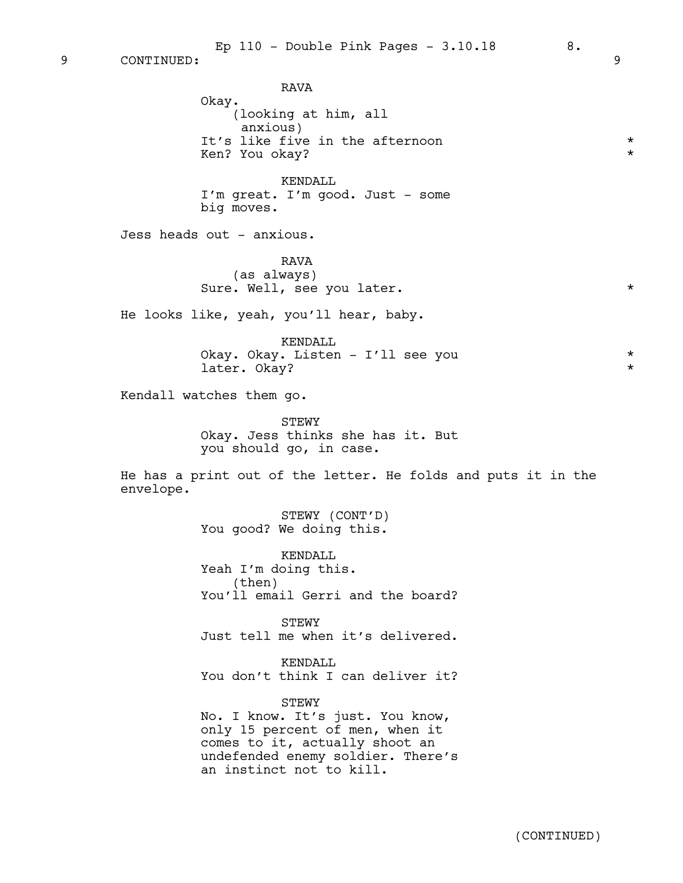Ep  $110$  - Double Pink Pages -  $3.10.18$  8.

9 CONTINUED: 9

RAVA Okay. (looking at him, all anxious) It's like five in the afternoon  $*$ Ken? You okay? \* KENDALL I'm great. I'm good. Just - some big moves. Jess heads out - anxious. RAVA (as always) Sure. Well, see you later. He looks like, yeah, you'll hear, baby. KENDALL Okay. Okay. Listen - I'll see you \* later. Okay?  $\star$ Kendall watches them go. **STEWY** Okay. Jess thinks she has it. But you should go, in case. He has a print out of the letter. He folds and puts it in the envelope. STEWY (CONT'D) You good? We doing this. KENDALL Yeah I'm doing this. (then) You'll email Gerri and the board? **STEWY** Just tell me when it's delivered. KENDALL You don't think I can deliver it? STEWY No. I know. It's just. You know, only 15 percent of men, when it comes to it, actually shoot an undefended enemy soldier. There's an instinct not to kill.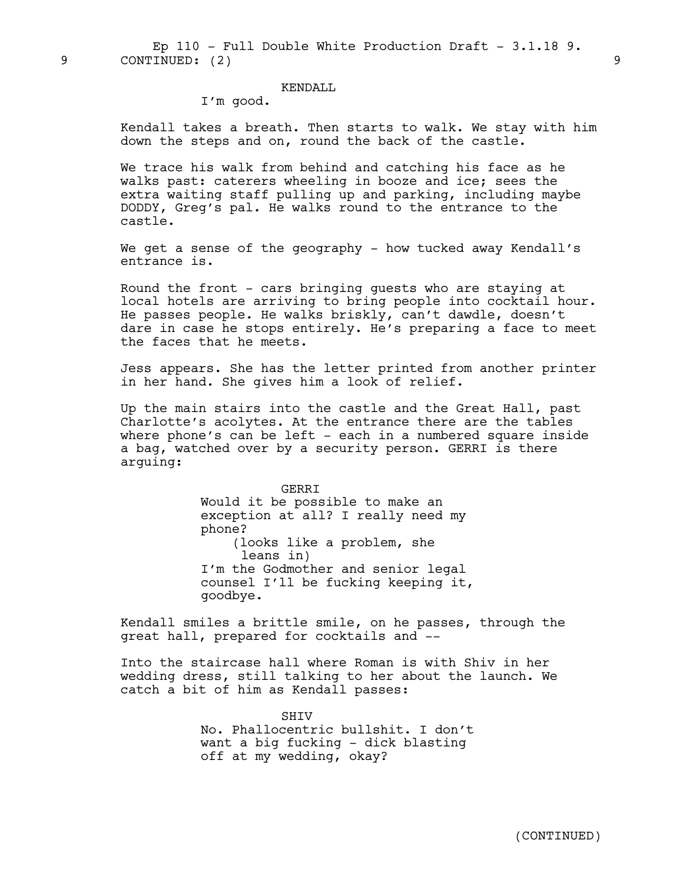9 CONTINUED: (2) 9 Ep  $110$  - Full Double White Production Draft - 3.1.18 9.

#### KENDALL

I'm good.

Kendall takes a breath. Then starts to walk. We stay with him down the steps and on, round the back of the castle.

We trace his walk from behind and catching his face as he walks past: caterers wheeling in booze and ice; sees the extra waiting staff pulling up and parking, including maybe DODDY, Greg's pal. He walks round to the entrance to the castle.

We get a sense of the geography - how tucked away Kendall's entrance is.

Round the front - cars bringing guests who are staying at local hotels are arriving to bring people into cocktail hour. He passes people. He walks briskly, can't dawdle, doesn't dare in case he stops entirely. He's preparing a face to meet the faces that he meets.

Jess appears. She has the letter printed from another printer in her hand. She gives him a look of relief.

Up the main stairs into the castle and the Great Hall, past Charlotte's acolytes. At the entrance there are the tables where phone's can be left - each in a numbered square inside a bag, watched over by a security person. GERRI is there arguing:

> GERRI Would it be possible to make an exception at all? I really need my phone? (looks like a problem, she leans in) I'm the Godmother and senior legal counsel I'll be fucking keeping it, goodbye.

Kendall smiles a brittle smile, on he passes, through the great hall, prepared for cocktails and --

Into the staircase hall where Roman is with Shiv in her wedding dress, still talking to her about the launch. We catch a bit of him as Kendall passes:

> **SHTV** No. Phallocentric bullshit. I don't want a big fucking - dick blasting off at my wedding, okay?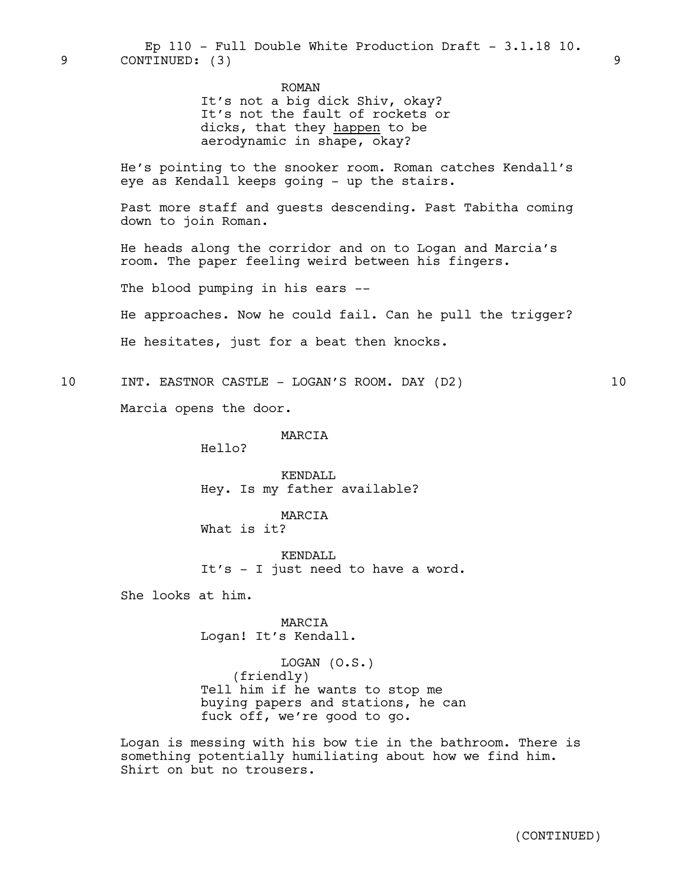ROMAN It's not a big dick Shiv, okay? It's not the fault of rockets or dicks, that they happen to be aerodynamic in shape, okay?

He's pointing to the snooker room. Roman catches Kendall's eye as Kendall keeps going - up the stairs.

Past more staff and guests descending. Past Tabitha coming down to join Roman.

He heads along the corridor and on to Logan and Marcia's room. The paper feeling weird between his fingers.

The blood pumping in his ears --

He approaches. Now he could fail. Can he pull the trigger?

He hesitates, just for a beat then knocks.

10 INT. EASTNOR CASTLE - LOGAN'S ROOM. DAY (D2) 10

Marcia opens the door.

#### MARCIA

Hello?

KENDALL Hey. Is my father available?

MARCIA What is it?

KENDALL It's - I just need to have a word.

She looks at him.

MARCIA Logan! It's Kendall.

LOGAN (O.S.) (friendly) Tell him if he wants to stop me buying papers and stations, he can fuck off, we're good to go.

Logan is messing with his bow tie in the bathroom. There is something potentially humiliating about how we find him. Shirt on but no trousers.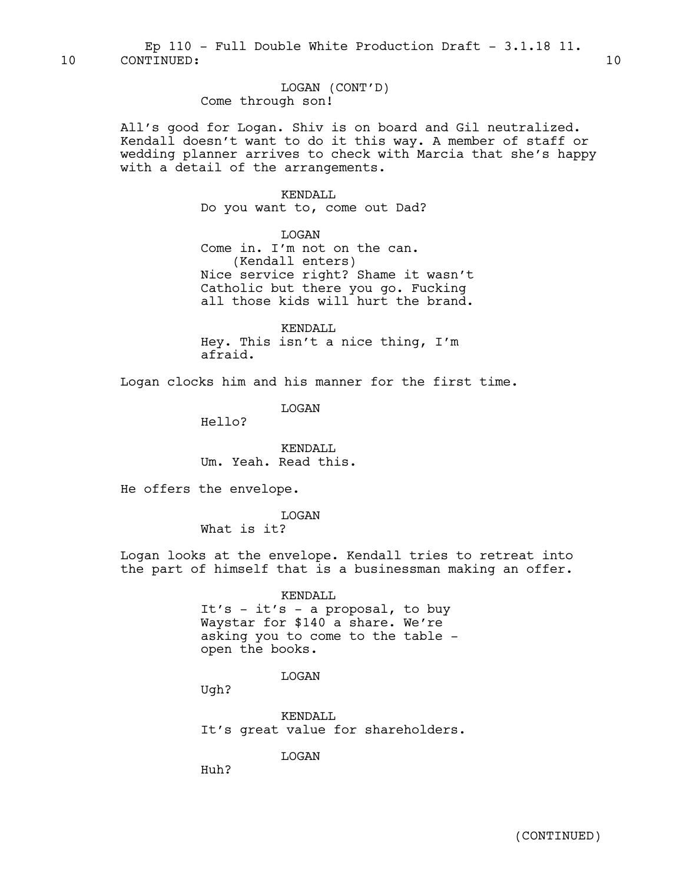LOGAN (CONT'D) Come through son!

All's good for Logan. Shiv is on board and Gil neutralized. Kendall doesn't want to do it this way. A member of staff or wedding planner arrives to check with Marcia that she's happy with a detail of the arrangements.

#### KENDALL

Do you want to, come out Dad?

LOGAN

Come in. I'm not on the can. (Kendall enters) Nice service right? Shame it wasn't Catholic but there you go. Fucking all those kids will hurt the brand.

KENDALL Hey. This isn't a nice thing, I'm afraid.

Logan clocks him and his manner for the first time.

LOGAN

Hello?

KENDALL Um. Yeah. Read this.

He offers the envelope.

LOGAN What is it?

Logan looks at the envelope. Kendall tries to retreat into the part of himself that is a businessman making an offer.

> KENDALL It's - it's - a proposal, to buy Waystar for \$140 a share. We're asking you to come to the table open the books.

> > LOGAN

Ugh?

KENDALL It's great value for shareholders.

LOGAN

Huh?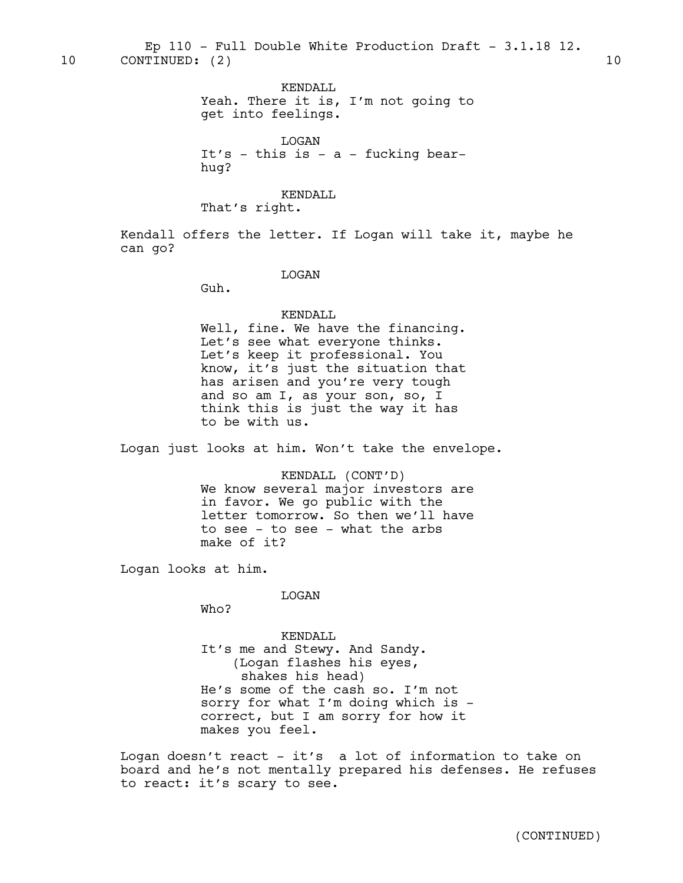KENDALL Yeah. There it is, I'm not going to get into feelings.

LOGAN It's - this is - a - fucking bearhug?

KENDALL

That's right.

Kendall offers the letter. If Logan will take it, maybe he can go?

LOGAN

Guh.

KENDALL Well, fine. We have the financing. Let's see what everyone thinks. Let's keep it professional. You know, it's just the situation that has arisen and you're very tough and so am I, as your son, so, I think this is just the way it has to be with us.

Logan just looks at him. Won't take the envelope.

KENDALL (CONT'D) We know several major investors are in favor. We go public with the letter tomorrow. So then we'll have to see - to see - what the arbs make of it?

Logan looks at him.

LOGAN

Who?

KENDALL It's me and Stewy. And Sandy. (Logan flashes his eyes, shakes his head) He's some of the cash so. I'm not sorry for what I'm doing which is correct, but I am sorry for how it makes you feel.

Logan doesn't react – it's a lot of information to take on board and he's not mentally prepared his defenses. He refuses to react: it's scary to see.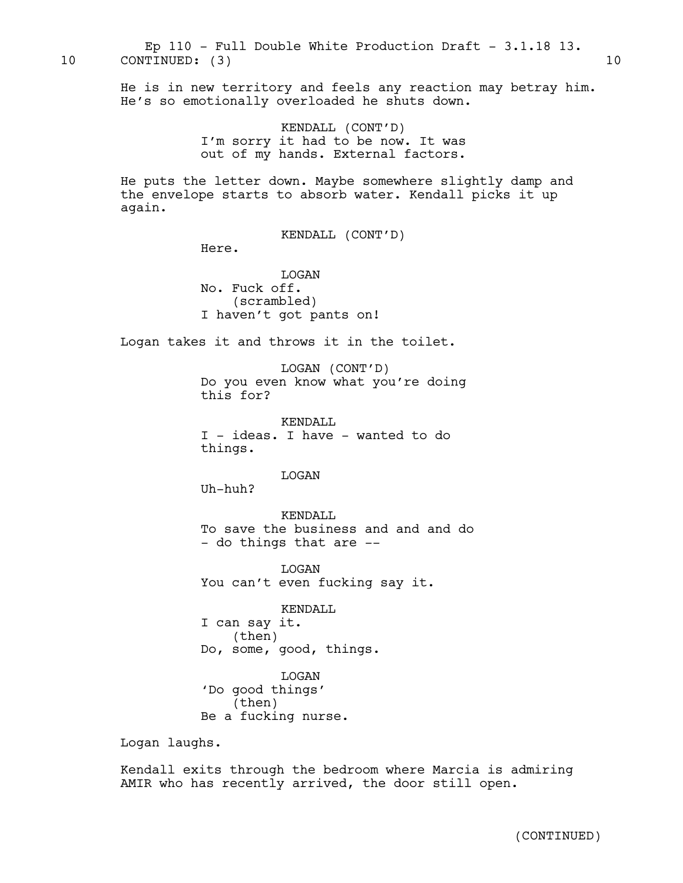10 CONTINUED: (3) 10 Ep 110 - Full Double White Production Draft - 3.1.18 13.

> He is in new territory and feels any reaction may betray him. He's so emotionally overloaded he shuts down.

> > KENDALL (CONT'D) I'm sorry it had to be now. It was out of my hands. External factors.

He puts the letter down. Maybe somewhere slightly damp and the envelope starts to absorb water. Kendall picks it up again.

KENDALL (CONT'D)

Here.

LOGAN No. Fuck off. (scrambled) I haven't got pants on!

Logan takes it and throws it in the toilet.

LOGAN (CONT'D) Do you even know what you're doing this for?

KENDALL I - ideas. I have - wanted to do things.

LOGAN

Uh-huh?

KENDALL To save the business and and and do - do things that are --

LOGAN You can't even fucking say it.

KENDALL I can say it. (then) Do, some, good, things.

LOGAN 'Do good things' (then) Be a fucking nurse.

Logan laughs.

Kendall exits through the bedroom where Marcia is admiring AMIR who has recently arrived, the door still open.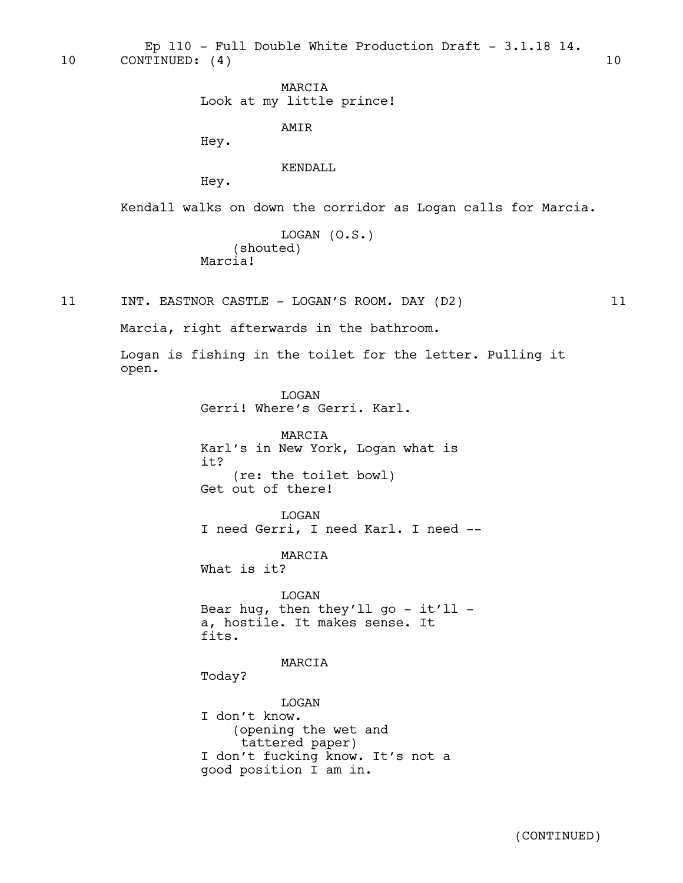10 CONTINUED: (4) 10 Ep 110 - Full Double White Production Draft -  $3.1.18$  14.

> MARCIA Look at my little prince!

> > AMIR

Hey.

KENDALL

Hey.

Kendall walks on down the corridor as Logan calls for Marcia.

```
LOGAN (O.S.)
    (shouted)
Marcia!
```
11 INT. EASTNOR CASTLE - LOGAN'S ROOM. DAY (D2) 11

Marcia, right afterwards in the bathroom.

Logan is fishing in the toilet for the letter. Pulling it open.

> LOGAN Gerri! Where's Gerri. Karl.

MARCIA Karl's in New York, Logan what is it? (re: the toilet bowl) Get out of there!

LOGAN I need Gerri, I need Karl. I need --

MARCIA What is it?

LOGAN Bear hug, then they'll go - it'll a, hostile. It makes sense. It fits.

MARCIA Today?

LOGAN I don't know. (opening the wet and tattered paper) I don't fucking know. It's not a good position I am in.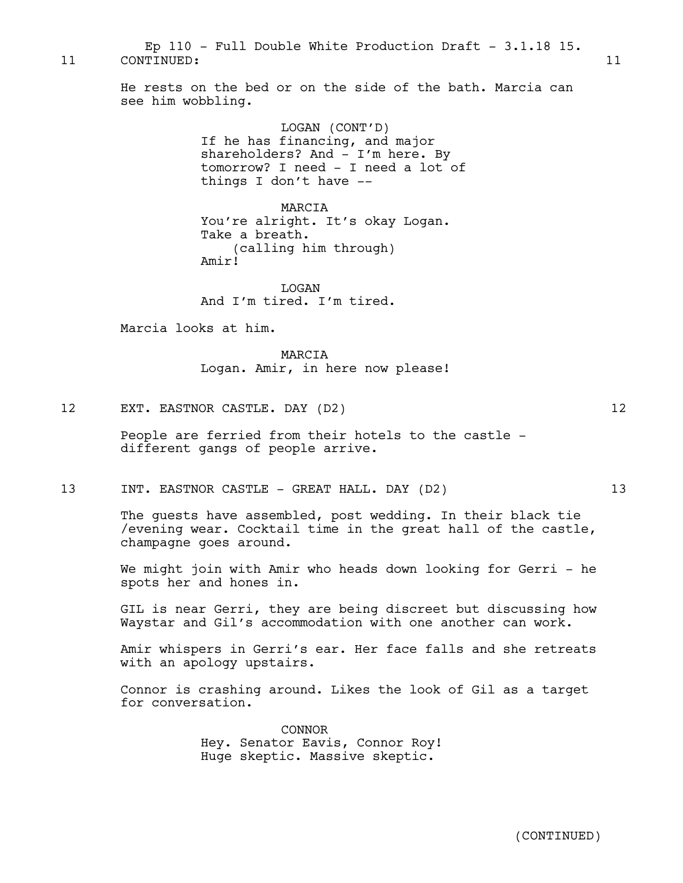11 CONTINUED: 11 Ep 110 - Full Double White Production Draft - 3.1.18 15.

> He rests on the bed or on the side of the bath. Marcia can see him wobbling.

> > LOGAN (CONT'D) If he has financing, and major shareholders? And - I'm here. By tomorrow? I need - I need a lot of things I don't have --

MARCIA You're alright. It's okay Logan. Take a breath. (calling him through) Amir!

LOGAN And I'm tired. I'm tired.

Marcia looks at him.

MARCIA Logan. Amir, in here now please!

12 EXT. EASTNOR CASTLE. DAY (D2) 12

People are ferried from their hotels to the castle different gangs of people arrive.

13 INT. EASTNOR CASTLE - GREAT HALL. DAY (D2) 13

The guests have assembled, post wedding. In their black tie /evening wear. Cocktail time in the great hall of the castle, champagne goes around.

We might join with Amir who heads down looking for Gerri - he spots her and hones in.

GIL is near Gerri, they are being discreet but discussing how Waystar and Gil's accommodation with one another can work.

Amir whispers in Gerri's ear. Her face falls and she retreats with an apology upstairs.

Connor is crashing around. Likes the look of Gil as a target for conversation.

> CONNOR Hey. Senator Eavis, Connor Roy! Huge skeptic. Massive skeptic.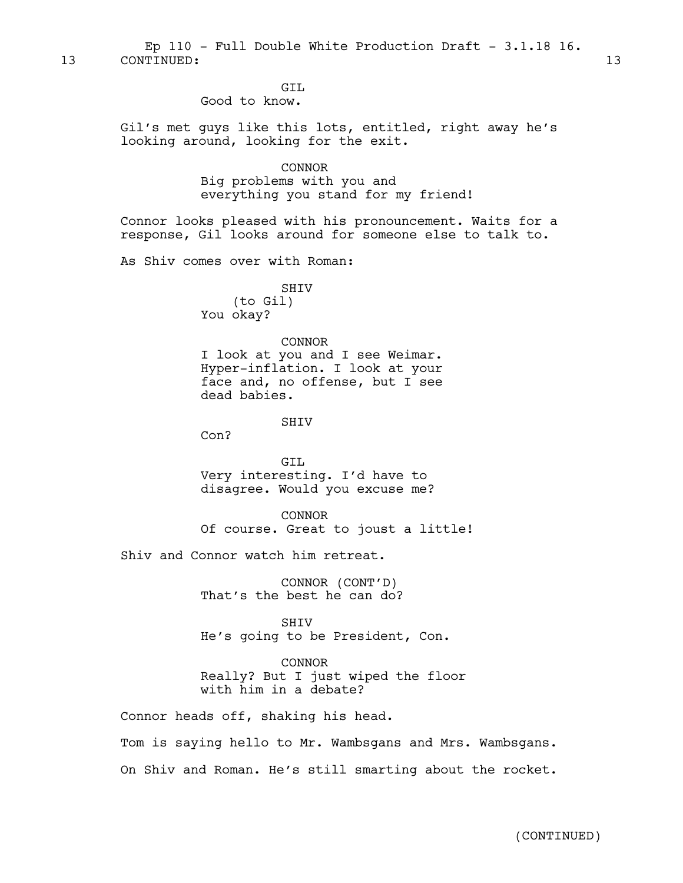13 CONTINUED: 13 Ep 110 - Full Double White Production Draft - 3.1.18 16.

GIL

Good to know.

Gil's met guys like this lots, entitled, right away he's looking around, looking for the exit.

CONNOR

Big problems with you and everything you stand for my friend!

Connor looks pleased with his pronouncement. Waits for a response, Gil looks around for someone else to talk to.

As Shiv comes over with Roman:

SHIV (to Gil) You okay?

#### CONNOR

I look at you and I see Weimar. Hyper-inflation. I look at your face and, no offense, but I see dead babies.

**SHTV** 

Con?

GIL Very interesting. I'd have to disagree. Would you excuse me?

CONNOR Of course. Great to joust a little!

Shiv and Connor watch him retreat.

CONNOR (CONT'D) That's the best he can do?

**SHTV** He's going to be President, Con.

CONNOR

Really? But I just wiped the floor with him in a debate?

Connor heads off, shaking his head.

Tom is saying hello to Mr. Wambsgans and Mrs. Wambsgans. On Shiv and Roman. He's still smarting about the rocket.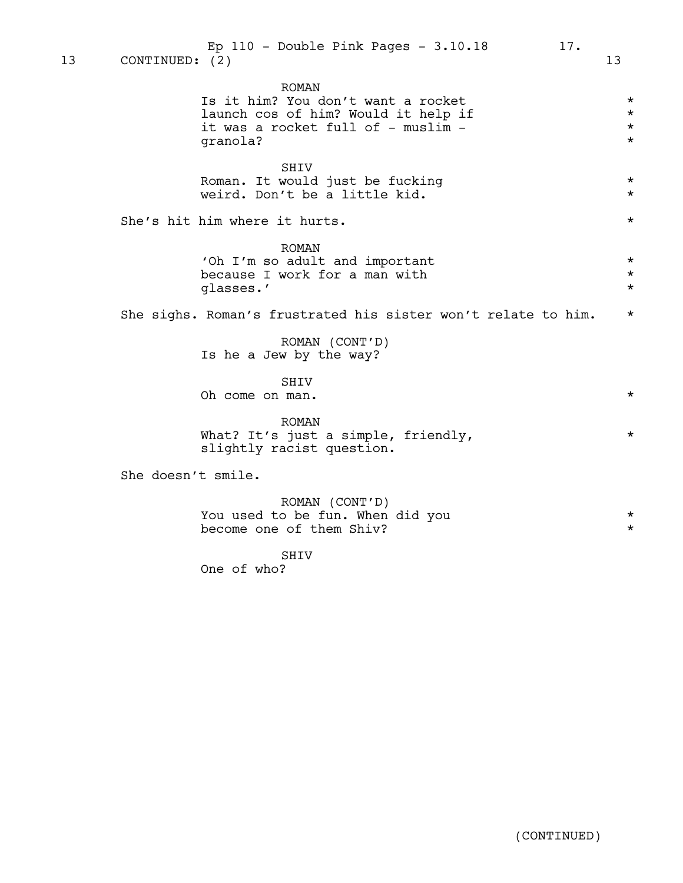| Ep $110$ - Double Pink Pages - $3.10.18$                                                                                                    | 17.                                                                   | 13                                                            |
|---------------------------------------------------------------------------------------------------------------------------------------------|-----------------------------------------------------------------------|---------------------------------------------------------------|
| <b>ROMAN</b><br>Is it him? You don't want a rocket<br>launch cos of him? Would it help if<br>it was a rocket full of - muslim -<br>granola? |                                                                       | $\star$<br>$\star$<br>$\star$<br>$\star$                      |
| SHIV<br>Roman. It would just be fucking<br>weird. Don't be a little kid.                                                                    |                                                                       | $\star$<br>$\star$                                            |
|                                                                                                                                             |                                                                       | $\star$                                                       |
| <b>ROMAN</b><br>'Oh I'm so adult and important<br>because I work for a man with<br>glasses.'                                                |                                                                       | $\star$<br>$\star$<br>$\star$                                 |
|                                                                                                                                             |                                                                       | $\star$                                                       |
| ROMAN (CONT'D)<br>Is he a Jew by the way?                                                                                                   |                                                                       |                                                               |
| SHIV<br>Oh come on man.                                                                                                                     |                                                                       | $\star$                                                       |
| <b>ROMAN</b><br>What? It's just a simple, friendly,<br>slightly racist question.                                                            |                                                                       | $\star$                                                       |
|                                                                                                                                             |                                                                       |                                                               |
| ROMAN (CONT'D)<br>You used to be fun. When did you<br>become one of them Shiv?                                                              |                                                                       | $\star$<br>$\star$                                            |
| SHTV<br>One of who?                                                                                                                         |                                                                       |                                                               |
|                                                                                                                                             |                                                                       |                                                               |
|                                                                                                                                             |                                                                       |                                                               |
|                                                                                                                                             |                                                                       |                                                               |
|                                                                                                                                             |                                                                       |                                                               |
|                                                                                                                                             | CONTINUED: (2)<br>She's hit him where it hurts.<br>She doesn't smile. | She sighs. Roman's frustrated his sister won't relate to him. |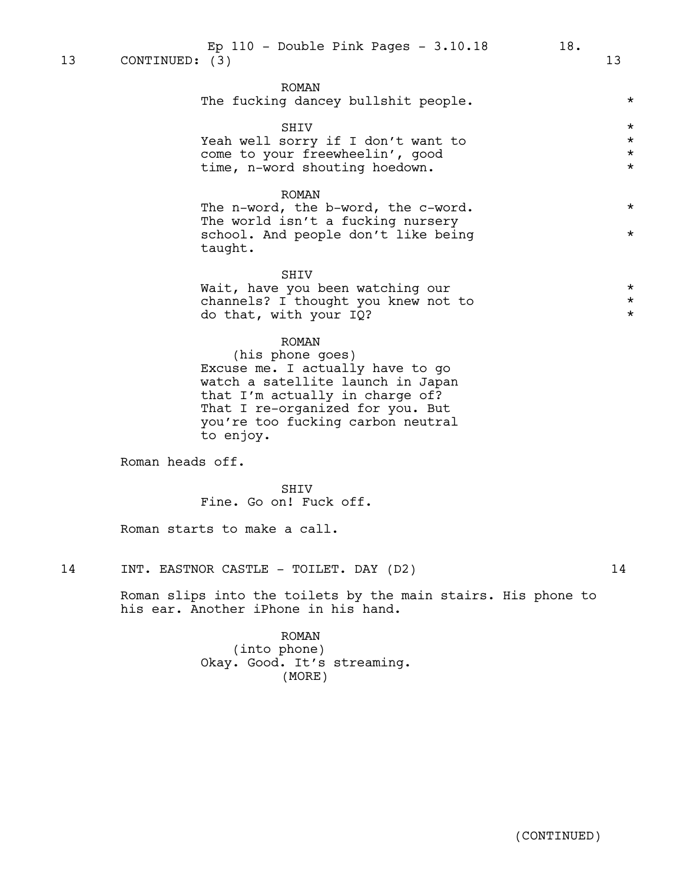|  |  |  | The fucking dancey bullshit people. |  |  |  |
|--|--|--|-------------------------------------|--|--|--|
|--|--|--|-------------------------------------|--|--|--|

#### SHIV  $\qquad$  \*

|  | Yeah well sorry if I don't want to |  |  |         |
|--|------------------------------------|--|--|---------|
|  | come to your freewheelin', good    |  |  | $\star$ |
|  | time, n-word shouting hoedown.     |  |  |         |

ROMAN

The n-word, the b-word, the c-word. \* The world isn't a fucking nursery school. And people don't like being  $*$ taught.

SHIV

Wait, have you been watching our  $\star$ <br>channels? I thought you knew not to  $\star$ channels? I thought you knew not to  $*$ <br>do that with your IO? do that, with your IQ? \*

#### ROMAN

(his phone goes) Excuse me. I actually have to go watch a satellite launch in Japan that I'm actually in charge of? That I re-organized for you. But you're too fucking carbon neutral to enjoy.

Roman heads off.

SHIV Fine. Go on! Fuck off.

Roman starts to make a call.

14 INT. EASTNOR CASTLE - TOILET. DAY (D2) 14

Roman slips into the toilets by the main stairs. His phone to his ear. Another iPhone in his hand.

> ROMAN (into phone) Okay. Good. It's streaming. (MORE)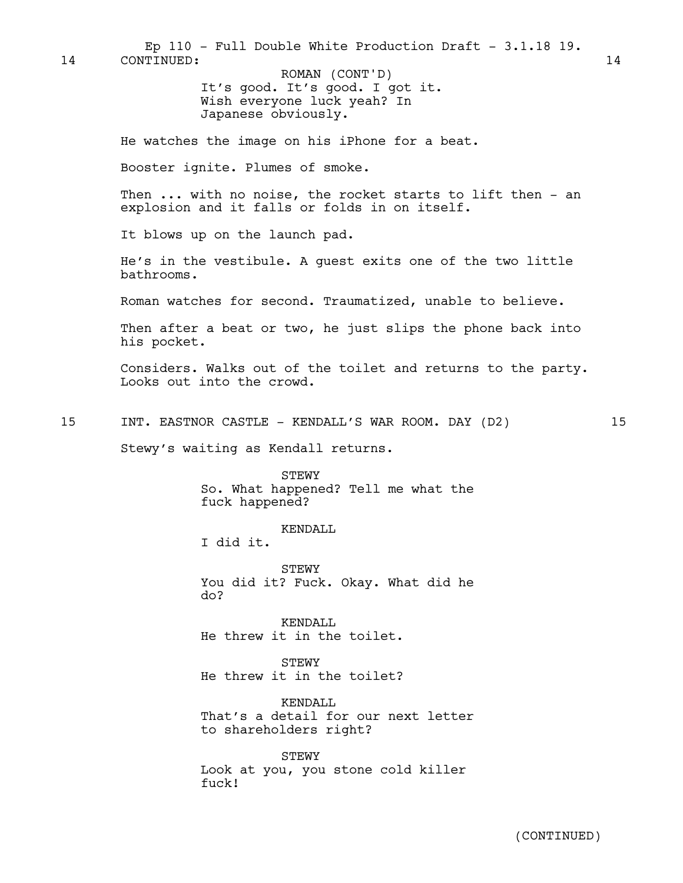It's good. It's good. I got it. Wish everyone luck yeah? In Japanese obviously. He watches the image on his iPhone for a beat. Booster ignite. Plumes of smoke. Then ... with no noise, the rocket starts to lift then - an explosion and it falls or folds in on itself. It blows up on the launch pad. 14 CONTINUED: 14 ROMAN (CONT'D) Ep 110 - Full Double White Production Draft - 3.1.18 19.

> He's in the vestibule. A guest exits one of the two little bathrooms.

Roman watches for second. Traumatized, unable to believe.

Then after a beat or two, he just slips the phone back into his pocket.

Considers. Walks out of the toilet and returns to the party. Looks out into the crowd.

15 INT. EASTNOR CASTLE - KENDALL'S WAR ROOM. DAY (D2) 15

Stewy's waiting as Kendall returns.

STEWY So. What happened? Tell me what the fuck happened?

KENDALL

I did it.

STEWY You did it? Fuck. Okay. What did he do?

KENDALL. He threw it in the toilet.

STEWY He threw it in the toilet?

KENDALL. That's a detail for our next letter to shareholders right?

STEWY Look at you, you stone cold killer fuck!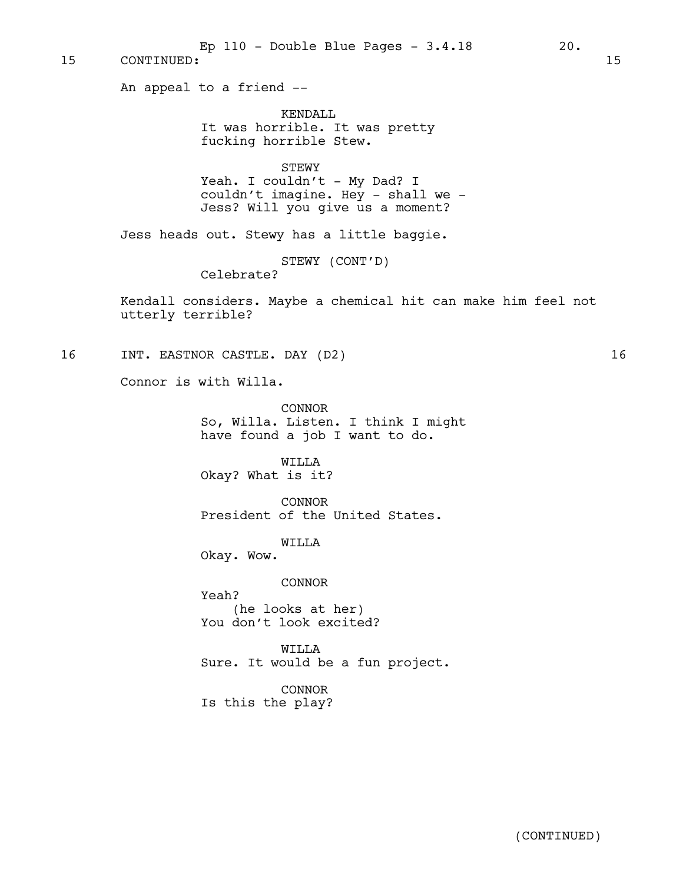An appeal to a friend -- KENDALL It was horrible. It was pretty fucking horrible Stew. STEWY Yeah. I couldn't - My Dad? I couldn't imagine. Hey - shall we -Jess? Will you give us a moment? Jess heads out. Stewy has a little baggie. STEWY (CONT'D) Celebrate? Kendall considers. Maybe a chemical hit can make him feel not utterly terrible? 16 INT. EASTNOR CASTLE. DAY (D2) 16 Connor is with Willa. CONNOR So, Willa. Listen. I think I might have found a job I want to do. WILLA Okay? What is it? CONNOR President of the United States. WILLA Okay. Wow. CONNOR Yeah? (he looks at her) You don't look excited? WILLA Sure. It would be a fun project. CONNOR Is this the play? 15 CONTINUED: 15 Ep  $110$  - Double Blue Pages -  $3.4.18$  20.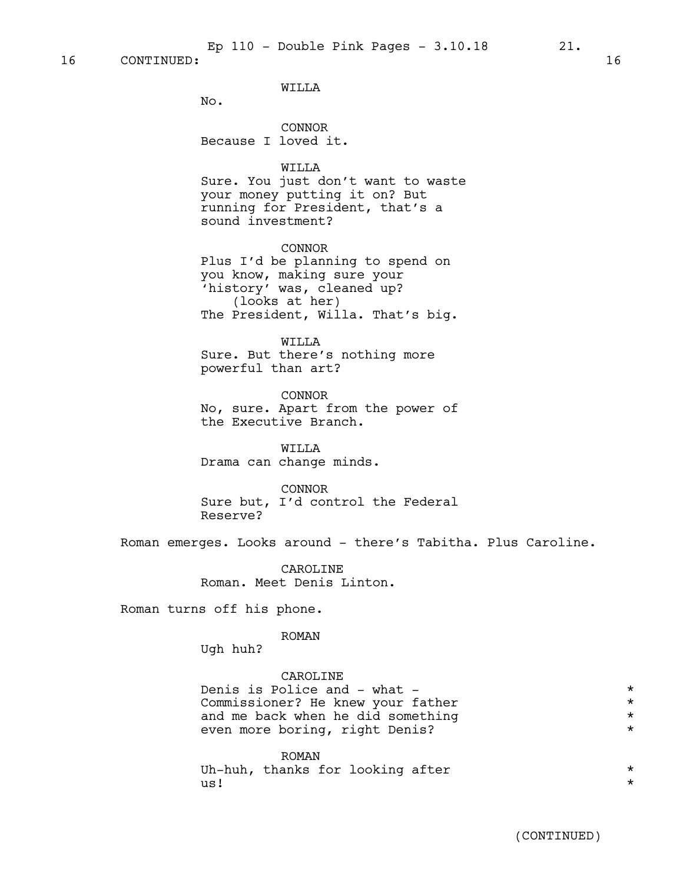WILLA

No.

CONNOR Because I loved it.

WILLA

Sure. You just don't want to waste your money putting it on? But running for President, that's a sound investment?

CONNOR Plus I'd be planning to spend on you know, making sure your 'history' was, cleaned up? (looks at her) The President, Willa. That's big.

WILLA

Sure. But there's nothing more powerful than art?

CONNOR No, sure. Apart from the power of the Executive Branch.

WILLA Drama can change minds.

CONNOR

Sure but, I'd control the Federal Reserve?

Roman emerges. Looks around - there's Tabitha. Plus Caroline.

CAROLINE Roman. Meet Denis Linton.

Roman turns off his phone.

#### ROMAN

Ugh huh?

CAROLINE

Denis is Police and - what -<br>Commissioner? He knew your father \* \* \* \* \* \* Commissioner? He knew your father and me back when he did something  $*$ <br>even more boring, right Denis? even more boring, right Denis? \*

ROMAN Uh-huh, thanks for looking after  $*$  $\mathsf{u}\mathsf{s}$ !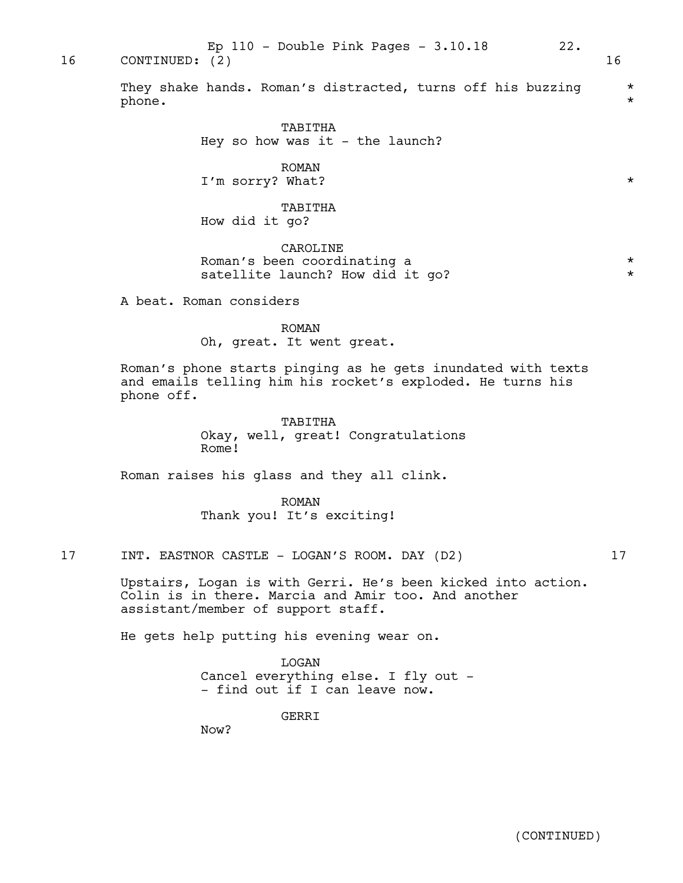Ep 110 - Double Pink Pages - 3.10.18 22.

16 CONTINUED: (2) 16

They shake hands. Roman's distracted, turns off his buzzing \*  $\mathsf{phone}\,.\qquad\qquad$ 

> TABITHA Hey so how was it  $-$  the launch?

ROMAN I'm sorry? What?  $\star$ 

TABITHA How did it go?

CAROLINE Roman's been coordinating a  $*$ satellite launch? How did it go?  $*$ 

A beat. Roman considers

ROMAN Oh, great. It went great.

Roman's phone starts pinging as he gets inundated with texts and emails telling him his rocket's exploded. He turns his phone off.

> TABITHA Okay, well, great! Congratulations Rome!

Roman raises his glass and they all clink.

ROMAN Thank you! It's exciting!

17 INT. EASTNOR CASTLE - LOGAN'S ROOM. DAY (D2) 17

Upstairs, Logan is with Gerri. He's been kicked into action. Colin is in there. Marcia and Amir too. And another assistant/member of support staff.

He gets help putting his evening wear on.

LOGAN Cancel everything else. I fly out - - find out if I can leave now.

**GERRT** 

Now?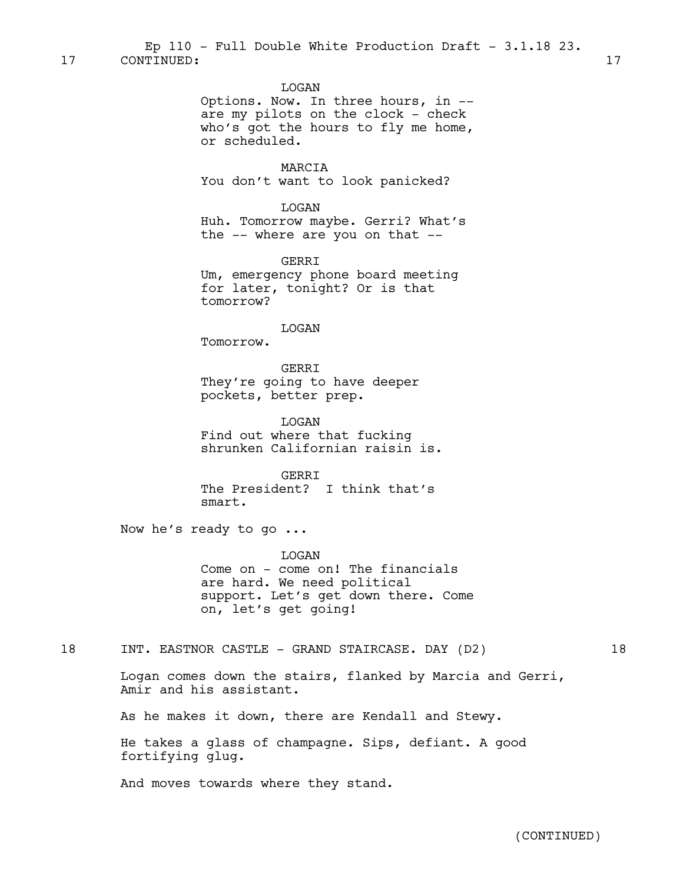LOGAN

Options. Now. In three hours, in - are my pilots on the clock - check who's got the hours to fly me home, or scheduled.

MARCIA You don't want to look panicked?

LOGAN Huh. Tomorrow maybe. Gerri? What's the -- where are you on that --

GERRI Um, emergency phone board meeting for later, tonight? Or is that tomorrow?

LOGAN

Tomorrow.

GERRI They're going to have deeper pockets, better prep.

LOGAN Find out where that fucking shrunken Californian raisin is.

**GERRT** The President? I think that's smart.

Now he's ready to go ...

LOGAN Come on - come on! The financials are hard. We need political support. Let's get down there. Come on, let's get going!

18 INT. EASTNOR CASTLE - GRAND STAIRCASE. DAY (D2) 18

Logan comes down the stairs, flanked by Marcia and Gerri, Amir and his assistant.

As he makes it down, there are Kendall and Stewy.

He takes a glass of champagne. Sips, defiant. A good fortifying glug.

And moves towards where they stand.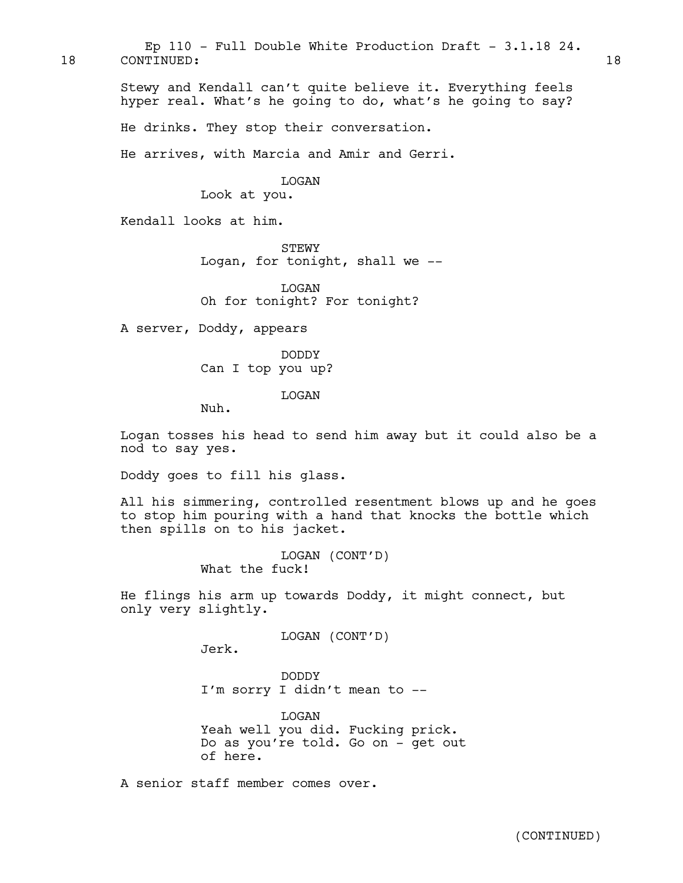Stewy and Kendall can't quite believe it. Everything feels hyper real. What's he going to do, what's he going to say? He drinks. They stop their conversation. He arrives, with Marcia and Amir and Gerri. LOGAN Look at you. Kendall looks at him. **STEWY** Logan, for tonight, shall we -- LOGAN Oh for tonight? For tonight? A server, Doddy, appears DODDY Can I top you up? LOGAN Nuh. 18 CONTINUED: 18 Ep 110 - Full Double White Production Draft -  $3.1.18$  24.

> Logan tosses his head to send him away but it could also be a nod to say yes.

Doddy goes to fill his glass.

All his simmering, controlled resentment blows up and he goes to stop him pouring with a hand that knocks the bottle which then spills on to his jacket.

> LOGAN (CONT'D) What the fuck!

He flings his arm up towards Doddy, it might connect, but only very slightly.

LOGAN (CONT'D)

Jerk.

DODDY I'm sorry I didn't mean to --

LOGAN Yeah well you did. Fucking prick. Do as you're told. Go on - get out of here.

A senior staff member comes over.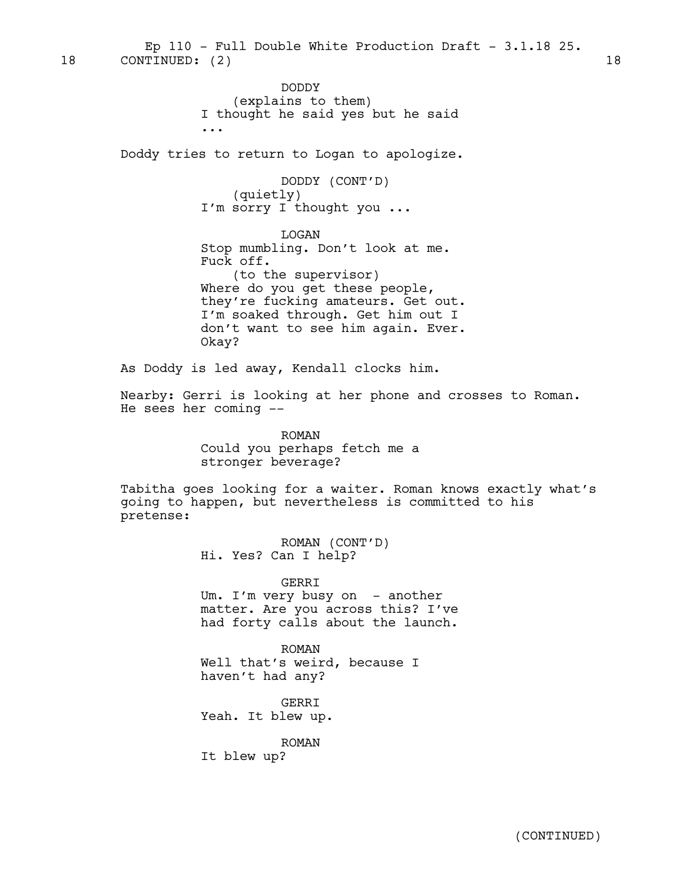18 CONTINUED: (2) 18 Ep  $110$  - Full Double White Production Draft -  $3.1.18$  25.

> DODDY (explains to them) I thought he said yes but he said ...

Doddy tries to return to Logan to apologize.

DODDY (CONT'D) (quietly) I'm sorry I thought you ...

LOGAN Stop mumbling. Don't look at me. Fuck off. (to the supervisor) Where do you get these people, they're fucking amateurs. Get out. I'm soaked through. Get him out I don't want to see him again. Ever.

As Doddy is led away, Kendall clocks him.

Okay?

Nearby: Gerri is looking at her phone and crosses to Roman. He sees her coming --

> ROMAN Could you perhaps fetch me a stronger beverage?

Tabitha goes looking for a waiter. Roman knows exactly what's going to happen, but nevertheless is committed to his pretense:

> ROMAN (CONT'D) Hi. Yes? Can I help?

GERRI Um. I'm very busy on - another matter. Are you across this? I've had forty calls about the launch.

ROMAN Well that's weird, because I haven't had any?

GERRI Yeah. It blew up.

ROMAN

It blew up?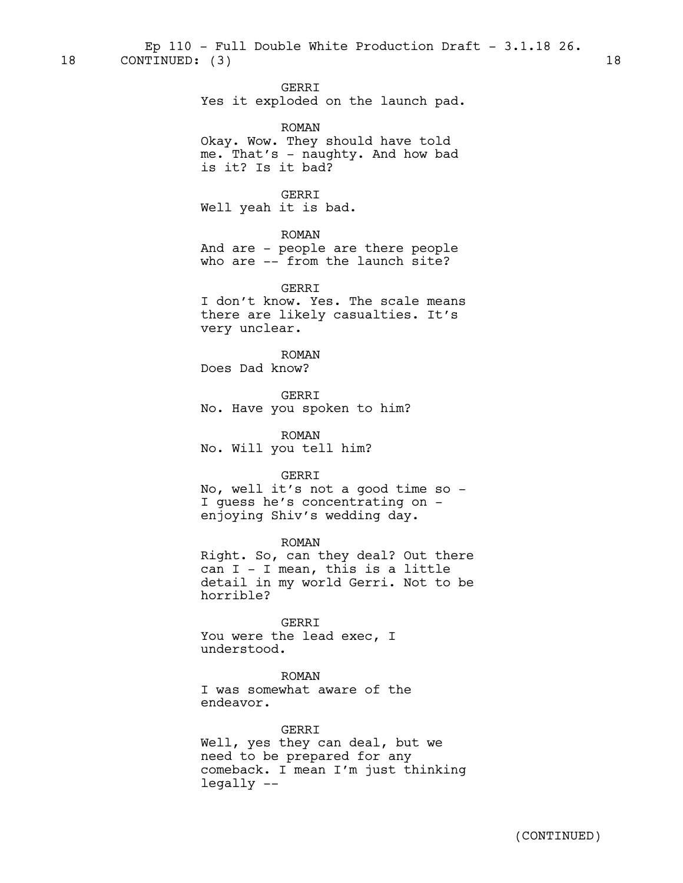18 CONTINUED: (3) 18 Ep  $110$  - Full Double White Production Draft -  $3.1.18$  26.

GERRI

Yes it exploded on the launch pad.

ROMAN

Okay. Wow. They should have told me. That's - naughty. And how bad is it? Is it bad?

GERRI

Well yeah it is bad.

ROMAN

And are - people are there people who are -- from the launch site?

GERRI I don't know. Yes. The scale means there are likely casualties. It's very unclear.

ROMAN Does Dad know?

GERRI No. Have you spoken to him?

ROMAN No. Will you tell him?

#### GERRI

No, well it's not a good time so - I guess he's concentrating on enjoying Shiv's wedding day.

ROMAN

Right. So, can they deal? Out there can I - I mean, this is a little detail in my world Gerri. Not to be horrible?

GERRI

You were the lead exec, I understood.

#### ROMAN

I was somewhat aware of the endeavor.

GERRI

Well, yes they can deal, but we need to be prepared for any comeback. I mean I'm just thinking legally --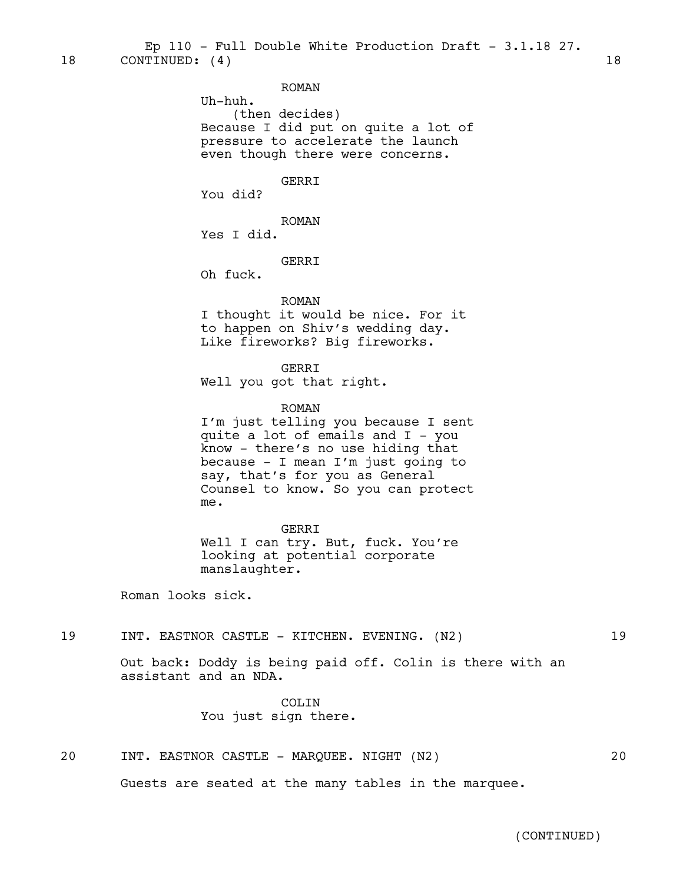#### ROMAN

Uh-huh.

(then decides) Because I did put on quite a lot of pressure to accelerate the launch even though there were concerns.

#### GERRI

You did?

ROMAN Yes I did.

GERRI

Oh fuck.

#### ROMAN

I thought it would be nice. For it to happen on Shiv's wedding day. Like fireworks? Big fireworks.

GERRI Well you got that right.

ROMAN

I'm just telling you because I sent quite a lot of emails and I - you know - there's no use hiding that because - I mean I'm just going to say, that's for you as General Counsel to know. So you can protect me.

GERRI

Well I can try. But, fuck. You're looking at potential corporate manslaughter.

Roman looks sick.

#### 19 INT. EASTNOR CASTLE - KITCHEN. EVENING. (N2) 19

Out back: Doddy is being paid off. Colin is there with an assistant and an NDA.

> COLIN You just sign there.

#### 20 INT. EASTNOR CASTLE - MARQUEE. NIGHT (N2) 20

Guests are seated at the many tables in the marquee.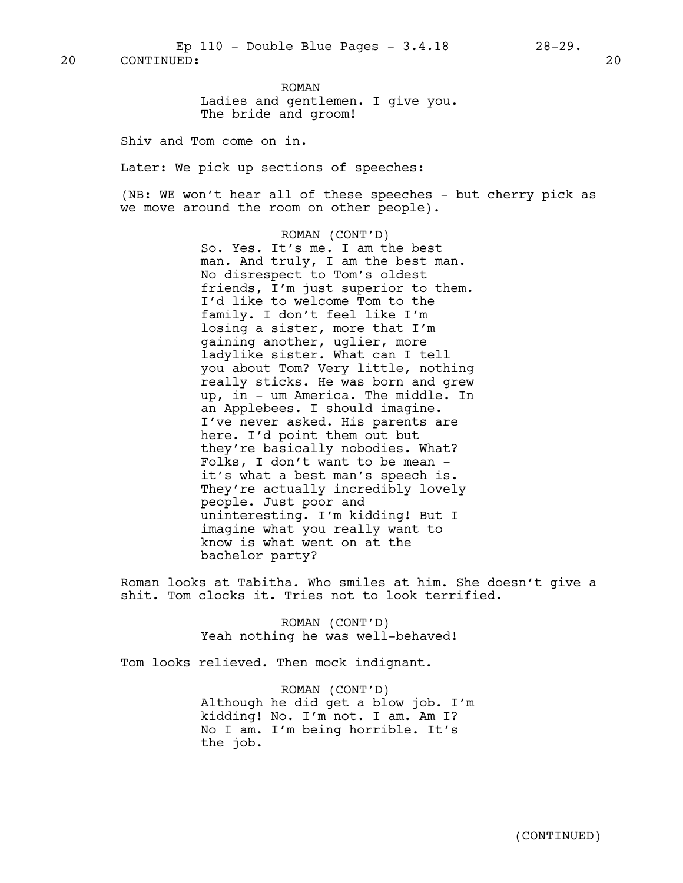ROMAN Ladies and gentlemen. I give you. The bride and groom!

Shiv and Tom come on in.

Later: We pick up sections of speeches:

(NB: WE won't hear all of these speeches - but cherry pick as we move around the room on other people).

> ROMAN (CONT'D) So. Yes. It's me. I am the best man. And truly, I am the best man. No disrespect to Tom's oldest friends, I'm just superior to them. I'd like to welcome Tom to the family. I don't feel like I'm losing a sister, more that I'm gaining another, uglier, more ladylike sister. What can I tell you about Tom? Very little, nothing really sticks. He was born and grew up, in - um America. The middle. In an Applebees. I should imagine. I've never asked. His parents are here. I'd point them out but they're basically nobodies. What? Folks, I don't want to be mean it's what a best man's speech is. They're actually incredibly lovely people. Just poor and uninteresting. I'm kidding! But I imagine what you really want to know is what went on at the bachelor party?

Roman looks at Tabitha. Who smiles at him. She doesn't give a shit. Tom clocks it. Tries not to look terrified.

> ROMAN (CONT'D) Yeah nothing he was well-behaved!

Tom looks relieved. Then mock indignant.

ROMAN (CONT'D) Although he did get a blow job. I'm kidding! No. I'm not. I am. Am I? No I am. I'm being horrible. It's the job.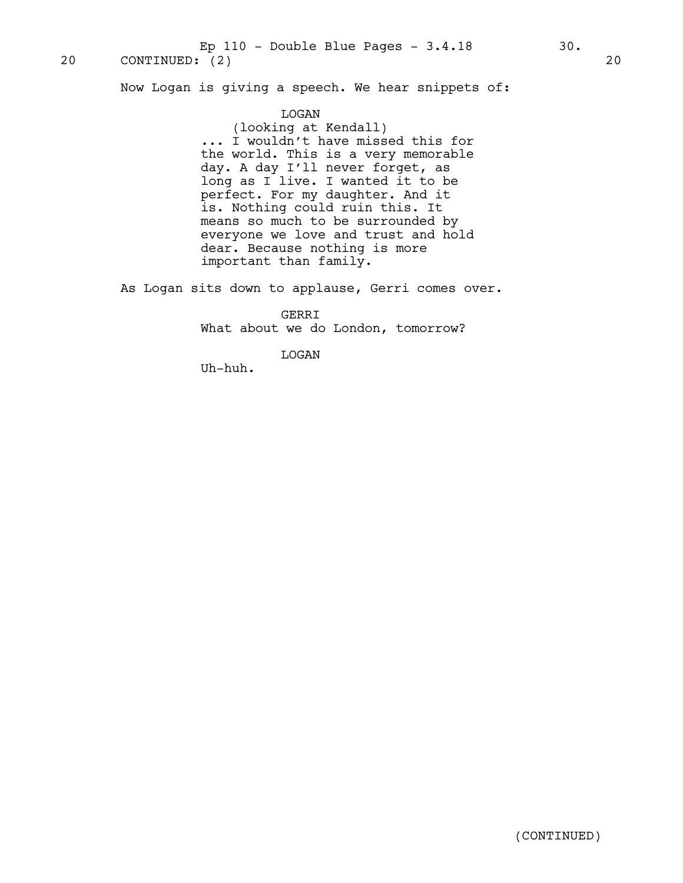20 CONTINUED: (2) 20 Ep 110 - Double Blue Pages - 3.4.18 30.

Now Logan is giving a speech. We hear snippets of:

#### LOGAN

(looking at Kendall) ... I wouldn't have missed this for the world. This is a very memorable day. A day I'll never forget, as long as I live. I wanted it to be perfect. For my daughter. And it is. Nothing could ruin this. It means so much to be surrounded by everyone we love and trust and hold dear. Because nothing is more important than family.

As Logan sits down to applause, Gerri comes over.

GERRI What about we do London, tomorrow?

LOGAN

Uh-huh.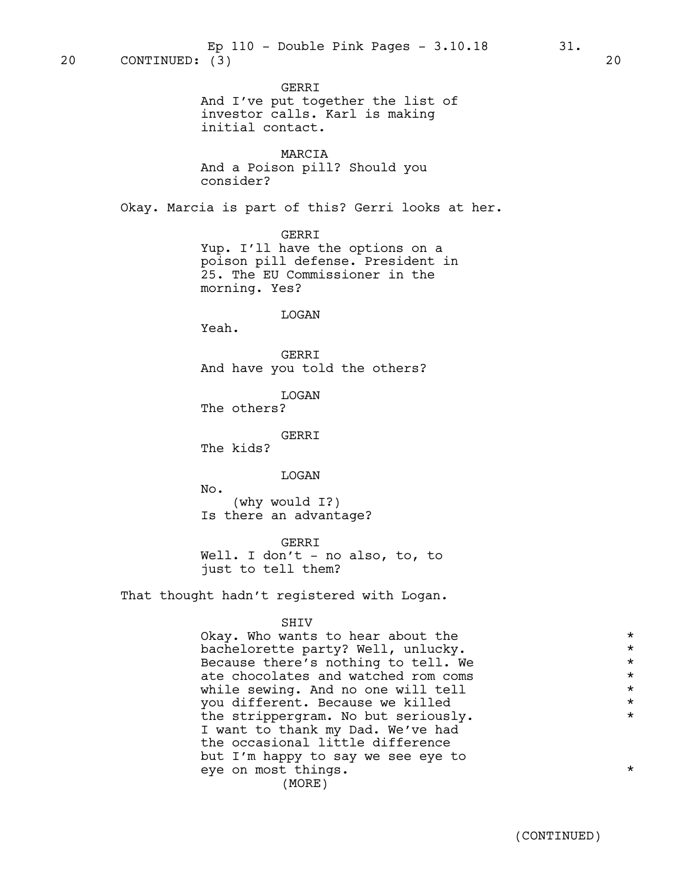GERRI And I've put together the list of investor calls. Karl is making initial contact.

MARCIA And a Poison pill? Should you consider?

Okay. Marcia is part of this? Gerri looks at her.

GERRI

Yup. I'll have the options on a poison pill defense. President in 25. The EU Commissioner in the morning. Yes?

LOGAN

Yeah.

GERRI And have you told the others?

LOGAN The others?

GERRI

The kids?

LOGAN

No.

(why would I?) Is there an advantage?

GERRI Well. I don't - no also, to, to just to tell them?

That thought hadn't registered with Logan.

#### SHIV

Okay. Who wants to hear about the  $*$ bachelorette party? Well, unlucky. \* Because there's nothing to tell. We  $*$ <br>ate chocolates and watched rom coms  $*$ ate chocolates and watched rom coms while sewing. And no one will tell  $\star$ <br>
you different. Because we killed  $\star$ you different. Because we killed \* the strippergram. No but seriously**.** \* I want to thank my Dad. We've had the occasional little difference but I'm happy to say we see eye to eye on most things.  $\star$ (MORE)

(CONTINUED)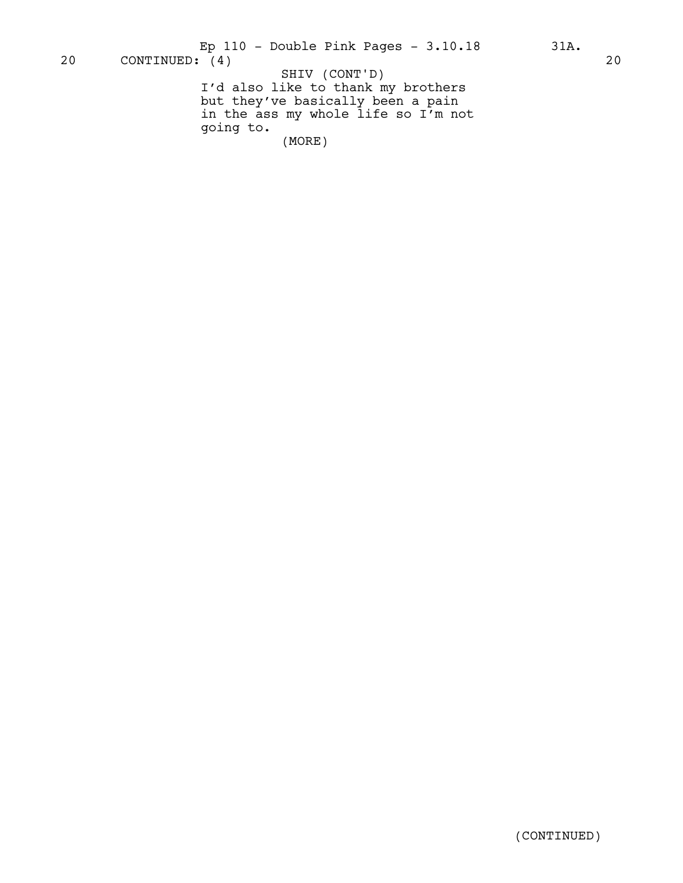I'd also like to thank my brothers but they've basically been a pain in the ass my whole life so I'm not going to. (MORE)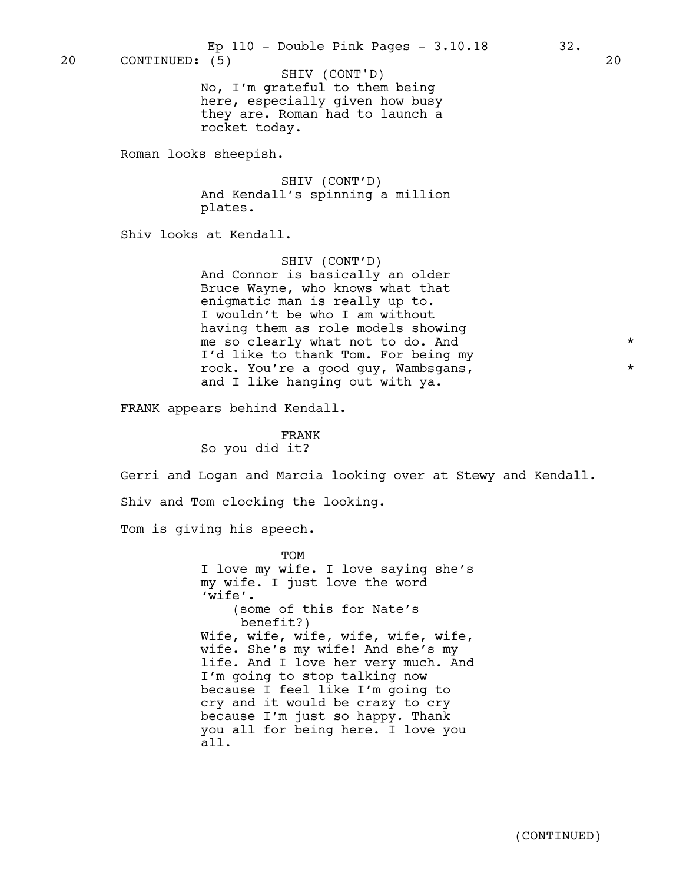20 CONTINUED: (5) 20

SHIV (CONT'D)

No, I'm grateful to them being here, especially given how busy they are. Roman had to launch a rocket today.

Roman looks sheepish.

SHIV (CONT'D) And Kendall's spinning a million plates.

Shiv looks at Kendall.

SHIV (CONT'D)

And Connor is basically an older Bruce Wayne, who knows what that enigmatic man is really up to. I wouldn't be who I am without having them as role models showing me so clearly what not to do. And \* I'd like to thank Tom. For being my rock. You're a good guy, Wambsgans, and I like hanging out with ya.

FRANK appears behind Kendall.

FRANK So you did it?

Gerri and Logan and Marcia looking over at Stewy and Kendall.

Shiv and Tom clocking the looking.

Tom is giving his speech.

TOM I love my wife. I love saying she's my wife. I just love the word 'wife'. (some of this for Nate's benefit?) Wife, wife, wife, wife, wife, wife, wife. She's my wife! And she's my life. And I love her very much. And I'm going to stop talking now because I feel like I'm going to cry and it would be crazy to cry because I'm just so happy. Thank you all for being here. I love you all.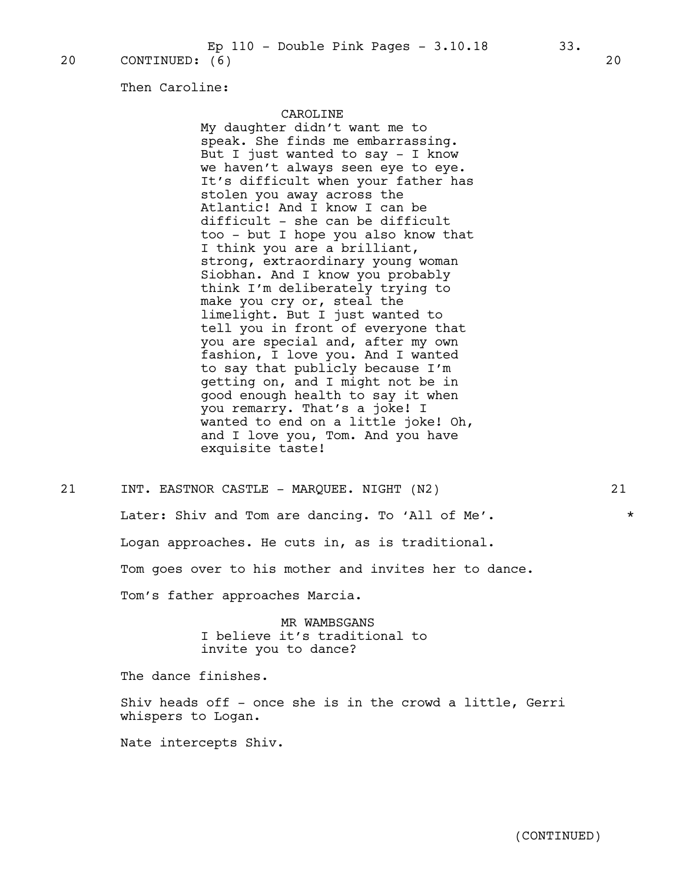Then Caroline:

#### CAROLINE

My daughter didn't want me to speak. She finds me embarrassing. But I just wanted to say - I know we haven't always seen eye to eye. It's difficult when your father has stolen you away across the Atlantic! And I know I can be difficult - she can be difficult too - but I hope you also know that I think you are a brilliant, strong, extraordinary young woman Siobhan. And I know you probably think I'm deliberately trying to make you cry or, steal the limelight. But I just wanted to tell you in front of everyone that you are special and, after my own fashion, I love you. And I wanted to say that publicly because I'm getting on, and I might not be in good enough health to say it when you remarry. That's a joke! I wanted to end on a little joke! Oh, and I love you, Tom. And you have exquisite taste!

21 INT. EASTNOR CASTLE - MARQUEE. NIGHT (N2) 21 Later: Shiv and Tom are dancing. To 'All of Me'.  $*$ Logan approaches. He cuts in, as is traditional. Tom goes over to his mother and invites her to dance. Tom's father approaches Marcia.

> MR WAMBSGANS I believe it's traditional to invite you to dance?

The dance finishes.

Shiv heads off - once she is in the crowd a little, Gerri whispers to Logan.

Nate intercepts Shiv.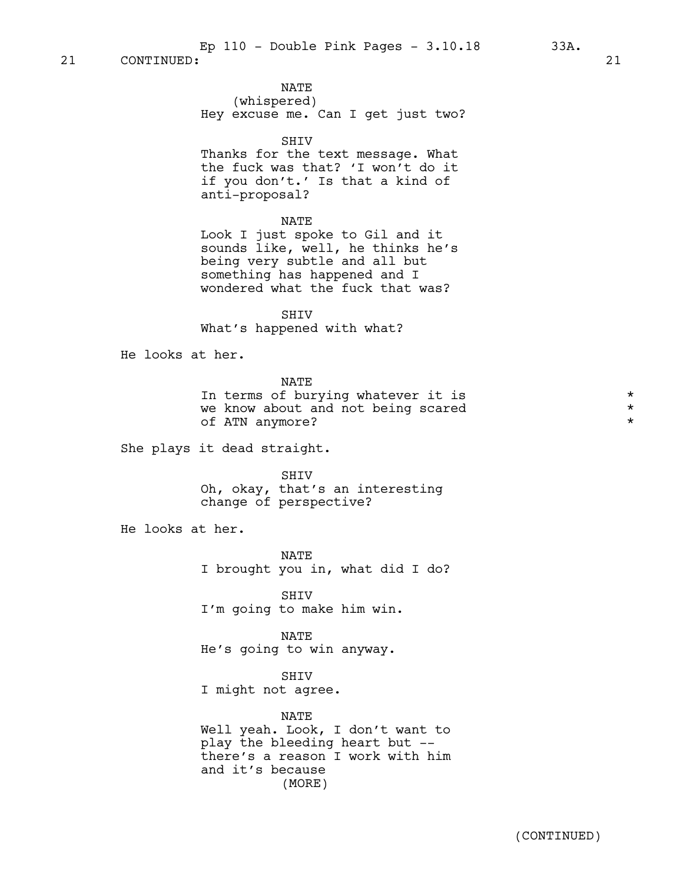NATE (whispered) Hey excuse me. Can I get just two?

SHIV

Thanks for the text message. What the fuck was that? 'I won't do it if you don't.' Is that a kind of anti-proposal?

#### NATE

Look I just spoke to Gil and it sounds like, well, he thinks he's being very subtle and all but something has happened and I wondered what the fuck that was?

SHIV What's happened with what?

He looks at her.

NATE

In terms of burying whatever it is  $\star$ <br>We know about and not being scared  $\star$ we know about and not being scared of ATN anymore? \*

She plays it dead straight.

SHIV Oh, okay, that's an interesting change of perspective?

He looks at her.

NATE I brought you in, what did I do?

SHIV I'm going to make him win.

NATE He's going to win anyway.

SHIV I might not agree.

## NATE

Well yeah. Look, I don't want to play the bleeding heart but - there's a reason I work with him and it's because (MORE)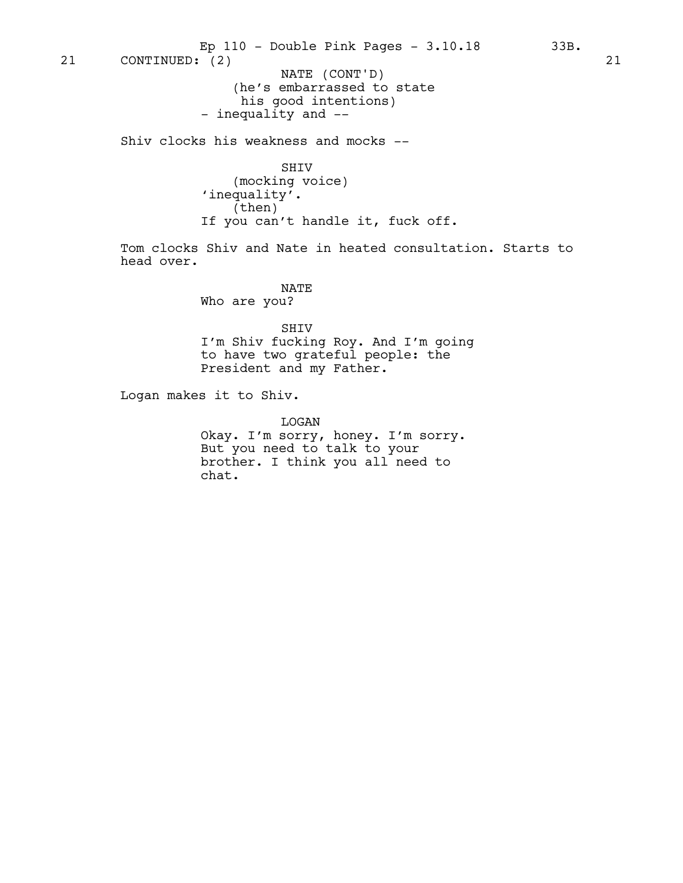21 CONTINUED: (2) 21 NATE (CONT'D) Ep 110 - Double Pink Pages - 3.10.18 33B.

(he's embarrassed to state his good intentions) - inequality and --

Shiv clocks his weakness and mocks --

SHIV (mocking voice) 'inequality'. (then) If you can't handle it, fuck off.

Tom clocks Shiv and Nate in heated consultation. Starts to head over.

> NATE Who are you?

SHIV I'm Shiv fucking Roy. And I'm going to have two grateful people: the President and my Father.

Logan makes it to Shiv.

LOGAN Okay. I'm sorry, honey. I'm sorry. But you need to talk to your brother. I think you all need to chat.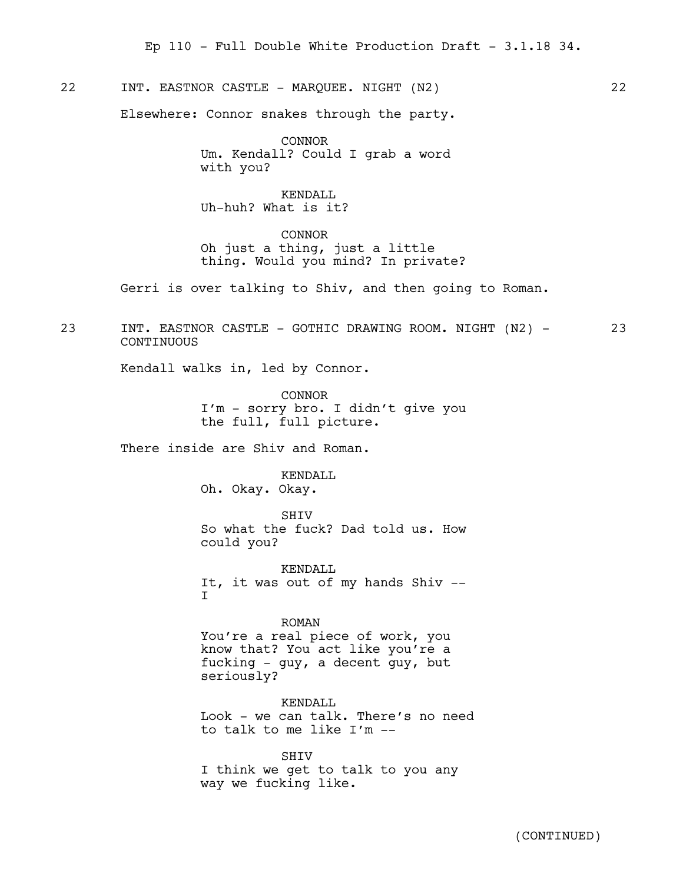## 22 INT. EASTNOR CASTLE - MARQUEE. NIGHT (N2) 22

Elsewhere: Connor snakes through the party.

CONNOR Um. Kendall? Could I grab a word with you?

KENDALL Uh-huh? What is it?

CONNOR Oh just a thing, just a little thing. Would you mind? In private?

Gerri is over talking to Shiv, and then going to Roman.

23 INT. EASTNOR CASTLE - GOTHIC DRAWING ROOM. NIGHT (N2) - 23 **CONTINUOUS** 

Kendall walks in, led by Connor.

CONNOR I'm - sorry bro. I didn't give you the full, full picture.

There inside are Shiv and Roman.

KENDALL Oh. Okay. Okay.

**SHIV** So what the fuck? Dad told us. How could you?

KENDALL. It, it was out of my hands Shiv -- I

#### ROMAN

You're a real piece of work, you know that? You act like you're a fucking - guy, a decent guy, but seriously?

KENDALL Look - we can talk. There's no need to talk to me like I'm --

SHIV I think we get to talk to you any way we fucking like.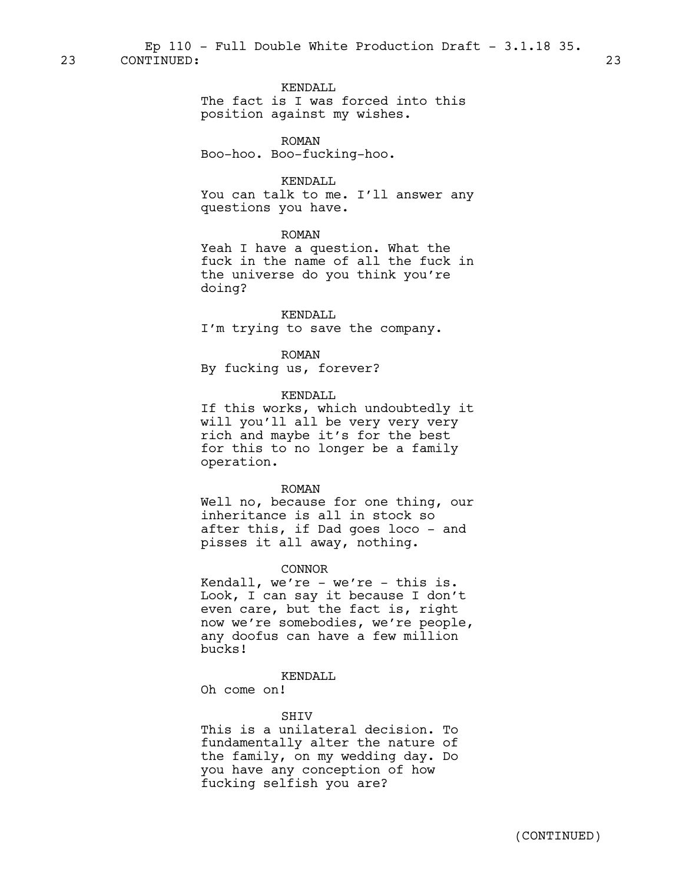## KENDALL

The fact is I was forced into this position against my wishes.

## ROMAN

Boo-hoo. Boo-fucking-hoo.

## KENDALL

You can talk to me. I'll answer any questions you have.

#### ROMAN

Yeah I have a question. What the fuck in the name of all the fuck in the universe do you think you're doing?

#### KENDALL

I'm trying to save the company.

## ROMAN

By fucking us, forever?

## KENDALL

If this works, which undoubtedly it will you'll all be very very very rich and maybe it's for the best for this to no longer be a family operation.

#### ROMAN

Well no, because for one thing, our inheritance is all in stock so after this, if Dad goes loco - and pisses it all away, nothing.

## CONNOR

Kendall, we're - we're - this is. Look, I can say it because I don't even care, but the fact is, right now we're somebodies, we're people, any doofus can have a few million bucks!

## KENDALL

Oh come on!

#### **SHTV**

This is a unilateral decision. To fundamentally alter the nature of the family, on my wedding day. Do you have any conception of how fucking selfish you are?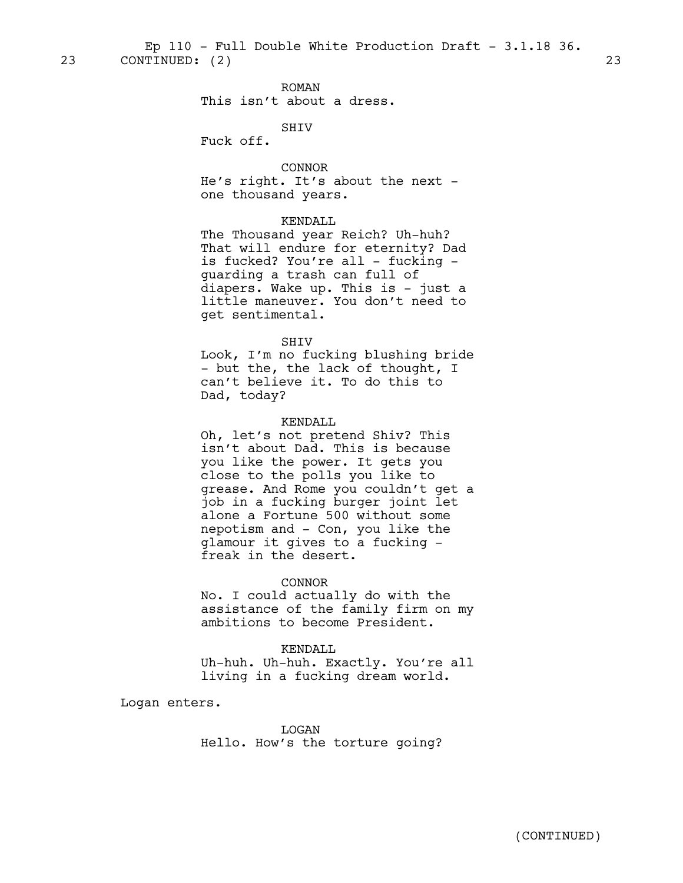23 CONTINUED: (2) 23 Ep  $110$  - Full Double White Production Draft -  $3.1.18$   $36.$ 

ROMAN

This isn't about a dress.

SHIV

Fuck off.

CONNOR He's right. It's about the next one thousand years.

## KENDALL

The Thousand year Reich? Uh-huh? That will endure for eternity? Dad is fucked? You're all - fucking guarding a trash can full of diapers. Wake up. This is - just a little maneuver. You don't need to get sentimental.

#### SHIV

Look, I'm no fucking blushing bride - but the, the lack of thought, I can't believe it. To do this to Dad, today?

## KENDALL

Oh, let's not pretend Shiv? This isn't about Dad. This is because you like the power. It gets you close to the polls you like to grease. And Rome you couldn't get a job in a fucking burger joint let alone a Fortune 500 without some nepotism and - Con, you like the glamour it gives to a fucking freak in the desert.

## CONNOR

No. I could actually do with the assistance of the family firm on my ambitions to become President.

## KENDALL

Uh-huh. Uh-huh. Exactly. You're all living in a fucking dream world.

Logan enters.

LOGAN Hello. How's the torture going?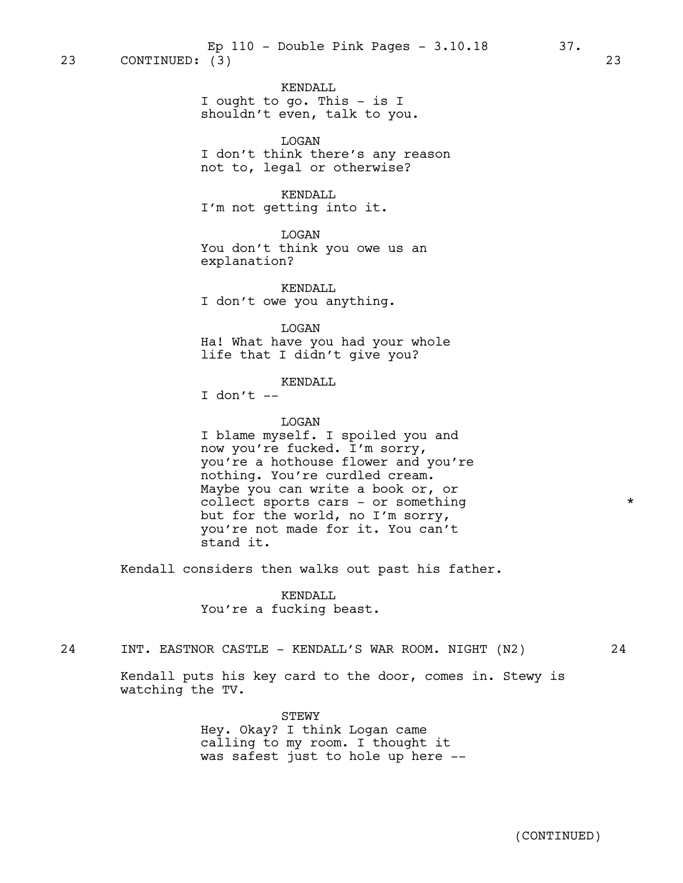KENDALL I ought to go. This - is I shouldn't even, talk to you.

LOGAN I don't think there's any reason not to, legal or otherwise?

## KENDALL

I'm not getting into it.

LOGAN

You don't think you owe us an explanation?

KENDALL I don't owe you anything.

LOGAN

Ha! What have you had your whole life that I didn't give you?

### KENDALL

I don't  $-$ 

watching the TV.

## LOGAN

I blame myself. I spoiled you and now you're fucked. I'm sorry, you're a hothouse flower and you're nothing. You're curdled cream. Maybe you can write a book or, or collect sports cars - or something  $*$ but for the world, no I'm sorry, you're not made for it. You can't stand it.

Kendall considers then walks out past his father.

KENDALL You're a fucking beast.

24 INT. EASTNOR CASTLE - KENDALL'S WAR ROOM. NIGHT (N2) 24

Kendall puts his key card to the door, comes in. Stewy is

STEWY Hey. Okay? I think Logan came calling to my room. I thought it was safest just to hole up here --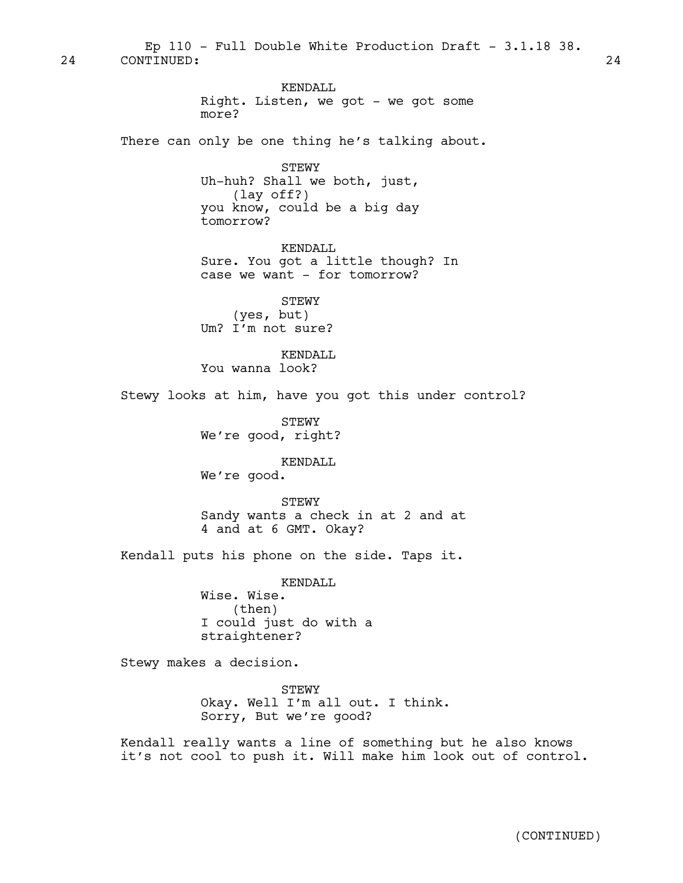24 CONTINUED: 24 Ep  $110$  - Full Double White Production Draft -  $3.1.18$   $38.$ 

> KENDALL Right. Listen, we got - we got some more?

There can only be one thing he's talking about.

STEWY Uh-huh? Shall we both, just, (lay off?) you know, could be a big day tomorrow?

KENDALL Sure. You got a little though? In case we want - for tomorrow?

STEWY (yes, but) Um? I'm not sure?

KENDALL You wanna look?

Stewy looks at him, have you got this under control?

STEWY We're good, right?

KENDALL

We're good.

STEWY Sandy wants a check in at 2 and at 4 and at 6 GMT. Okay?

Kendall puts his phone on the side. Taps it.

KENDALL Wise. Wise. (then) I could just do with a straightener?

Stewy makes a decision.

**STEWY** Okay. Well I'm all out. I think. Sorry, But we're good?

Kendall really wants a line of something but he also knows it's not cool to push it. Will make him look out of control.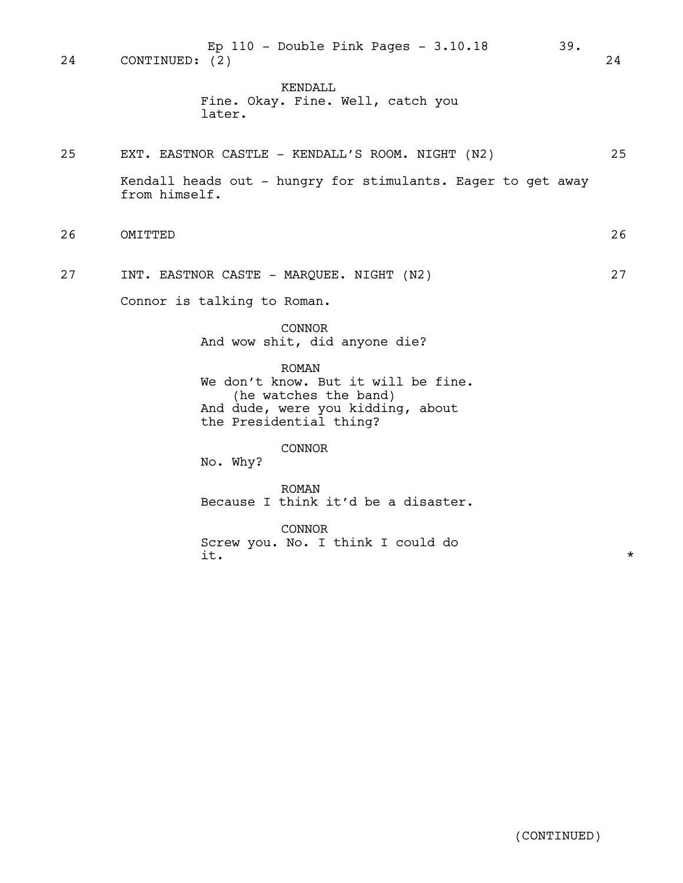24 CONTINUED: (2) 24 Ep 110 - Double Pink Pages - 3.10.18 39.

> KENDALL Fine. Okay. Fine. Well, catch you later.

25 EXT. EASTNOR CASTLE - KENDALL'S ROOM. NIGHT (N2) 25 Kendall heads out - hungry for stimulants. Eager to get away from himself.

- 26 OMITTED 26
- 27 INT. EASTNOR CASTE MARQUEE. NIGHT (N2) 27

Connor is talking to Roman.

CONNOR And wow shit, did anyone die?

CONNOR

ROMAN We don't know. But it will be fine. (he watches the band) And dude, were you kidding, about the Presidential thing?

No. Why?

ROMAN Because I think it'd be a disaster.

CONNOR Screw you. No. I think I could do  $\pm$   $\star$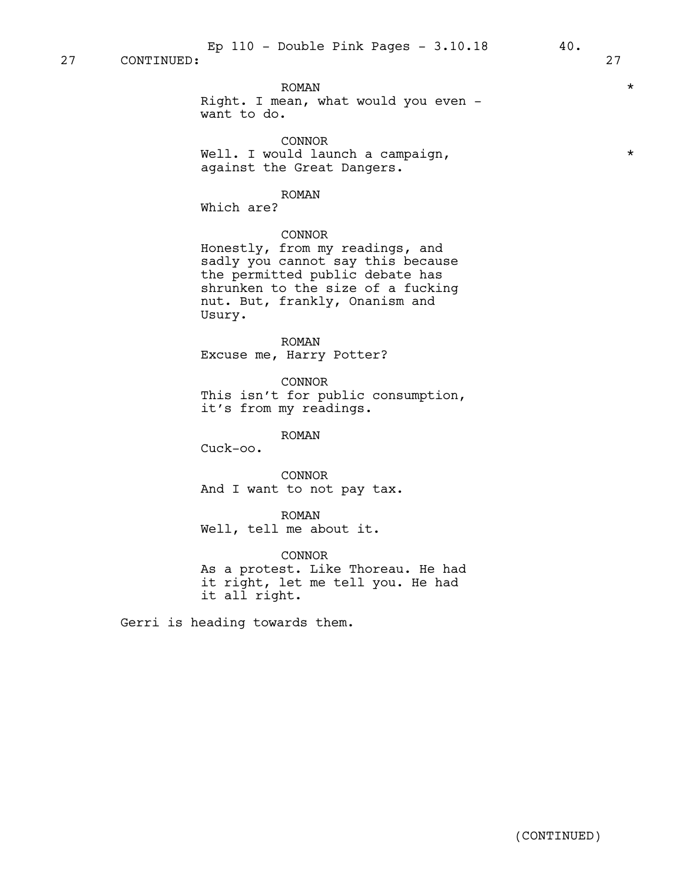$\text{ROMAN}$   $\text{*}$ Right. I mean, what would you even want to do.

CONNOR Well. I would launch a campaign,  $*$ against the Great Dangers.

#### ROMAN

Which are?

## CONNOR

Honestly, from my readings, and sadly you cannot say this because the permitted public debate has shrunken to the size of a fucking nut. But, frankly, Onanism and Usury.

ROMAN Excuse me, Harry Potter?

CONNOR This isn't for public consumption, it's from my readings.

ROMAN

Cuck-oo.

CONNOR And I want to not pay tax.

ROMAN Well, tell me about it.

CONNOR As a protest. Like Thoreau. He had it right, let me tell you. He had it all right.

Gerri is heading towards them.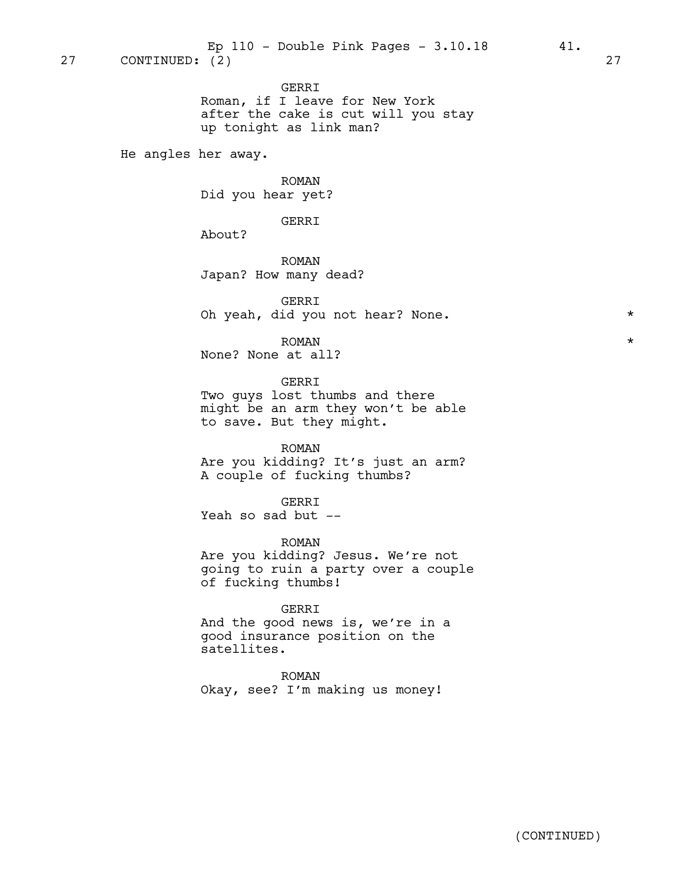GERRI Roman, if I leave for New York after the cake is cut will you stay up tonight as link man?

He angles her away.

ROMAN Did you hear yet?

GERRI

About?

ROMAN Japan? How many dead?

GERRI Oh yeah, did you not hear? None. \*

 $\text{ROMAN}$   $\text{*}$ None? None at all?

GERRI Two guys lost thumbs and there might be an arm they won't be able

ROMAN Are you kidding? It's just an arm? A couple of fucking thumbs?

GERRI Yeah so sad but --

to save. But they might.

ROMAN Are you kidding? Jesus. We're not going to ruin a party over a couple of fucking thumbs!

GERRI And the good news is, we're in a good insurance position on the satellites.

ROMAN Okay, see? I'm making us money!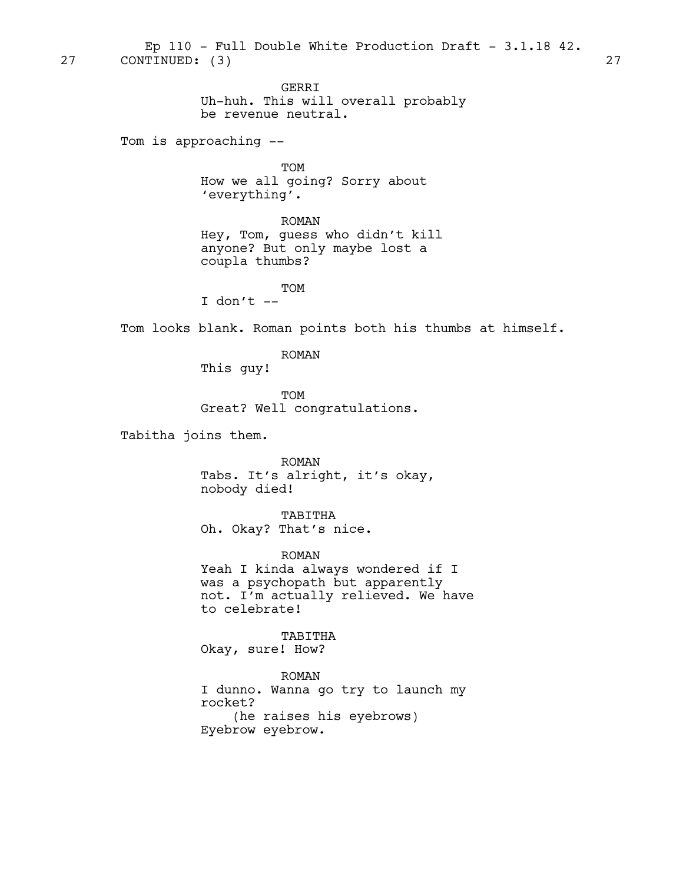GERRI Uh-huh. This will overall probably be revenue neutral. Tom is approaching -- TOM How we all going? Sorry about 'everything'. ROMAN Hey, Tom, guess who didn't kill anyone? But only maybe lost a coupla thumbs? TOM I don't  $-$ Tom looks blank. Roman points both his thumbs at himself. ROMAN This guy! TOM Great? Well congratulations. Tabitha joins them. ROMAN Tabs. It's alright, it's okay, nobody died! TABITHA 27 CONTINUED: (3) 27 Ep 110 - Full Double White Production Draft - 3.1.18 42.

Oh. Okay? That's nice.

ROMAN Yeah I kinda always wondered if I was a psychopath but apparently not. I'm actually relieved. We have to celebrate!

TABITHA Okay, sure! How?

ROMAN I dunno. Wanna go try to launch my rocket? (he raises his eyebrows) Eyebrow eyebrow.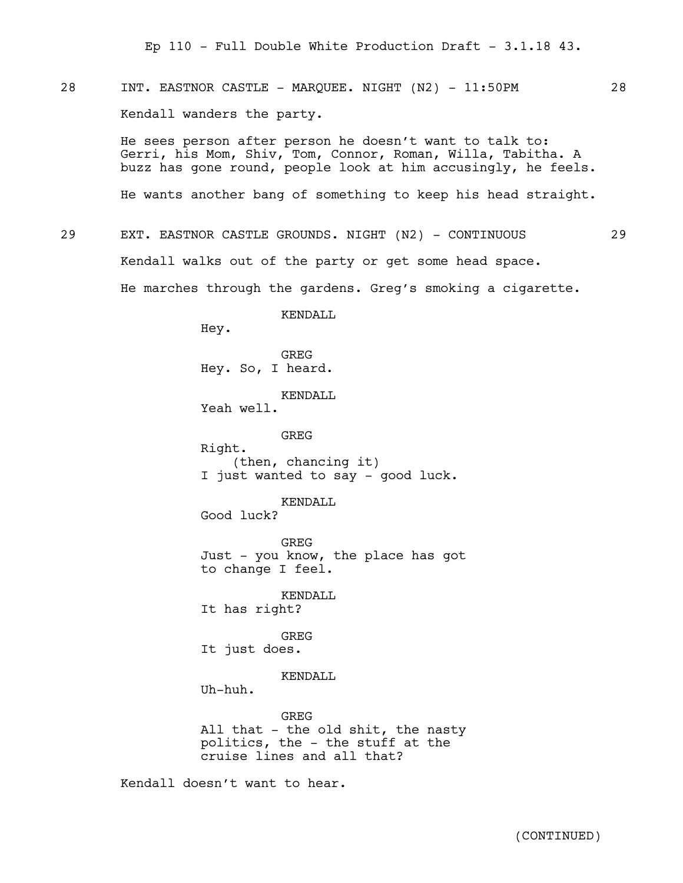28 INT. EASTNOR CASTLE - MAROUEE. NIGHT (N2) - 11:50PM 28 Kendall wanders the party.

> He sees person after person he doesn't want to talk to: Gerri, his Mom, Shiv, Tom, Connor, Roman, Willa, Tabitha. A buzz has gone round, people look at him accusingly, he feels.

> He wants another bang of something to keep his head straight.

29 EXT. EASTNOR CASTLE GROUNDS. NIGHT (N2) - CONTINUOUS 29 Kendall walks out of the party or get some head space. He marches through the gardens. Greg's smoking a cigarette.

KENDALL

Hey. GREG Hey. So, I heard. KENDALL. Yeah well. GREG Right. (then, chancing it) I just wanted to say - good luck. KENDALL

Good luck?

**GREG** Just - you know, the place has got to change I feel.

KENDALL It has right?

GREG It just does.

KENDALL

Uh-huh.

GREG All that - the old shit, the nasty politics, the - the stuff at the cruise lines and all that?

Kendall doesn't want to hear.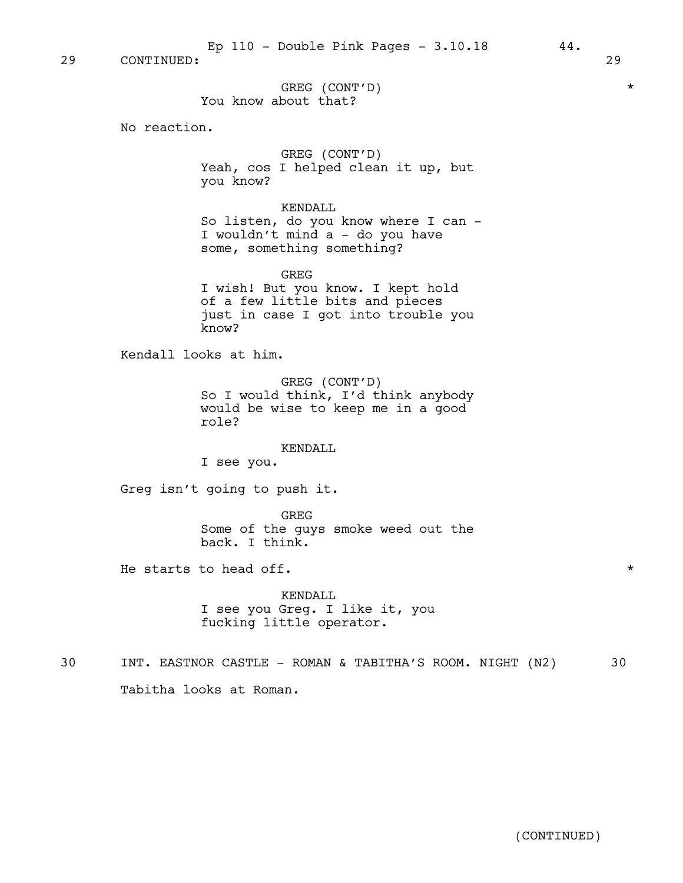29 CONTINUED: 29

GREG (CONT'D) \* You know about that?

No reaction.

GREG (CONT'D) Yeah, cos I helped clean it up, but you know?

KENDALL So listen, do you know where I can - I wouldn't mind a - do you have some, something something?

GREG I wish! But you know. I kept hold of a few little bits and pieces just in case I got into trouble you know?

Kendall looks at him.

GREG (CONT'D) So I would think, I'd think anybody would be wise to keep me in a good role?

#### KENDALL

I see you.

Greg isn't going to push it.

GREG Some of the guys smoke weed out the back. I think.

He starts to head off.  $\star$ 

KENDALL I see you Greg. I like it, you fucking little operator.

30 INT. EASTNOR CASTLE - ROMAN & TABITHA'S ROOM. NIGHT (N2) 30 Tabitha looks at Roman.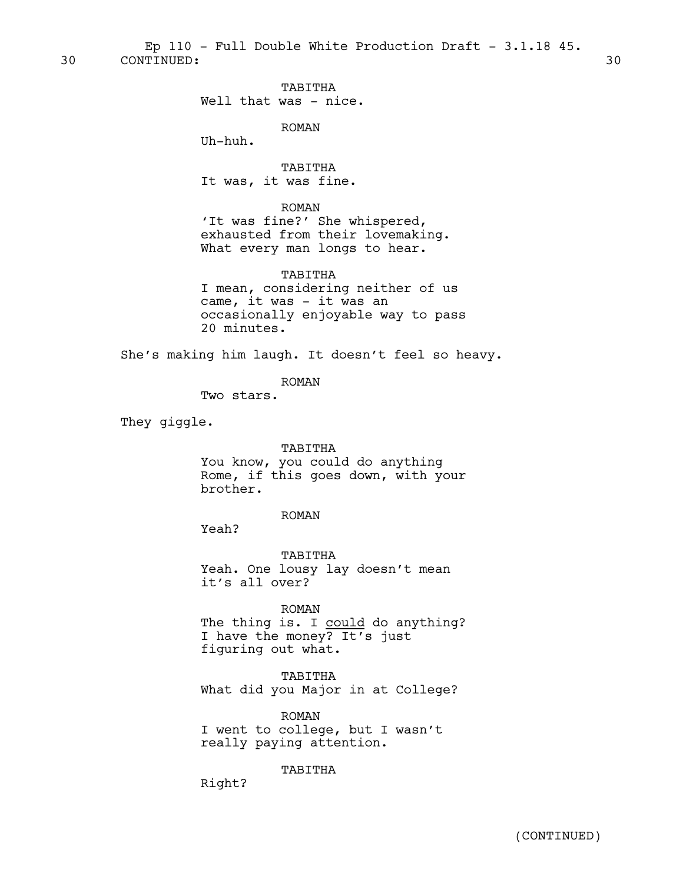30 CONTINUED: 30 Ep 110 - Full Double White Production Draft -  $3.1.18$  45.

TABITHA

Well that was - nice.

ROMAN

Uh-huh.

TABITHA It was, it was fine.

ROMAN

'It was fine?' She whispered, exhausted from their lovemaking. What every man longs to hear.

## TABITHA

I mean, considering neither of us came, it was - it was an occasionally enjoyable way to pass 20 minutes.

She's making him laugh. It doesn't feel so heavy.

ROMAN

Two stars.

They giggle.

#### TABITHA

You know, you could do anything Rome, if this goes down, with your brother.

ROMAN

Yeah?

TABITHA Yeah. One lousy lay doesn't mean it's all over?

ROMAN

The thing is. I could do anything? I have the money? It's just figuring out what.

TABITHA What did you Major in at College?

ROMAN I went to college, but I wasn't really paying attention.

## TABITHA

Right?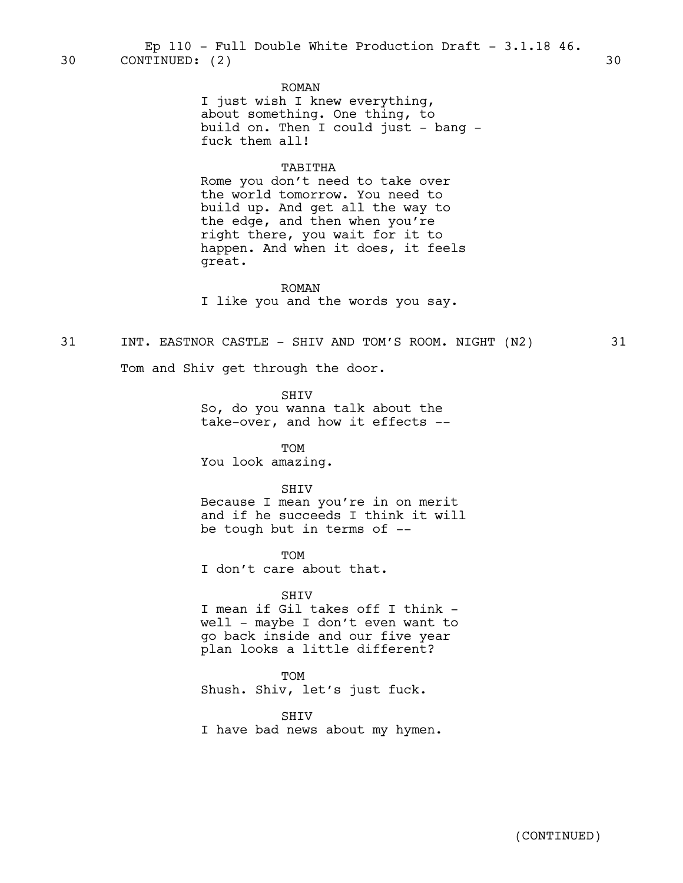#### ROMAN

I just wish I knew everything, about something. One thing, to build on. Then I could just  $-$  bang  $$ fuck them all!

#### TABITHA

Rome you don't need to take over the world tomorrow. You need to build up. And get all the way to the edge, and then when you're right there, you wait for it to happen. And when it does, it feels great.

ROMAN

I like you and the words you say.

## 31 INT. EASTNOR CASTLE - SHIV AND TOM'S ROOM. NIGHT (N2) 31

Tom and Shiv get through the door.

SHIV So, do you wanna talk about the take-over, and how it effects --

TOM You look amazing.

#### SHIV

Because I mean you're in on merit and if he succeeds I think it will be tough but in terms of --

TOM I don't care about that.

#### SHIV

I mean if Gil takes off I think well - maybe I don't even want to go back inside and our five year plan looks a little different?

TOM

Shush. Shiv, let's just fuck.

SHIV I have bad news about my hymen.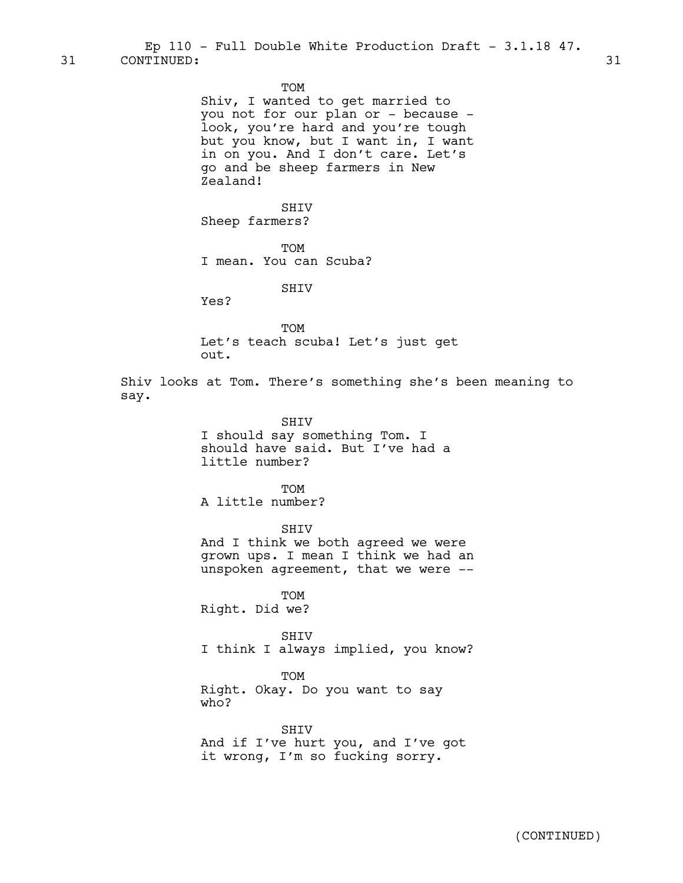31 CONTINUED: 31 Ep 110 - Full Double White Production Draft - 3.1.18 47.

TOM

Shiv, I wanted to get married to you not for our plan or - because look, you're hard and you're tough but you know, but I want in, I want in on you. And I don't care. Let's go and be sheep farmers in New Zealand!

SHIV Sheep farmers?

**TOM** I mean. You can Scuba?

SHIV

Yes?

**TOM** Let's teach scuba! Let's just get out.

Shiv looks at Tom. There's something she's been meaning to say.

SHIV

I should say something Tom. I should have said. But I've had a little number?

**TOM** A little number?

SHIV

And I think we both agreed we were grown ups. I mean I think we had an unspoken agreement, that we were --

TOM Right. Did we?

SHIV I think I always implied, you know?

TOM

Right. Okay. Do you want to say who?

SHIV And if I've hurt you, and I've got it wrong, I'm so fucking sorry.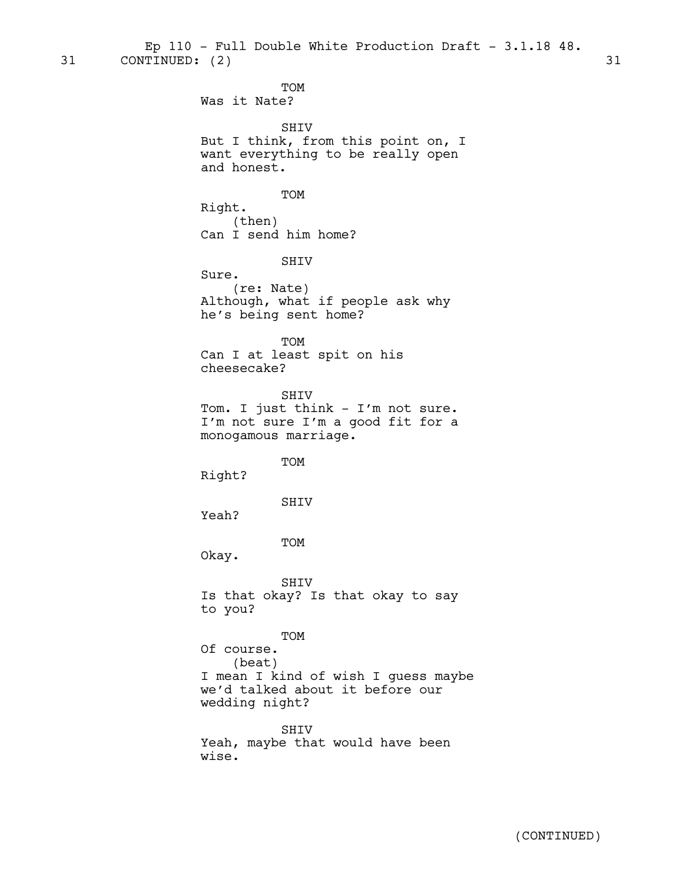31 CONTINUED: (2) 31 Ep 110 - Full Double White Production Draft - 3.1.18 48.

> TOM Was it Nate? SHIV But I think, from this point on, I want everything to be really open and honest. TOM Right. (then) Can I send him home? SHIV Sure. (re: Nate) Although, what if people ask why he's being sent home? TOM Can I at least spit on his cheesecake? SHIV Tom. I just think - I'm not sure. I'm not sure I'm a good fit for a monogamous marriage. TOM Right? SHIV Yeah? TOM Okay. SHIV Is that okay? Is that okay to say to you? TOM Of course. (beat) I mean I kind of wish I guess maybe we'd talked about it before our wedding night? SHIV

Yeah, maybe that would have been wise.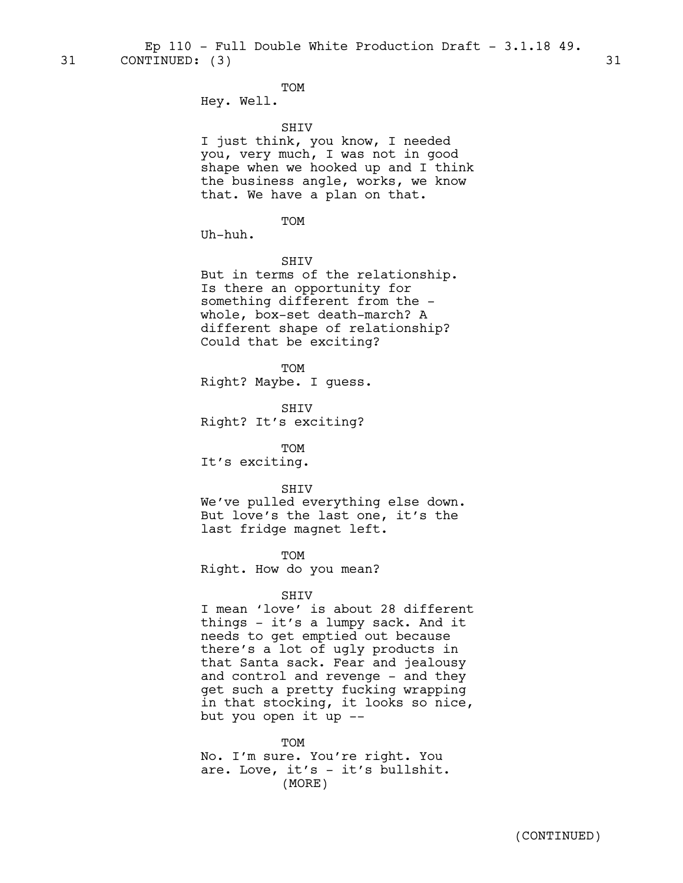31 CONTINUED: (3) 31 Ep 110 - Full Double White Production Draft - 3.1.18 49.

TOM

Hey. Well.

#### SHIV

I just think, you know, I needed you, very much, I was not in good shape when we hooked up and I think the business angle, works, we know that. We have a plan on that.

TOM

Uh-huh.

#### SHIV

But in terms of the relationship. Is there an opportunity for something different from the whole, box-set death-march? A different shape of relationship? Could that be exciting?

TOM Right? Maybe. I guess.

SHIV Right? It's exciting?

TOM

It's exciting.

#### SHIV

We've pulled everything else down. But love's the last one, it's the last fridge magnet left.

TOM Right. How do you mean?

#### SHIV

I mean 'love' is about 28 different things - it's a lumpy sack. And it needs to get emptied out because there's a lot of ugly products in that Santa sack. Fear and jealousy and control and revenge - and they get such a pretty fucking wrapping in that stocking, it looks so nice, but you open it up --

TOM No. I'm sure. You're right. You are. Love, it's - it's bullshit. (MORE)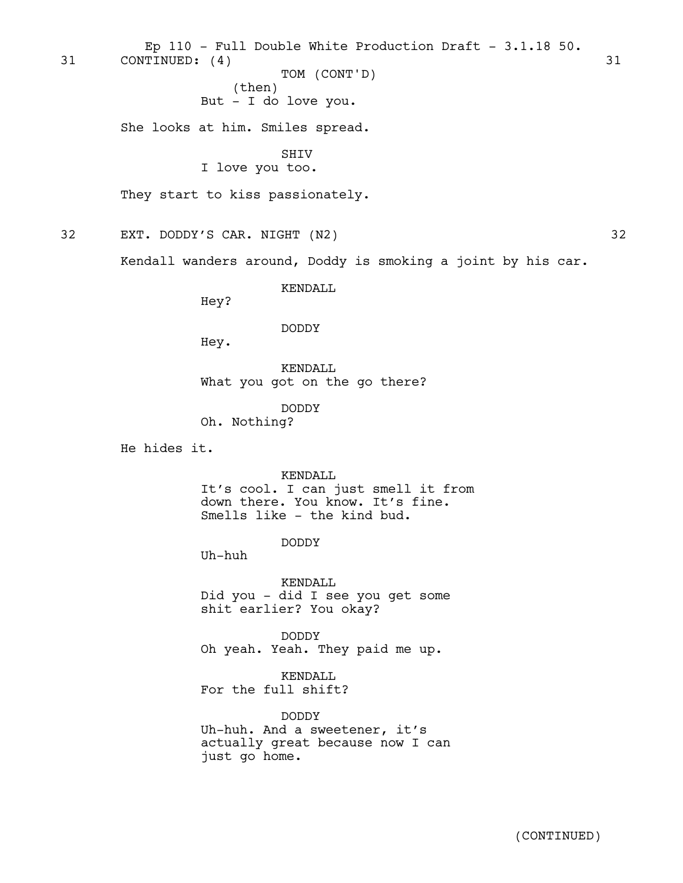31 CONTINUED: (4) 31 Ep 110 - Full Double White Production Draft - 3.1.18 50.

> (then) But - I do love you. TOM (CONT'D)

She looks at him. Smiles spread.

SHIV

I love you too.

They start to kiss passionately.

32 EXT. DODDY'S CAR. NIGHT (N2) 32

Kendall wanders around, Doddy is smoking a joint by his car.

KENDALL

Hey?

DODDY

Hey.

KENDALL What you got on the go there?

DODDY Oh. Nothing?

He hides it.

KENDALL

It's cool. I can just smell it from down there. You know. It's fine. Smells like - the kind bud.

DODDY

Uh-huh

KENDALL Did you - did I see you get some shit earlier? You okay?

DODDY Oh yeah. Yeah. They paid me up.

KENDALL For the full shift?

DODDY Uh-huh. And a sweetener, it's actually great because now I can just go home.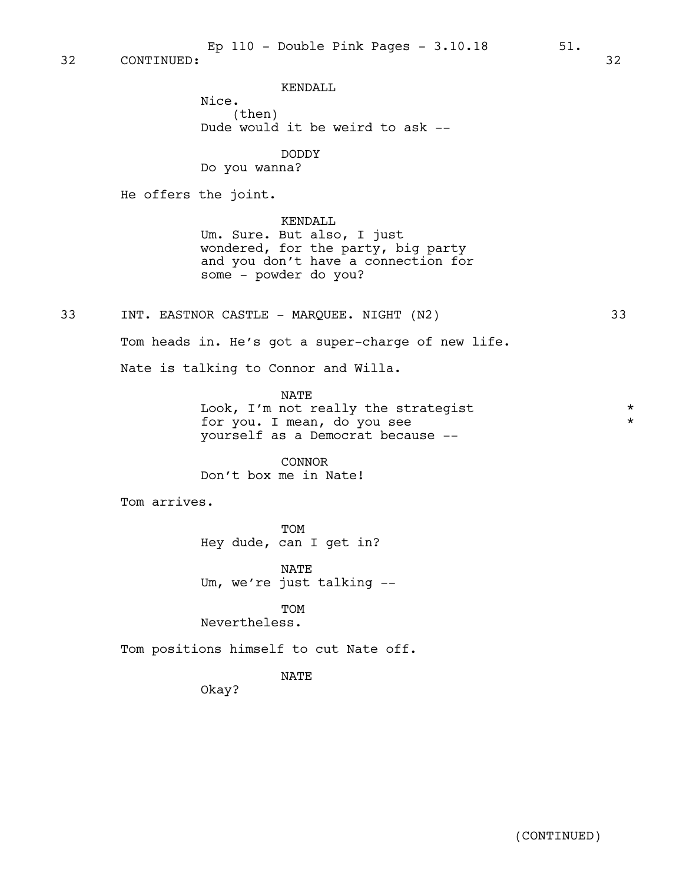KENDALL

Nice. (then) Dude would it be weird to ask --

DODDY Do you wanna?

He offers the joint.

KENDALL Um. Sure. But also, I just wondered, for the party, big party and you don't have a connection for some - powder do you?

33 INT. EASTNOR CASTLE - MARQUEE. NIGHT (N2) 33

Tom heads in. He's got a super-charge of new life.

Nate is talking to Connor and Willa.

NATE Look, I'm not really the strategist  $*$ for you. I mean, do you see  $*$ yourself as a Democrat because --

CONNOR Don't box me in Nate!

Tom arrives.

TOM Hey dude, can I get in?

NATE Um, we're just talking --

TOM Nevertheless.

Tom positions himself to cut Nate off.

NATE

Okay?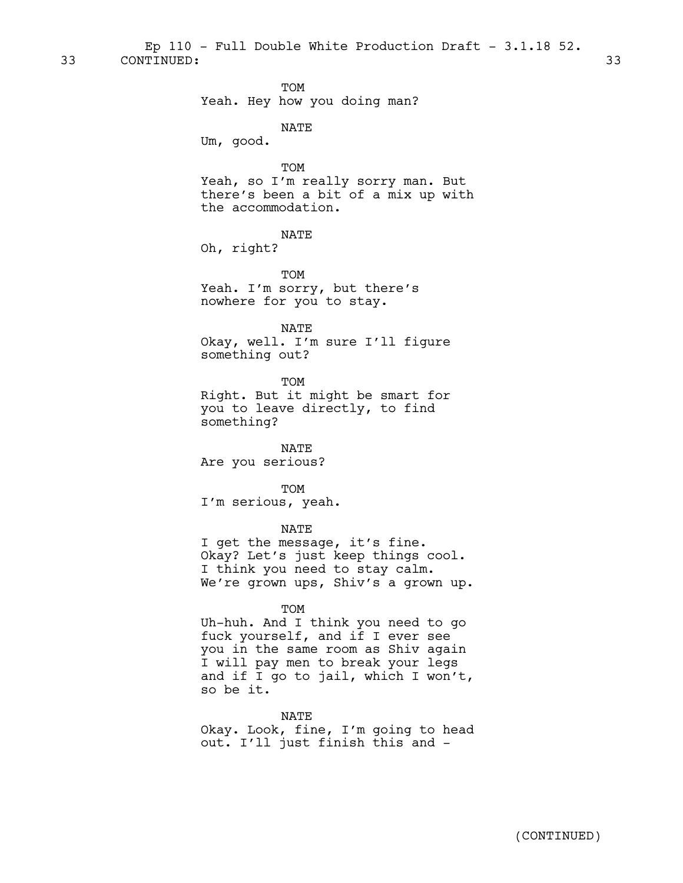33 CONTINUED: 33 Ep 110 - Full Double White Production Draft - 3.1.18 52.

> TOM Yeah. Hey how you doing man? NATE Um, good. TOM Yeah, so I'm really sorry man. But there's been a bit of a mix up with the accommodation. NATE Oh, right? TOM Yeah. I'm sorry, but there's nowhere for you to stay. NATE Okay, well. I'm sure I'll figure something out? TOM Right. But it might be smart for you to leave directly, to find something? NATE Are you serious? TOM I'm serious, yeah. NATE I get the message, it's fine. Okay? Let's just keep things cool. I think you need to stay calm. We're grown ups, Shiv's a grown up.

> > TOM

Uh-huh. And I think you need to go fuck yourself, and if I ever see you in the same room as Shiv again I will pay men to break your legs and if I go to jail, which I won't, so be it.

NATE Okay. Look, fine, I'm going to head out. I'll just finish this and -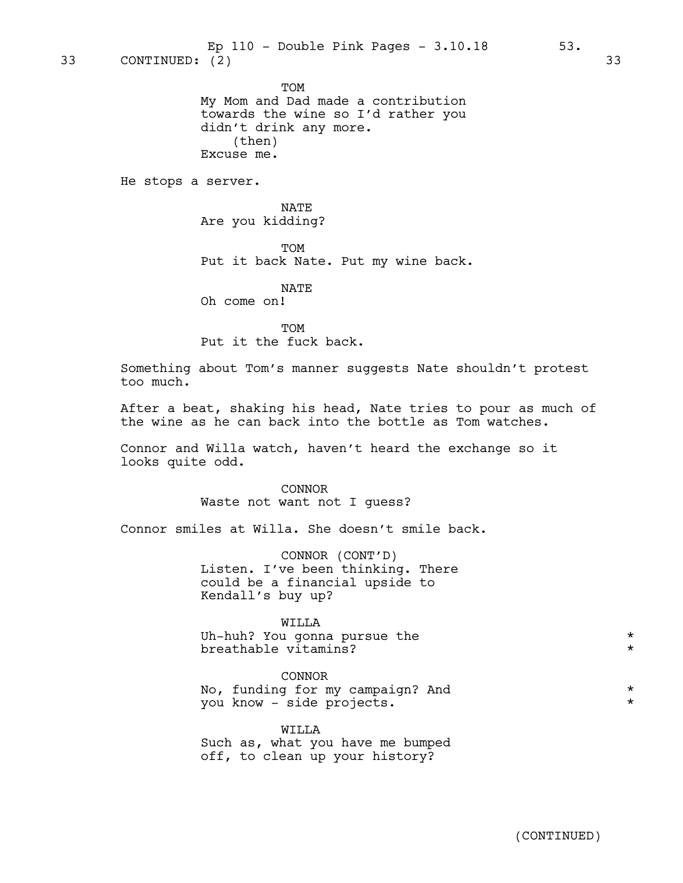TOM

My Mom and Dad made a contribution towards the wine so I'd rather you didn't drink any more. (then) Excuse me.

He stops a server.

NATE Are you kidding?

**TOM** Put it back Nate. Put my wine back.

NATE

Oh come on!

**TOM** Put it the fuck back.

Something about Tom's manner suggests Nate shouldn't protest too much.

After a beat, shaking his head, Nate tries to pour as much of the wine as he can back into the bottle as Tom watches.

Connor and Willa watch, haven't heard the exchange so it looks quite odd.

> CONNOR Waste not want not I guess?

Connor smiles at Willa. She doesn't smile back.

CONNOR (CONT'D) Listen. I've been thinking. There could be a financial upside to Kendall's buy up?

## WILLA

Uh-huh? You gonna pursue the  $*$ breathable vitamins? \*

#### CONNOR

No, funding for my campaign? And  $*$ <br>
You know aide projects you know - side projects. \*

WILLA Such as, what you have me bumped off, to clean up your history?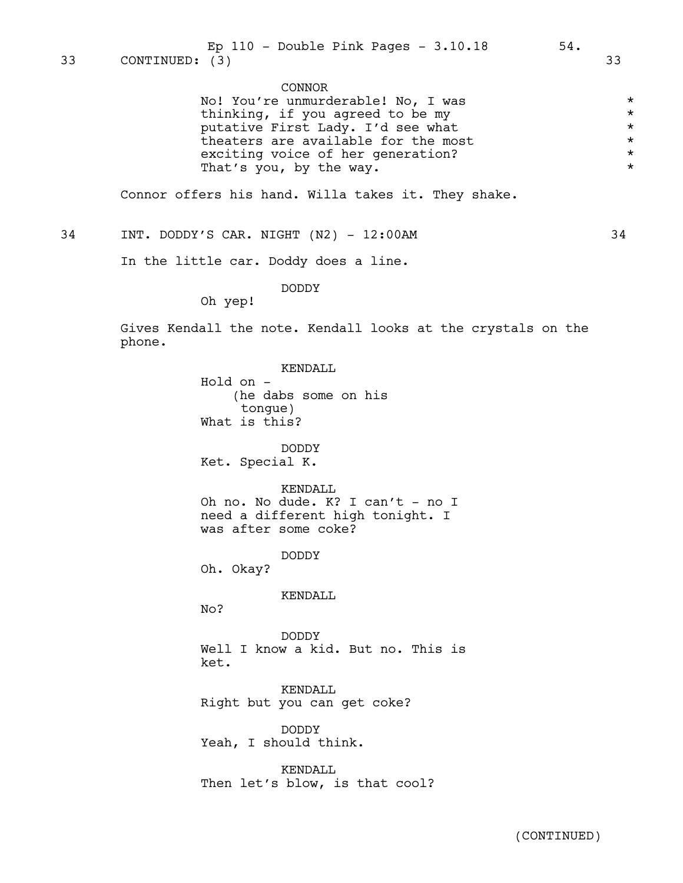## CONNOR

| No! You're unmurderable! No, I was  | $\star$ |
|-------------------------------------|---------|
| thinking, if you agreed to be my    | $\star$ |
| putative First Lady. I'd see what   | $\star$ |
| theaters are available for the most | $\star$ |
| exciting voice of her generation?   | $\star$ |
| That's you, by the way.             | $\star$ |

Connor offers his hand. Willa takes it. They shake.

34 INT. DODDY'S CAR. NIGHT (N2) - 12:00AM 34

In the little car. Doddy does a line.

DODDY

Oh yep!

Gives Kendall the note. Kendall looks at the crystals on the phone.

> KENDALL Hold on - (he dabs some on his tongue) What is this? DODDY Ket. Special K. KENDALL Oh no. No dude. K? I can't - no I need a different high tonight. I was after some coke? DODDY Oh. Okay? KENDALL No? DODDY Well I know a kid. But no. This is ket. KENDALL Right but you can get coke? DODDY Yeah, I should think. KENDALL

Then let's blow, is that cool?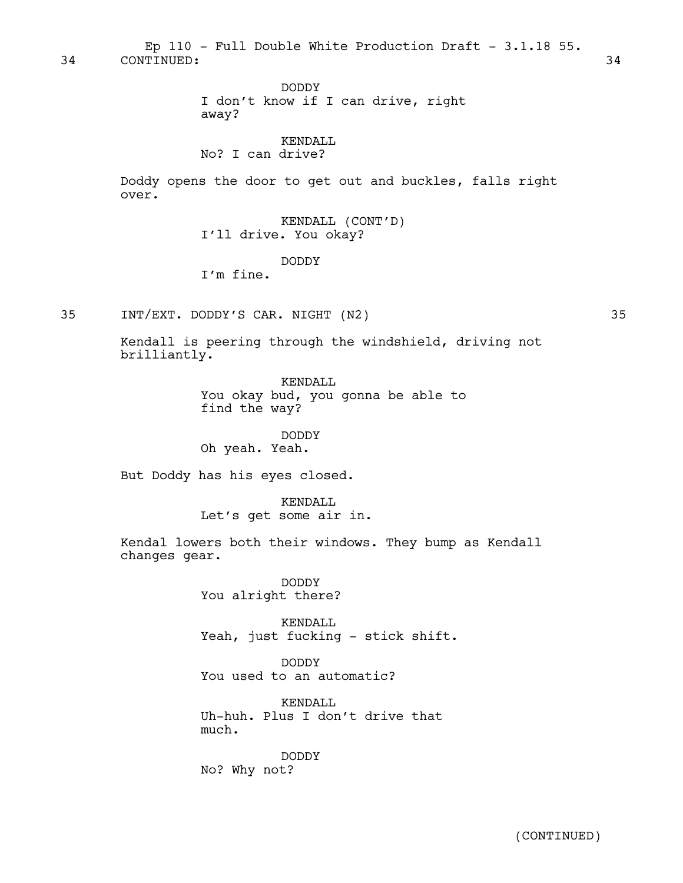34 CONTINUED: 34 Ep 110 - Full Double White Production Draft - 3.1.18 55.

> DODDY I don't know if I can drive, right away?

## KENDALL No? I can drive?

Doddy opens the door to get out and buckles, falls right over.

> KENDALL (CONT'D) I'll drive. You okay?

## DODDY

I'm fine.

35 INT/EXT. DODDY'S CAR. NIGHT (N2) 35

Kendall is peering through the windshield, driving not brilliantly.

> KENDALL You okay bud, you gonna be able to find the way?

DODDY Oh yeah. Yeah.

But Doddy has his eyes closed.

KENDALL Let's get some air in.

Kendal lowers both their windows. They bump as Kendall changes gear.

> DODDY You alright there?

KENDALL Yeah, just fucking - stick shift.

DODDY You used to an automatic?

KENDALL Uh-huh. Plus I don't drive that much.

DODDY No? Why not?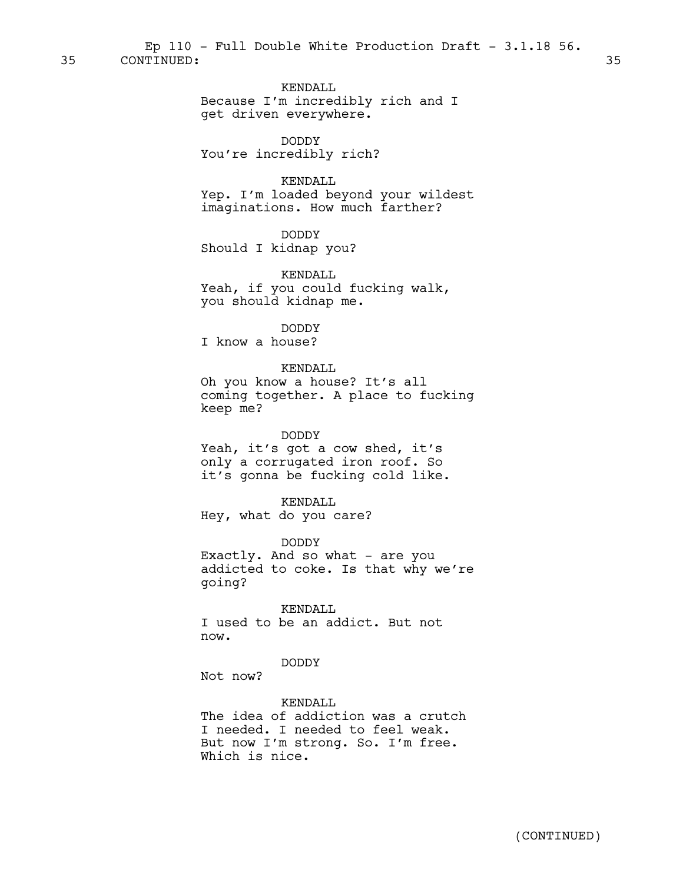KENDALL Because I'm incredibly rich and I get driven everywhere.

DODDY You're incredibly rich?

KENDALL

Yep. I'm loaded beyond your wildest imaginations. How much farther?

DODDY

Should I kidnap you?

KENDALL Yeah, if you could fucking walk, you should kidnap me.

DODDY I know a house?

## KENDALL

Oh you know a house? It's all coming together. A place to fucking keep me?

## DODDY

Yeah, it's got a cow shed, it's only a corrugated iron roof. So it's gonna be fucking cold like.

KENDALL

Hey, what do you care?

DODDY Exactly. And so what - are you addicted to coke. Is that why we're going?

KENDALL I used to be an addict. But not now.

## DODDY

Not now?

KENDALL The idea of addiction was a crutch I needed. I needed to feel weak. But now I'm strong. So. I'm free. Which is nice.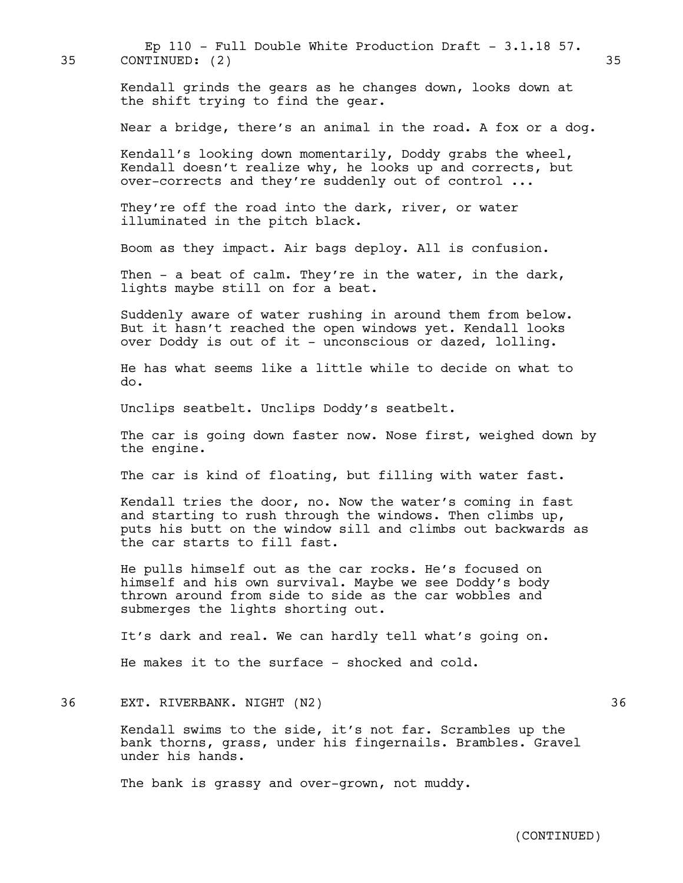35 CONTINUED: (2) 35 Ep 110 - Full Double White Production Draft -  $3.1.18$  57.

> Kendall grinds the gears as he changes down, looks down at the shift trying to find the gear.

Near a bridge, there's an animal in the road. A fox or a dog.

Kendall's looking down momentarily, Doddy grabs the wheel, Kendall doesn't realize why, he looks up and corrects, but over-corrects and they're suddenly out of control ...

They're off the road into the dark, river, or water illuminated in the pitch black.

Boom as they impact. Air bags deploy. All is confusion.

Then - a beat of calm. They're in the water, in the dark, lights maybe still on for a beat.

Suddenly aware of water rushing in around them from below. But it hasn't reached the open windows yet. Kendall looks over Doddy is out of it - unconscious or dazed, lolling.

He has what seems like a little while to decide on what to do.

Unclips seatbelt. Unclips Doddy's seatbelt.

The car is going down faster now. Nose first, weighed down by the engine.

The car is kind of floating, but filling with water fast.

Kendall tries the door, no. Now the water's coming in fast and starting to rush through the windows. Then climbs up, puts his butt on the window sill and climbs out backwards as the car starts to fill fast.

He pulls himself out as the car rocks. He's focused on himself and his own survival. Maybe we see Doddy's body thrown around from side to side as the car wobbles and submerges the lights shorting out.

It's dark and real. We can hardly tell what's going on.

He makes it to the surface - shocked and cold.

36 EXT. RIVERBANK. NIGHT (N2) 36

Kendall swims to the side, it's not far. Scrambles up the bank thorns, grass, under his fingernails. Brambles. Gravel under his hands.

The bank is grassy and over-grown, not muddy.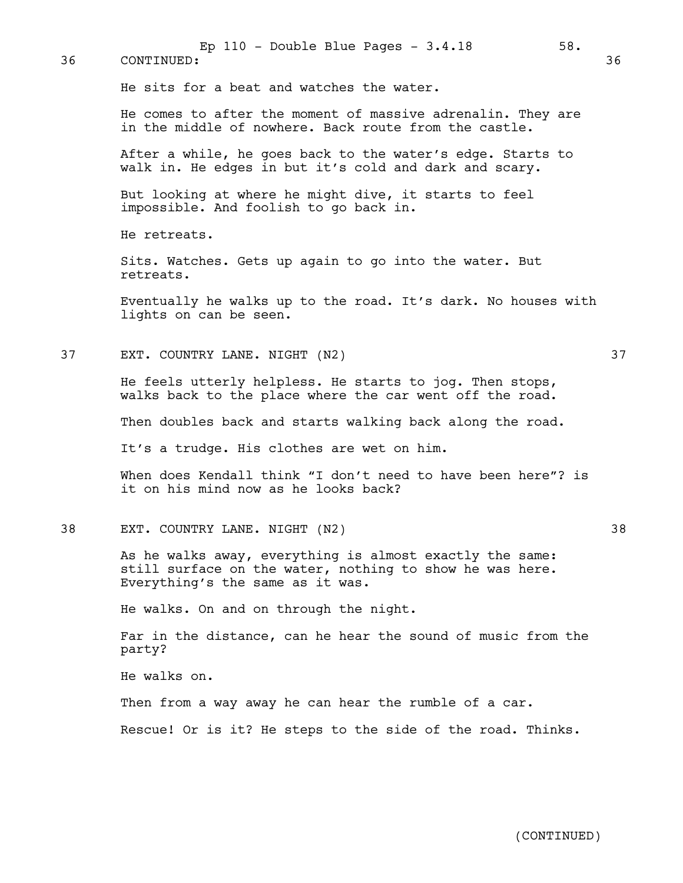| 36 | 58.<br>Ep $110$ - Double Blue Pages - $3.4.18$<br>CONTINUED:                                                                                             | 36 |
|----|----------------------------------------------------------------------------------------------------------------------------------------------------------|----|
|    | He sits for a beat and watches the water.                                                                                                                |    |
|    | He comes to after the moment of massive adrenalin. They are<br>in the middle of nowhere. Back route from the castle.                                     |    |
|    | After a while, he goes back to the water's edge. Starts to<br>walk in. He edges in but it's cold and dark and scary.                                     |    |
|    | But looking at where he might dive, it starts to feel<br>impossible. And foolish to go back in.                                                          |    |
|    | He retreats.                                                                                                                                             |    |
|    | Sits. Watches. Gets up again to go into the water. But<br>retreats.                                                                                      |    |
|    | Eventually he walks up to the road. It's dark. No houses with<br>lights on can be seen.                                                                  |    |
| 37 | EXT. COUNTRY LANE. NIGHT (N2)                                                                                                                            | 37 |
|    | He feels utterly helpless. He starts to jog. Then stops,<br>walks back to the place where the car went off the road.                                     |    |
|    | Then doubles back and starts walking back along the road.                                                                                                |    |
|    | It's a trudge. His clothes are wet on him.                                                                                                               |    |
|    | When does Kendall think "I don't need to have been here"? is<br>it on his mind now as he looks back?                                                     |    |
| 38 | EXT. COUNTRY LANE. NIGHT (N2)                                                                                                                            | 38 |
|    | As he walks away, everything is almost exactly the same:<br>still surface on the water, nothing to show he was here.<br>Everything's the same as it was. |    |
|    | He walks. On and on through the night.                                                                                                                   |    |
|    | Far in the distance, can he hear the sound of music from the<br>party?                                                                                   |    |
|    | He walks on.                                                                                                                                             |    |
|    | Then from a way away he can hear the rumble of a car.                                                                                                    |    |
|    | Rescue! Or is it? He steps to the side of the road. Thinks.                                                                                              |    |
|    |                                                                                                                                                          |    |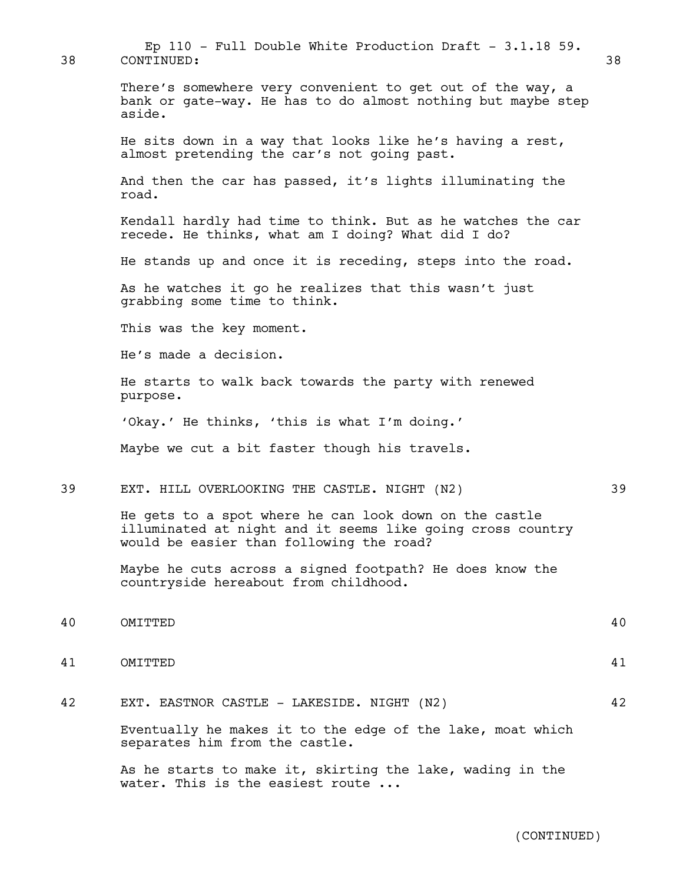There's somewhere very convenient to get out of the way, a bank or gate-way. He has to do almost nothing but maybe step aside. He sits down in a way that looks like he's having a rest, almost pretending the car's not going past. And then the car has passed, it's lights illuminating the road. Kendall hardly had time to think. But as he watches the car recede. He thinks, what am I doing? What did I do? He stands up and once it is receding, steps into the road. As he watches it go he realizes that this wasn't just grabbing some time to think. This was the key moment. He's made a decision. He starts to walk back towards the party with renewed purpose. 'Okay.' He thinks, 'this is what I'm doing.' Maybe we cut a bit faster though his travels. 39 EXT. HILL OVERLOOKING THE CASTLE. NIGHT (N2) 39 He gets to a spot where he can look down on the castle illuminated at night and it seems like going cross country would be easier than following the road? Maybe he cuts across a signed footpath? He does know the countryside hereabout from childhood. 40 OMITTED 40 41 OMITTED 41 42 EXT. EASTNOR CASTLE - LAKESIDE. NIGHT (N2) 42 Eventually he makes it to the edge of the lake, moat which separates him from the castle.

Ep  $110$  - Full Double White Production Draft - 3.1.18 59.

As he starts to make it, skirting the lake, wading in the water. This is the easiest route ...

38 CONTINUED: 38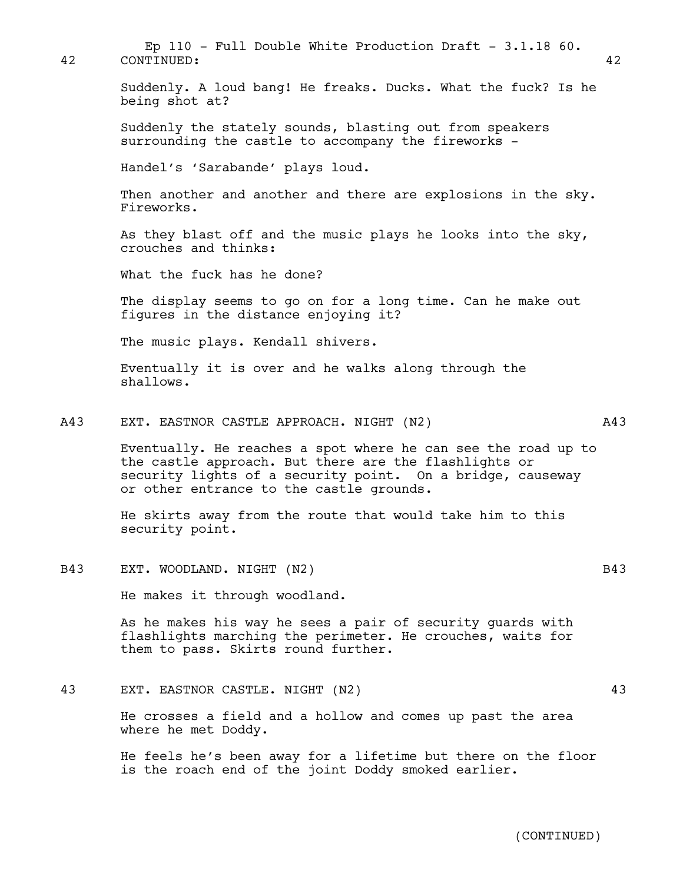| 42  | Ep 110 - Full Double White Production Draft - $3.1.18$ 60.<br>CONTINUED:                                                                                                                                                         | 42  |
|-----|----------------------------------------------------------------------------------------------------------------------------------------------------------------------------------------------------------------------------------|-----|
|     | Suddenly. A loud bang! He freaks. Ducks. What the fuck? Is he<br>being shot at?                                                                                                                                                  |     |
|     | Suddenly the stately sounds, blasting out from speakers<br>surrounding the castle to accompany the fireworks -                                                                                                                   |     |
|     | Handel's 'Sarabande' plays loud.                                                                                                                                                                                                 |     |
|     | Then another and another and there are explosions in the sky.<br>Fireworks.                                                                                                                                                      |     |
|     | As they blast off and the music plays he looks into the sky,<br>crouches and thinks:                                                                                                                                             |     |
|     | What the fuck has he done?                                                                                                                                                                                                       |     |
|     | The display seems to go on for a long time. Can he make out<br>figures in the distance enjoying it?                                                                                                                              |     |
|     | The music plays. Kendall shivers.                                                                                                                                                                                                |     |
|     | Eventually it is over and he walks along through the<br>shallows.                                                                                                                                                                |     |
| A43 | EXT. EASTNOR CASTLE APPROACH. NIGHT (N2)                                                                                                                                                                                         | A43 |
|     | Eventually. He reaches a spot where he can see the road up to<br>the castle approach. But there are the flashlights or<br>security lights of a security point. On a bridge, causeway<br>or other entrance to the castle grounds. |     |
|     | He skirts away from the route that would take him to this<br>security point.                                                                                                                                                     |     |
| B43 | EXT. WOODLAND. NIGHT (N2)                                                                                                                                                                                                        | B43 |
|     | He makes it through woodland.                                                                                                                                                                                                    |     |
|     | As he makes his way he sees a pair of security guards with<br>flashlights marching the perimeter. He crouches, waits for<br>them to pass. Skirts round further.                                                                  |     |
| 43  | EXT. EASTNOR CASTLE. NIGHT (N2)                                                                                                                                                                                                  | 43  |
|     | He crosses a field and a hollow and comes up past the area<br>where he met Doddy.                                                                                                                                                |     |
|     | He feels he's been away for a lifetime but there on the floor<br>is the roach end of the joint Doddy smoked earlier.                                                                                                             |     |
|     |                                                                                                                                                                                                                                  |     |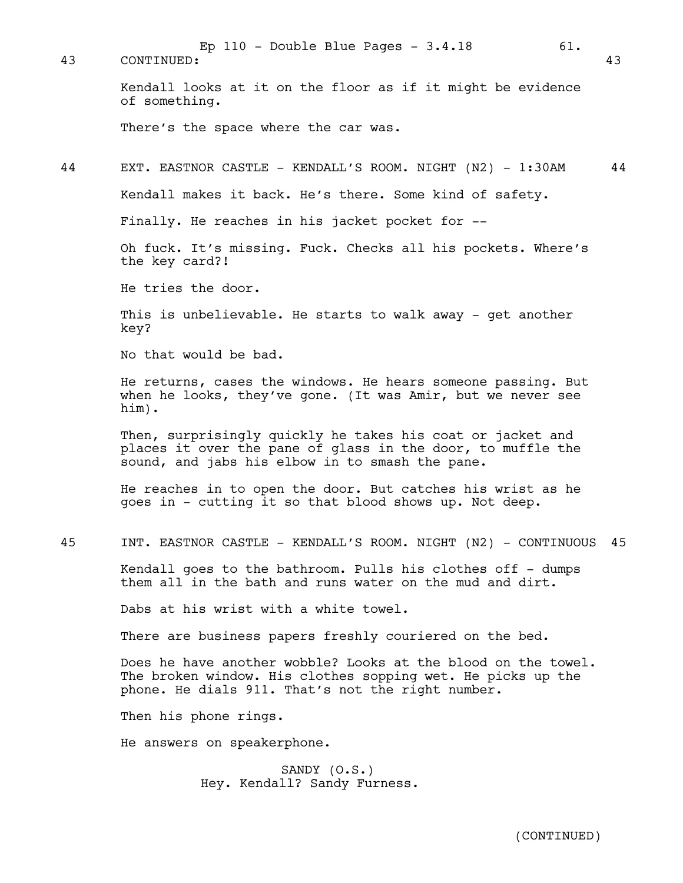Kendall looks at it on the floor as if it might be evidence of something. There's the space where the car was. 44 EXT. EASTNOR CASTLE - KENDALL'S ROOM. NIGHT (N2) - 1:30AM 44 Kendall makes it back. He's there. Some kind of safety. Finally. He reaches in his jacket pocket for -- Oh fuck. It's missing. Fuck. Checks all his pockets. Where's the key card?! He tries the door. 43 CONTINUED: 43 Ep  $110$  - Double Blue Pages -  $3.4.18$  61.

This is unbelievable. He starts to walk away - get another key?

No that would be bad.

He returns, cases the windows. He hears someone passing. But when he looks, they've gone. (It was Amir, but we never see him).

Then, surprisingly quickly he takes his coat or jacket and places it over the pane of glass in the door, to muffle the sound, and jabs his elbow in to smash the pane.

He reaches in to open the door. But catches his wrist as he goes in - cutting it so that blood shows up. Not deep.

45 INT. EASTNOR CASTLE - KENDALL'S ROOM. NIGHT (N2) - CONTINUOUS 45

Kendall goes to the bathroom. Pulls his clothes off - dumps them all in the bath and runs water on the mud and dirt.

Dabs at his wrist with a white towel.

There are business papers freshly couriered on the bed.

Does he have another wobble? Looks at the blood on the towel. The broken window. His clothes sopping wet. He picks up the phone. He dials 911. That's not the right number.

Then his phone rings.

He answers on speakerphone.

SANDY (O.S.) Hey. Kendall? Sandy Furness.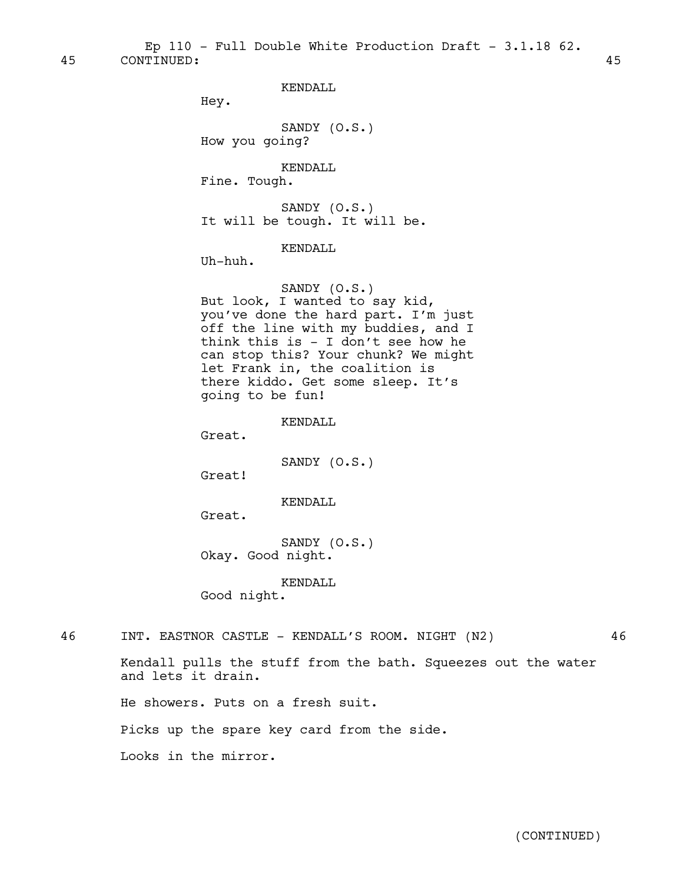45 CONTINUED: 45 Ep 110 - Full Double White Production Draft -  $3.1.18$  62.

KENDALL

Hey.

SANDY (O.S.) How you going?

KENDALL

Fine. Tough.

SANDY (O.S.) It will be tough. It will be.

KENDALL.

Uh-huh.

SANDY (O.S.) But look, I wanted to say kid, you've done the hard part. I'm just off the line with my buddies, and I think this is - I don't see how he can stop this? Your chunk? We might let Frank in, the coalition is there kiddo. Get some sleep. It's going to be fun!

KENDALL

Great.

SANDY (O.S.)

Great!

KENDALL

Great.

SANDY (O.S.) Okay. Good night.

KENDALL

Good night.

46 INT. EASTNOR CASTLE - KENDALL'S ROOM. NIGHT (N2) 46

Kendall pulls the stuff from the bath. Squeezes out the water and lets it drain.

He showers. Puts on a fresh suit.

Picks up the spare key card from the side.

Looks in the mirror.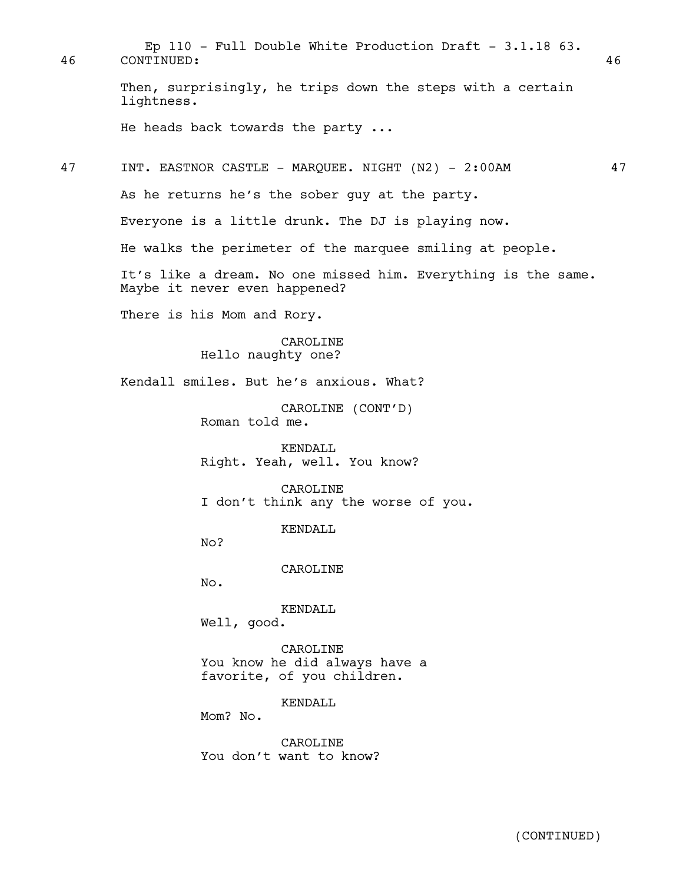Then, surprisingly, he trips down the steps with a certain lightness. He heads back towards the party ... 47 INT. EASTNOR CASTLE - MAROUEE. NIGHT (N2) - 2:00AM 47 As he returns he's the sober guy at the party. Everyone is a little drunk. The DJ is playing now. He walks the perimeter of the marquee smiling at people. It's like a dream. No one missed him. Everything is the same. Maybe it never even happened? There is his Mom and Rory. CAROLINE Hello naughty one? Kendall smiles. But he's anxious. What? CAROLINE (CONT'D) Roman told me. KENDALL Right. Yeah, well. You know? CAROLINE I don't think any the worse of you. KENDALL  $No?$ CAROLINE No. KENDALL Well, good. CAROLINE You know he did always have a favorite, of you children. KENDALL Mom? No. CAROLINE You don't want to know? 46 CONTINUED: 46 Ep 110 - Full Double White Production Draft - 3.1.18 63.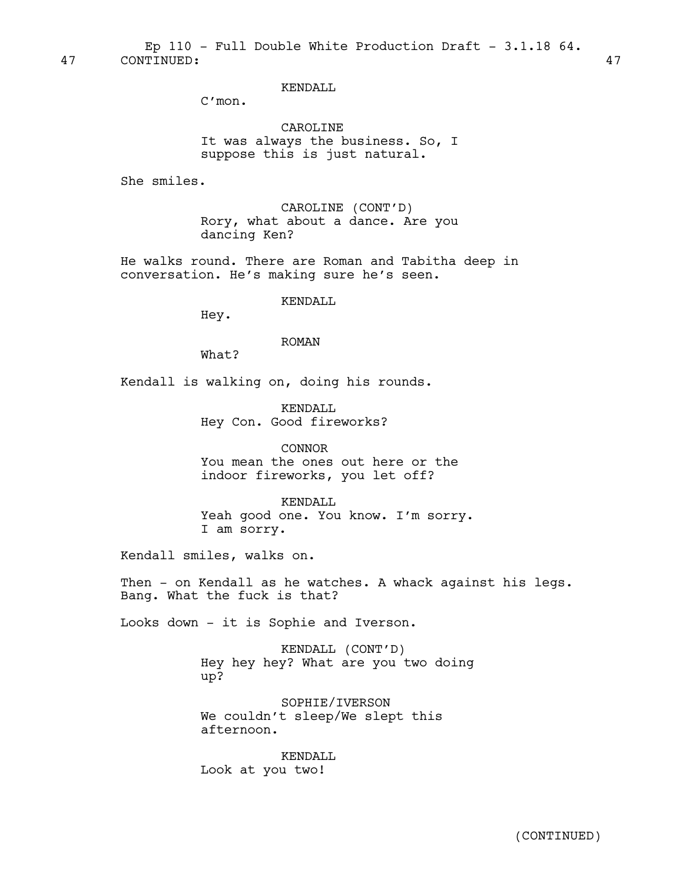KENDALL

C'mon.

CAROLINE It was always the business. So, I suppose this is just natural.

She smiles.

CAROLINE (CONT'D) Rory, what about a dance. Are you dancing Ken?

He walks round. There are Roman and Tabitha deep in conversation. He's making sure he's seen.

## KENDALL

Hey.

#### ROMAN

What?

Kendall is walking on, doing his rounds.

KENDALL Hey Con. Good fireworks?

CONNOR You mean the ones out here or the indoor fireworks, you let off?

KENDALL Yeah good one. You know. I'm sorry. I am sorry.

Kendall smiles, walks on.

Then - on Kendall as he watches. A whack against his legs. Bang. What the fuck is that?

Looks down - it is Sophie and Iverson.

KENDALL (CONT'D) Hey hey hey? What are you two doing up?

SOPHIE/IVERSON We couldn't sleep/We slept this afternoon.

KENDALL Look at you two!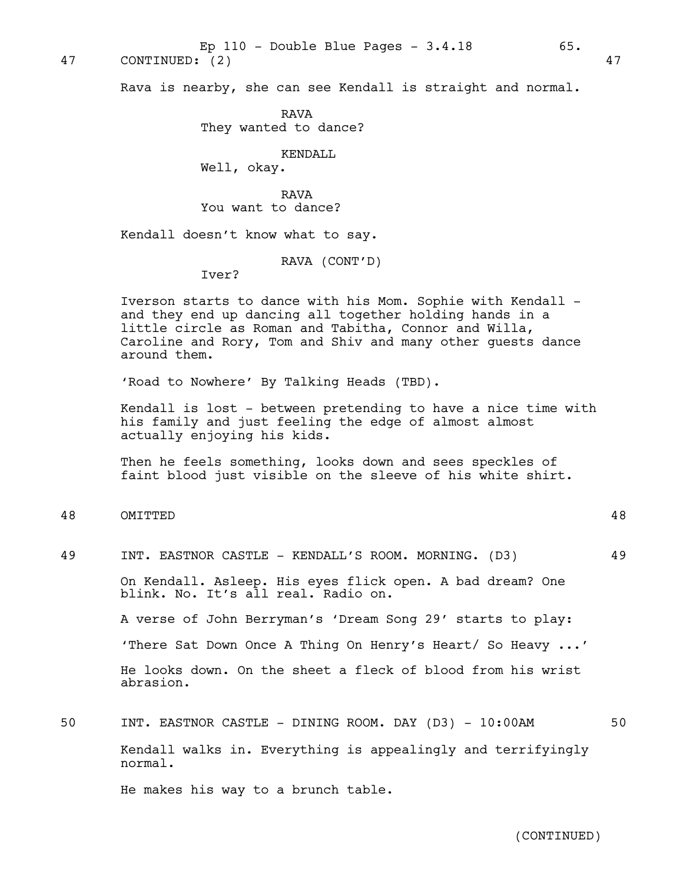47 CONTINUED: (2) 47

Rava is nearby, she can see Kendall is straight and normal.

RAVA They wanted to dance?

## KENDALL

Well, okay.

RAVA You want to dance?

Kendall doesn't know what to say.

RAVA (CONT'D)

Iver?

Iverson starts to dance with his Mom. Sophie with Kendall and they end up dancing all together holding hands in a little circle as Roman and Tabitha, Connor and Willa, Caroline and Rory, Tom and Shiv and many other guests dance around them.

'Road to Nowhere' By Talking Heads (TBD).

Kendall is lost - between pretending to have a nice time with his family and just feeling the edge of almost almost actually enjoying his kids.

Then he feels something, looks down and sees speckles of faint blood just visible on the sleeve of his white shirt.

48 OMITTED 48

49 INT. EASTNOR CASTLE - KENDALL'S ROOM. MORNING. (D3) 49 On Kendall. Asleep. His eyes flick open. A bad dream? One blink. No. It's all real. Radio on. A verse of John Berryman's 'Dream Song 29' starts to play: 'There Sat Down Once A Thing On Henry's Heart/ So Heavy ...' He looks down. On the sheet a fleck of blood from his wrist abrasion.

50 INT. EASTNOR CASTLE - DINING ROOM. DAY (D3) – 10:00AM 50 Kendall walks in. Everything is appealingly and terrifyingly normal.

He makes his way to a brunch table.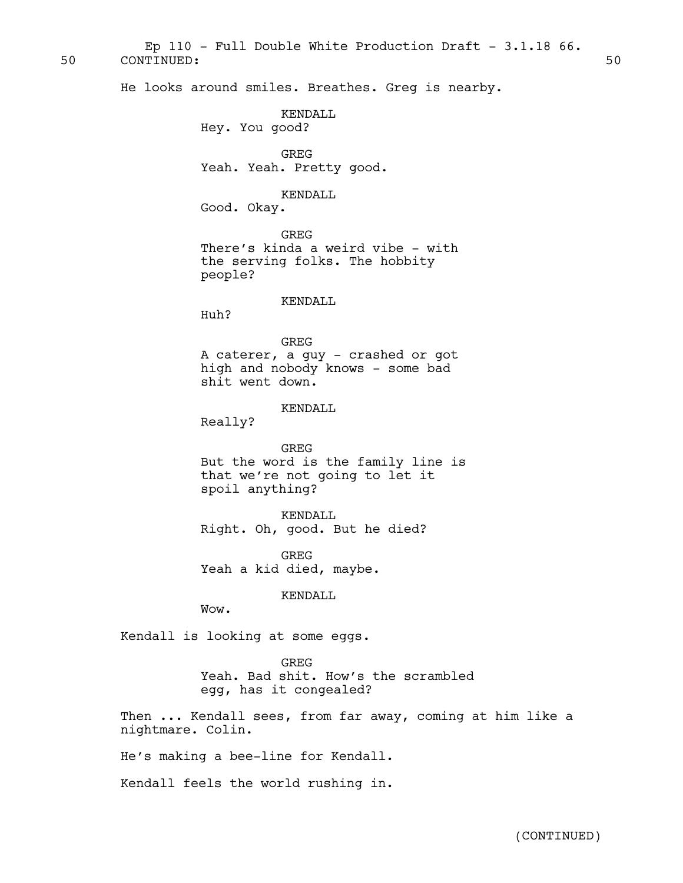50 CONTINUED: 50 Ep  $110$  - Full Double White Production Draft - 3.1.18 66.

He looks around smiles. Breathes. Greg is nearby.

# KENDALL

Hey. You good?

GREG Yeah. Yeah. Pretty good.

## KENDALL

Good. Okay.

GREG There's kinda a weird vibe - with the serving folks. The hobbity people?

## KENDALL

Huh?

GREG A caterer, a guy - crashed or got high and nobody knows - some bad shit went down.

## KENDALL

Really?

GREG But the word is the family line is that we're not going to let it spoil anything?

KENDALL Right. Oh, good. But he died?

GREG Yeah a kid died, maybe.

## KENDALL

Wow.

Kendall is looking at some eggs.

GREG Yeah. Bad shit. How's the scrambled egg, has it congealed?

Then ... Kendall sees, from far away, coming at him like a nightmare. Colin.

He's making a bee-line for Kendall.

Kendall feels the world rushing in.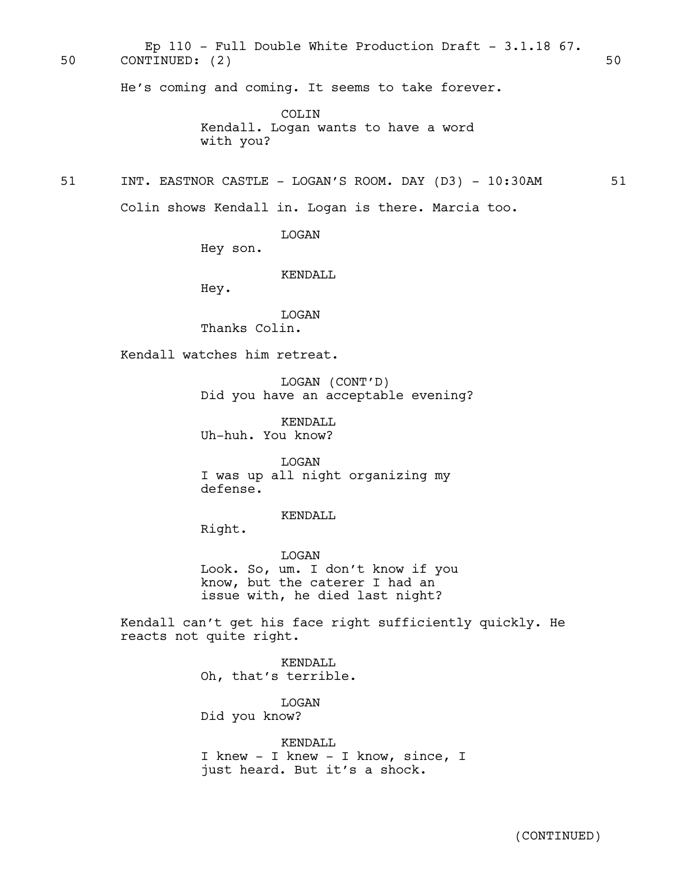50 CONTINUED: (2) 50 Ep 110 - Full Double White Production Draft - 3.1.18 67.

He's coming and coming. It seems to take forever.

COLIN Kendall. Logan wants to have a word with you?

## 51 INT. EASTNOR CASTLE - LOGAN'S ROOM. DAY (D3) - 10:30AM 51

Colin shows Kendall in. Logan is there. Marcia too.

LOGAN

Hey son.

KENDALL

Hey.

LOGAN Thanks Colin.

Kendall watches him retreat.

LOGAN (CONT'D) Did you have an acceptable evening?

KENDALL Uh-huh. You know?

LOGAN I was up all night organizing my defense.

KENDALL

Right.

LOGAN Look. So, um. I don't know if you know, but the caterer I had an issue with, he died last night?

Kendall can't get his face right sufficiently quickly. He reacts not quite right.

> KENDALL Oh, that's terrible.

LOGAN Did you know?

KENDALL I knew - I knew - I know, since, I just heard. But it's a shock.

(CONTINUED)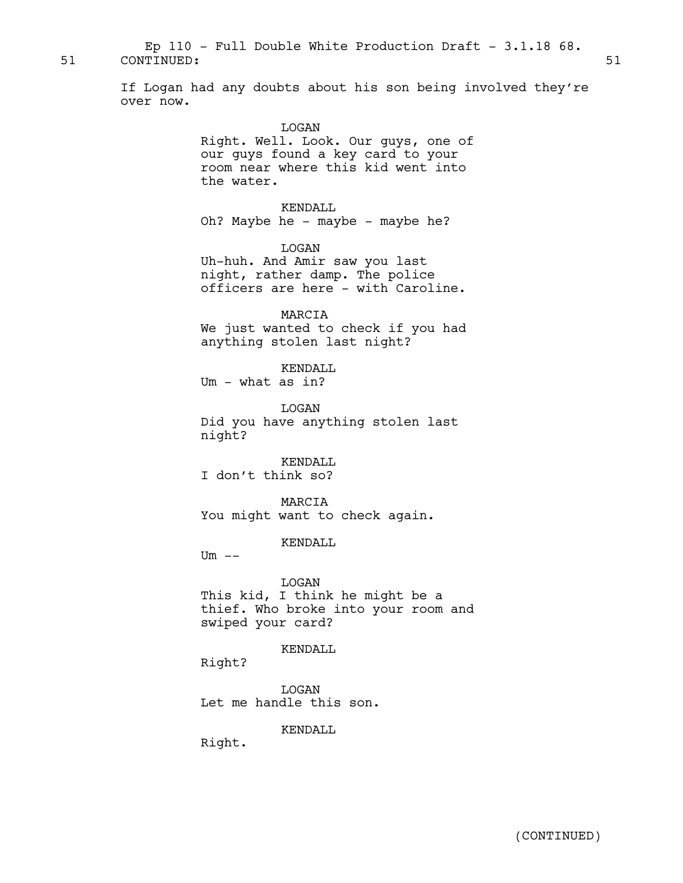51 CONTINUED: 51 Ep  $110$  - Full Double White Production Draft - 3.1.18 68.

> If Logan had any doubts about his son being involved they're over now.

## LOGAN

Right. Well. Look. Our guys, one of our guys found a key card to your room near where this kid went into the water.

KENDALL

Oh? Maybe he - maybe - maybe he?

LOGAN

Uh-huh. And Amir saw you last night, rather damp. The police officers are here - with Caroline.

MARCIA We just wanted to check if you had anything stolen last night?

KENDALL Um - what as in?

LOGAN Did you have anything stolen last night?

KENDALL I don't think so?

MARCIA You might want to check again.

KENDALL

 $Um$   $--$ 

LOGAN This kid, I think he might be a thief. Who broke into your room and swiped your card?

KENDALL

Right?

LOGAN Let me handle this son.

KENDALL

Right.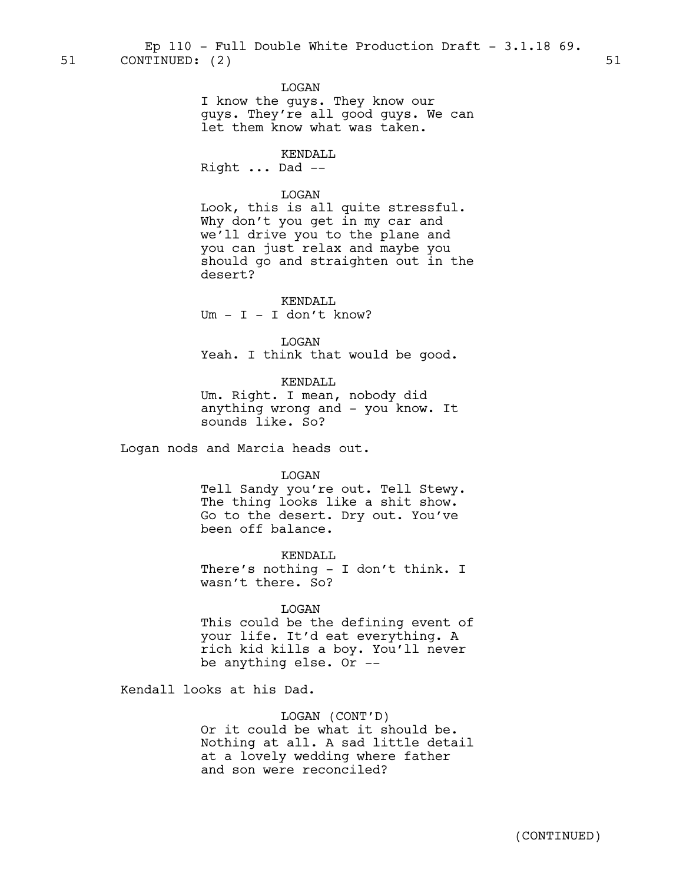LOGAN

I know the guys. They know our guys. They're all good guys. We can let them know what was taken.

KENDALL Right ... Dad --

## LOGAN

Look, this is all quite stressful. Why don't you get in my car and we'll drive you to the plane and you can just relax and maybe you should go and straighten out in the desert?

KENDALL  $Um - I - I$  don't know?

LOGAN Yeah. I think that would be good.

KENDALL

Um. Right. I mean, nobody did anything wrong and - you know. It sounds like. So?

Logan nods and Marcia heads out.

LOGAN

Tell Sandy you're out. Tell Stewy. The thing looks like a shit show. Go to the desert. Dry out. You've been off balance.

KENDALL There's nothing - I don't think. I wasn't there. So?

LOGAN

This could be the defining event of your life. It'd eat everything. A rich kid kills a boy. You'll never be anything else. Or --

Kendall looks at his Dad.

LOGAN (CONT'D) Or it could be what it should be. Nothing at all. A sad little detail at a lovely wedding where father and son were reconciled?